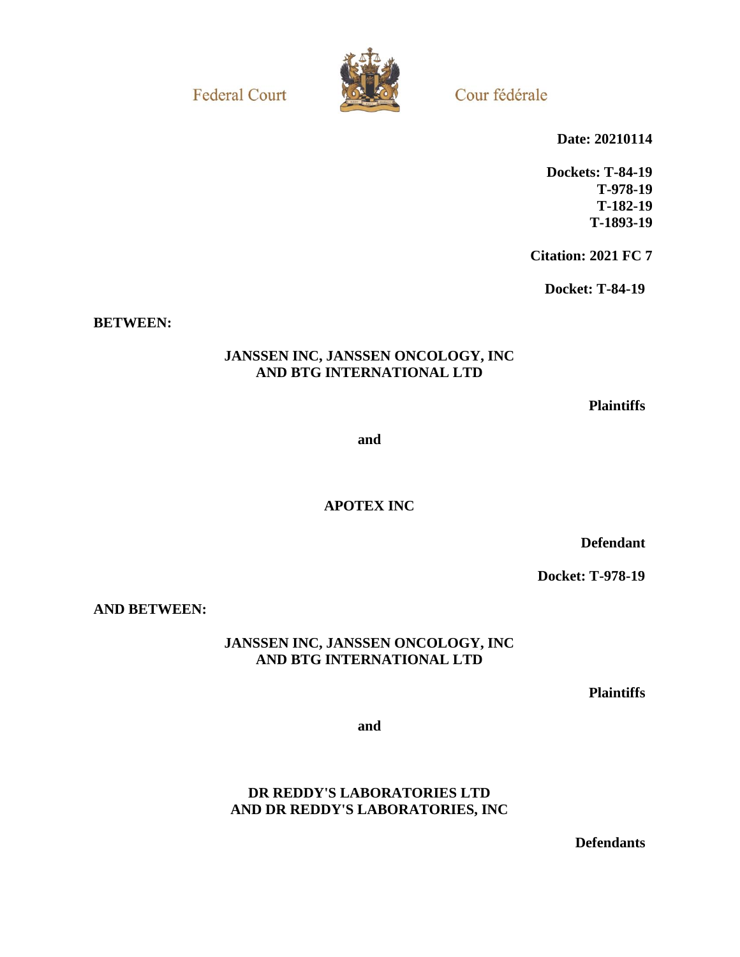**Federal Court** 



Cour fédérale

**Date: 20210114**

**Dockets: T-84-19 T-978-19 T-182-19 T-1893-19**

**Citation: 2021 FC 7**

**Docket: T-84-19**

**BETWEEN:**

# **JANSSEN INC, JANSSEN ONCOLOGY, INC AND BTG INTERNATIONAL LTD**

**Plaintiffs**

**and**

**APOTEX INC**

**Defendant**

**Docket: T-978-19**

**AND BETWEEN:**

**JANSSEN INC, JANSSEN ONCOLOGY, INC AND BTG INTERNATIONAL LTD**

**Plaintiffs**

**and**

**DR REDDY'S LABORATORIES LTD AND DR REDDY'S LABORATORIES, INC**

**Defendants**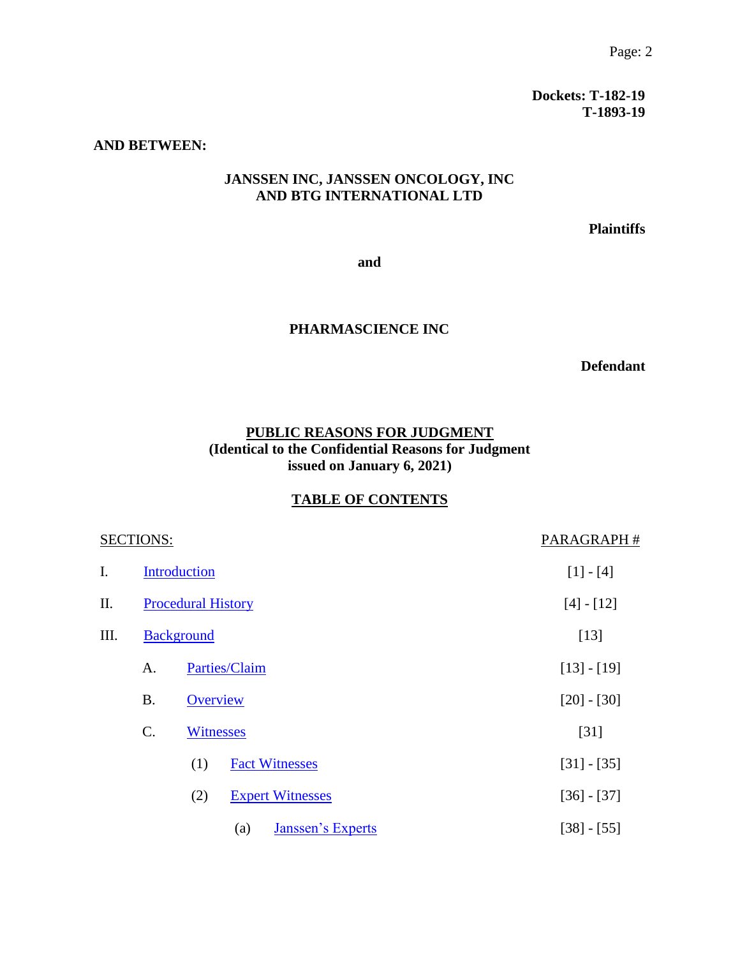**Dockets: T-182-19 T-1893-19**

#### **AND BETWEEN:**

# **JANSSEN INC, JANSSEN ONCOLOGY, INC AND BTG INTERNATIONAL LTD**

**Plaintiffs**

**and**

## **PHARMASCIENCE INC**

**Defendant**

# **PUBLIC REASONS FOR JUDGMENT (Identical to the Confidential Reasons for Judgment issued on January 6, 2021)**

# **TABLE OF CONTENTS**

|      | <b>SECTIONS:</b>          | PARAGRAPH#        |                          |               |
|------|---------------------------|-------------------|--------------------------|---------------|
| I.   |                           | Introduction      | $[1] - [4]$              |               |
| II.  | <b>Procedural History</b> |                   |                          | $[4] - [12]$  |
| III. |                           | <b>Background</b> | [13]                     |               |
|      | A.                        | Parties/Claim     |                          | $[13] - [19]$ |
|      | <b>B.</b>                 | Overview          |                          | $[20] - [30]$ |
|      | $\mathcal{C}$ .           | <b>Witnesses</b>  |                          | $[31]$        |
|      |                           | (1)               | <b>Fact Witnesses</b>    | $[31] - [35]$ |
|      |                           | (2)               | <b>Expert Witnesses</b>  | $[36] - [37]$ |
|      |                           | (a)               | <b>Janssen's Experts</b> | $[38] - [55]$ |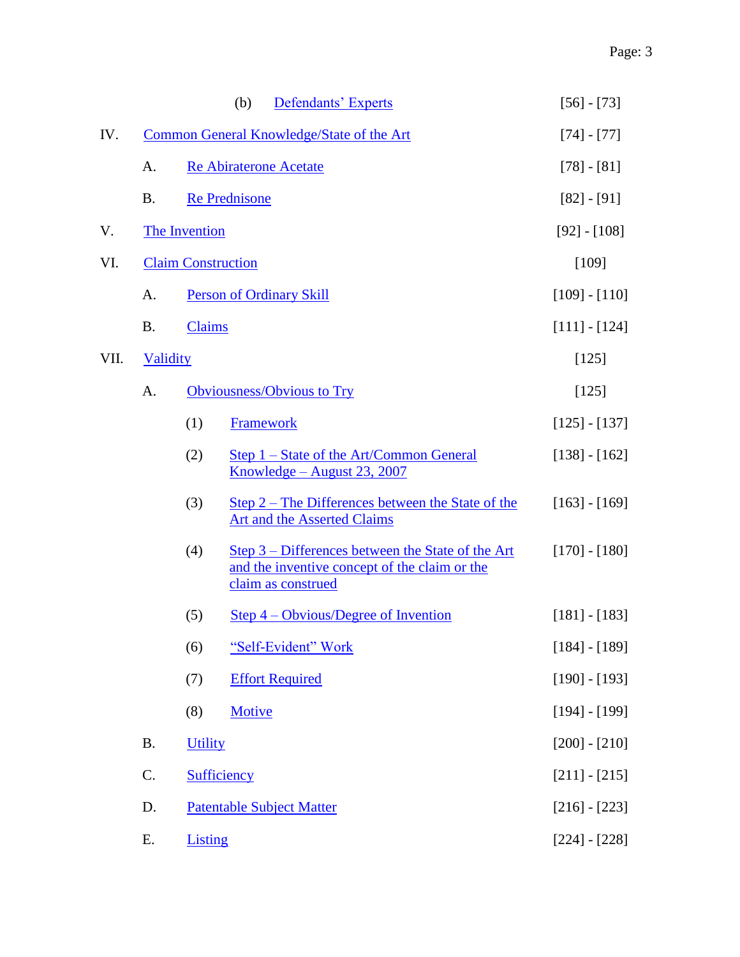|      |                                           | Defendants' Experts<br>(b)                                                                                                             | $[56] - [73]$   |
|------|-------------------------------------------|----------------------------------------------------------------------------------------------------------------------------------------|-----------------|
| IV.  | Common General Knowledge/State of the Art | $[74] - [77]$                                                                                                                          |                 |
|      | A.                                        | <b>Re Abiraterone Acetate</b>                                                                                                          | $[78] - [81]$   |
|      | <b>B.</b>                                 | <b>Re Prednisone</b>                                                                                                                   | $[82] - [91]$   |
| V.   |                                           | The Invention                                                                                                                          | $[92] - [108]$  |
| VI.  | <b>Claim Construction</b>                 | [109]                                                                                                                                  |                 |
|      | A.                                        | <b>Person of Ordinary Skill</b>                                                                                                        | $[109] - [110]$ |
|      | <b>B.</b>                                 | <b>Claims</b>                                                                                                                          | $[111] - [124]$ |
| VII. |                                           | <b>Validity</b>                                                                                                                        |                 |
|      | A.                                        | Obviousness/Obvious to Try                                                                                                             | $[125]$         |
|      |                                           | (1)<br>Framework                                                                                                                       | $[125] - [137]$ |
|      |                                           | (2)<br><u>Step 1 – State of the Art/Common General</u><br>Knowledge – August 23, 2007                                                  | $[138] - [162]$ |
|      |                                           | (3)<br>Step $2$ – The Differences between the State of the<br>Art and the Asserted Claims                                              | $[163] - [169]$ |
|      |                                           | (4)<br><u>Step 3 – Differences between the State of the Art</u><br>and the inventive concept of the claim or the<br>claim as construed | $[170] - [180]$ |
|      |                                           | Step $4$ – Obvious/Degree of Invention<br>(5)                                                                                          | $[181] - [183]$ |
|      |                                           | "Self-Evident" Work<br>(6)                                                                                                             | $[184] - [189]$ |
|      |                                           | <b>Effort Required</b><br>(7)                                                                                                          | $[190] - [193]$ |
|      |                                           | (8)<br>Motive                                                                                                                          | $[194] - [199]$ |
|      | <b>B.</b>                                 | <b>Utility</b>                                                                                                                         | $[200] - [210]$ |
|      | C.                                        | <b>Sufficiency</b>                                                                                                                     | $[211] - [215]$ |
|      | D.                                        | <b>Patentable Subject Matter</b>                                                                                                       | $[216] - [223]$ |
|      | Ε.                                        | <b>Listing</b>                                                                                                                         | $[224] - [228]$ |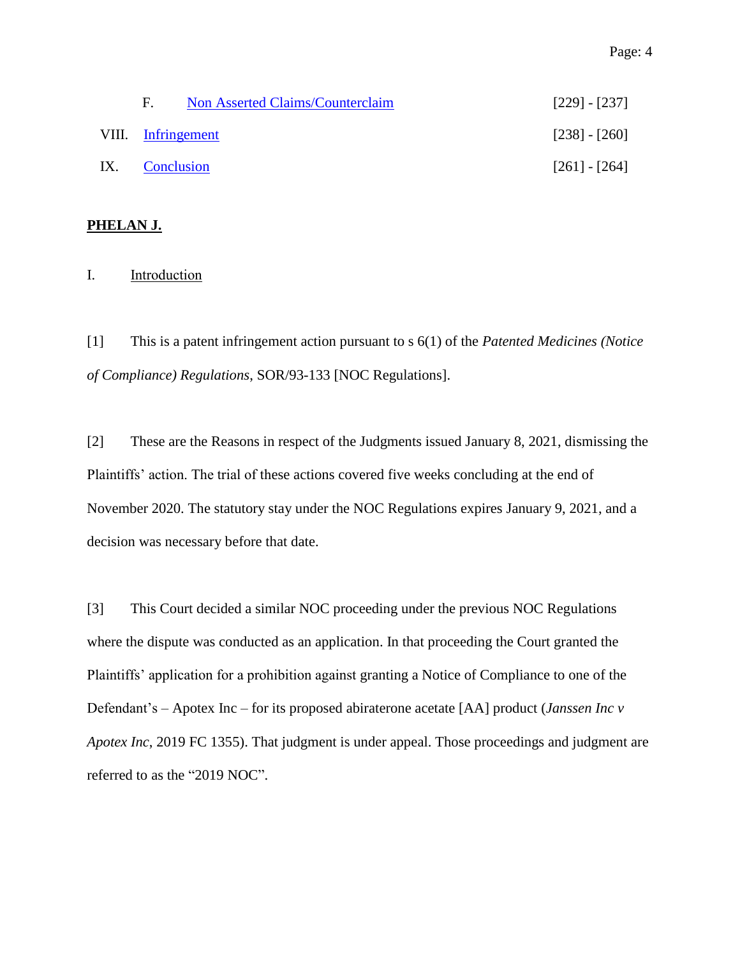| E.                 | <b>Non Asserted Claims/Counterclaim</b> | $[229] - [237]$ |
|--------------------|-----------------------------------------|-----------------|
| VIII. Infringement |                                         | $[238] - [260]$ |
| IX. Conclusion     |                                         | $[261] - [264]$ |

## **PHELAN J.**

## <span id="page-3-0"></span>I. **Introduction**

[1] This is a patent infringement action pursuant to s 6(1) of the *Patented Medicines (Notice of Compliance) Regulations*, SOR/93-133 [NOC Regulations].

[2] These are the Reasons in respect of the Judgments issued January 8, 2021, dismissing the Plaintiffs' action. The trial of these actions covered five weeks concluding at the end of November 2020. The statutory stay under the NOC Regulations expires January 9, 2021, and a decision was necessary before that date.

[3] This Court decided a similar NOC proceeding under the previous NOC Regulations where the dispute was conducted as an application. In that proceeding the Court granted the Plaintiffs' application for a prohibition against granting a Notice of Compliance to one of the Defendant's – Apotex Inc – for its proposed abiraterone acetate [AA] product (*Janssen Inc v Apotex Inc*, 2019 FC 1355). That judgment is under appeal. Those proceedings and judgment are referred to as the "2019 NOC".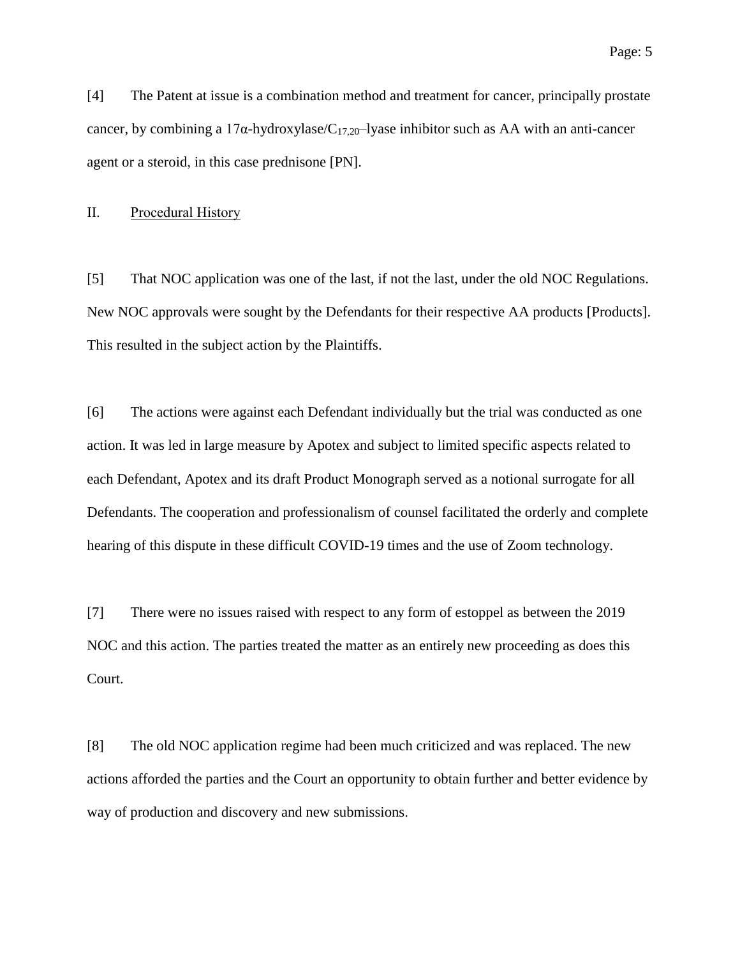[4] The Patent at issue is a combination method and treatment for cancer, principally prostate cancer, by combining a 17 $\alpha$ -hydroxylase/C<sub>17,20</sub>-lyase inhibitor such as AA with an anti-cancer agent or a steroid, in this case prednisone [PN].

#### <span id="page-4-0"></span>II. Procedural History

[5] That NOC application was one of the last, if not the last, under the old NOC Regulations. New NOC approvals were sought by the Defendants for their respective AA products [Products]. This resulted in the subject action by the Plaintiffs.

[6] The actions were against each Defendant individually but the trial was conducted as one action. It was led in large measure by Apotex and subject to limited specific aspects related to each Defendant, Apotex and its draft Product Monograph served as a notional surrogate for all Defendants. The cooperation and professionalism of counsel facilitated the orderly and complete hearing of this dispute in these difficult COVID-19 times and the use of Zoom technology.

[7] There were no issues raised with respect to any form of estoppel as between the 2019 NOC and this action. The parties treated the matter as an entirely new proceeding as does this Court.

[8] The old NOC application regime had been much criticized and was replaced. The new actions afforded the parties and the Court an opportunity to obtain further and better evidence by way of production and discovery and new submissions.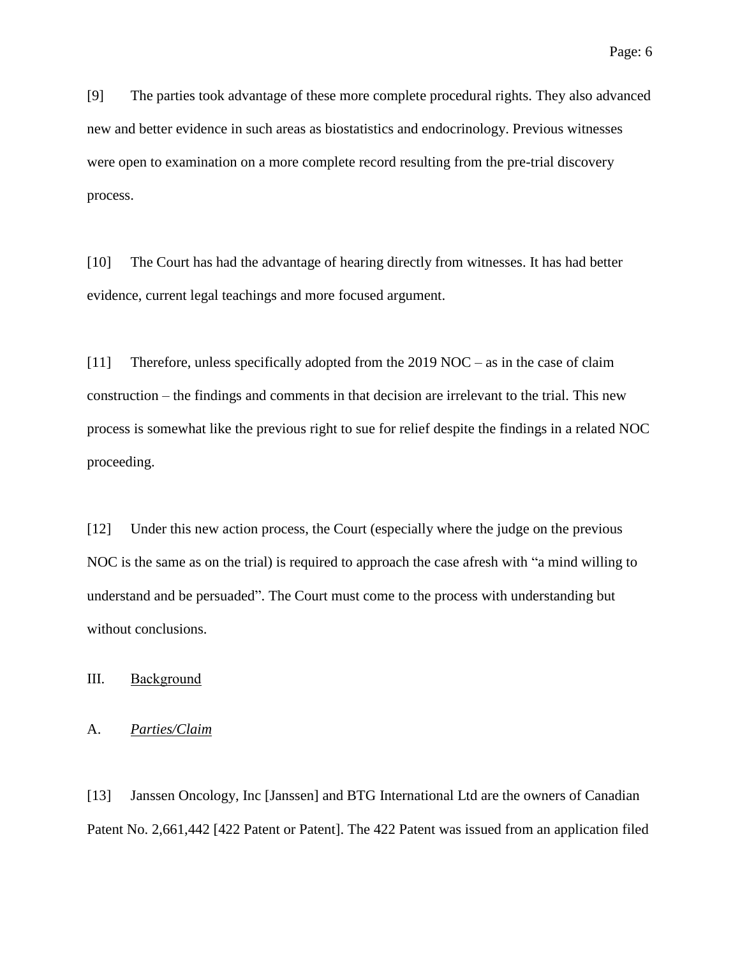[9] The parties took advantage of these more complete procedural rights. They also advanced new and better evidence in such areas as biostatistics and endocrinology. Previous witnesses were open to examination on a more complete record resulting from the pre-trial discovery process.

[10] The Court has had the advantage of hearing directly from witnesses. It has had better evidence, current legal teachings and more focused argument.

[11] Therefore, unless specifically adopted from the 2019 NOC – as in the case of claim construction – the findings and comments in that decision are irrelevant to the trial. This new process is somewhat like the previous right to sue for relief despite the findings in a related NOC proceeding.

[12] Under this new action process, the Court (especially where the judge on the previous NOC is the same as on the trial) is required to approach the case afresh with "a mind willing to understand and be persuaded". The Court must come to the process with understanding but without conclusions.

## <span id="page-5-0"></span>III. Background

## <span id="page-5-1"></span>A. *Parties/Claim*

[13] Janssen Oncology, Inc [Janssen] and BTG International Ltd are the owners of Canadian Patent No. 2,661,442 [422 Patent or Patent]. The 422 Patent was issued from an application filed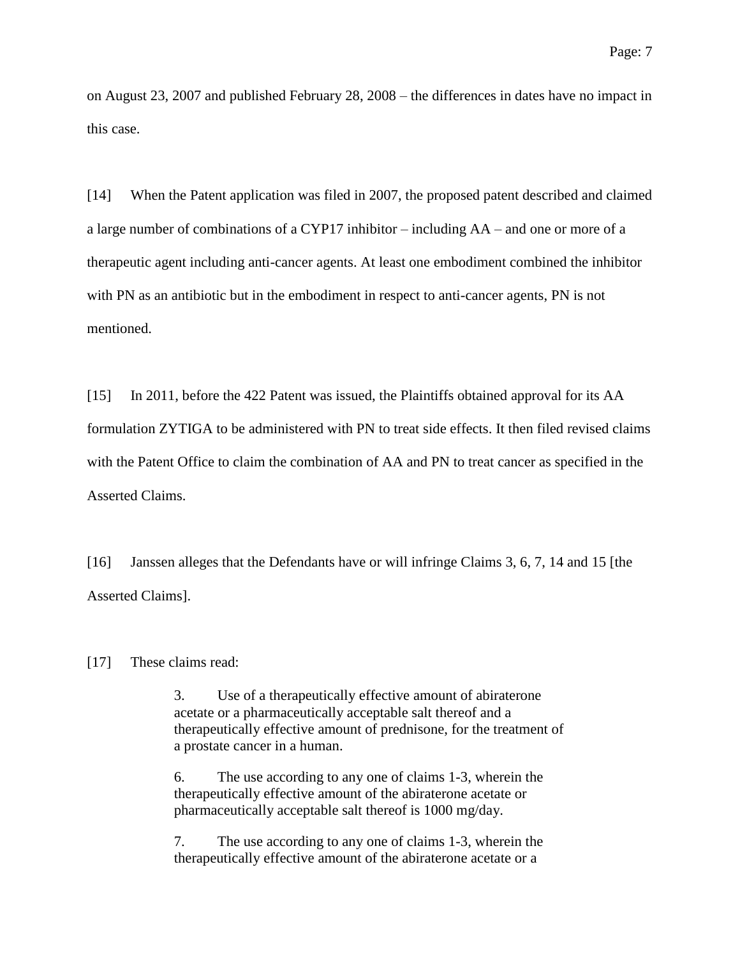on August 23, 2007 and published February 28, 2008 – the differences in dates have no impact in this case.

[14] When the Patent application was filed in 2007, the proposed patent described and claimed a large number of combinations of a CYP17 inhibitor – including AA – and one or more of a therapeutic agent including anti-cancer agents. At least one embodiment combined the inhibitor with PN as an antibiotic but in the embodiment in respect to anti-cancer agents, PN is not mentioned.

[15] In 2011, before the 422 Patent was issued, the Plaintiffs obtained approval for its AA formulation ZYTIGA to be administered with PN to treat side effects. It then filed revised claims with the Patent Office to claim the combination of AA and PN to treat cancer as specified in the Asserted Claims.

[16] Janssen alleges that the Defendants have or will infringe Claims 3, 6, 7, 14 and 15 [the Asserted Claims].

[17] These claims read:

3. Use of a therapeutically effective amount of abiraterone acetate or a pharmaceutically acceptable salt thereof and a therapeutically effective amount of prednisone, for the treatment of a prostate cancer in a human.

6. The use according to any one of claims 1-3, wherein the therapeutically effective amount of the abiraterone acetate or pharmaceutically acceptable salt thereof is 1000 mg/day.

7. The use according to any one of claims 1-3, wherein the therapeutically effective amount of the abiraterone acetate or a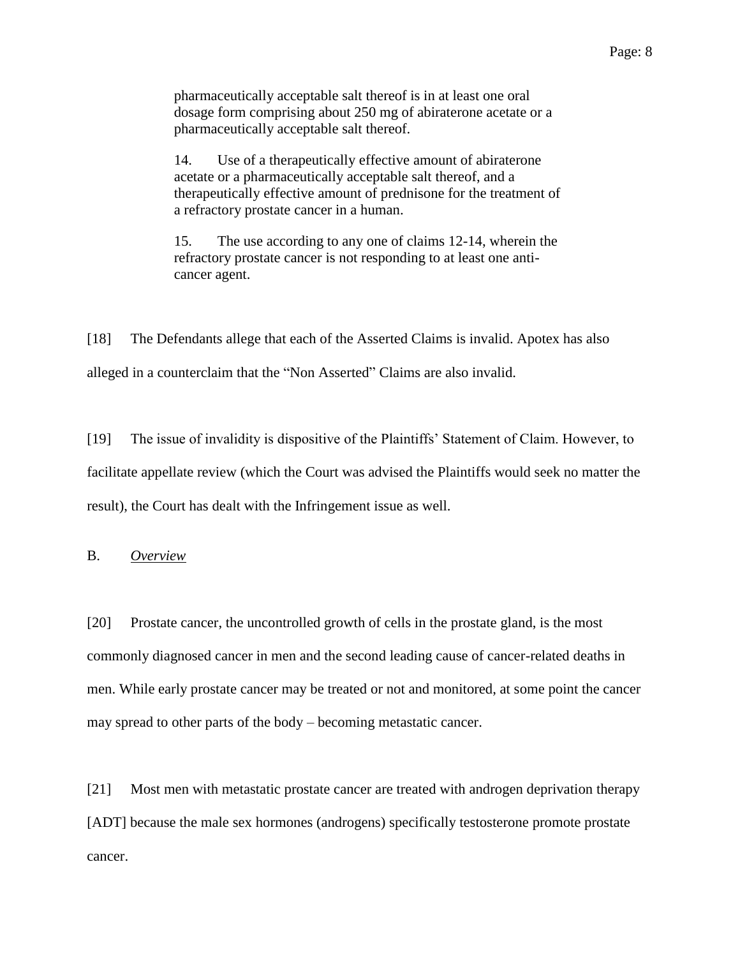pharmaceutically acceptable salt thereof is in at least one oral dosage form comprising about 250 mg of abiraterone acetate or a pharmaceutically acceptable salt thereof.

14. Use of a therapeutically effective amount of abiraterone acetate or a pharmaceutically acceptable salt thereof, and a therapeutically effective amount of prednisone for the treatment of a refractory prostate cancer in a human.

15. The use according to any one of claims 12-14, wherein the refractory prostate cancer is not responding to at least one anticancer agent.

[18] The Defendants allege that each of the Asserted Claims is invalid. Apotex has also alleged in a counterclaim that the "Non Asserted" Claims are also invalid.

[19] The issue of invalidity is dispositive of the Plaintiffs' Statement of Claim. However, to facilitate appellate review (which the Court was advised the Plaintiffs would seek no matter the result), the Court has dealt with the Infringement issue as well.

<span id="page-7-0"></span>B. *Overview*

[20] Prostate cancer, the uncontrolled growth of cells in the prostate gland, is the most commonly diagnosed cancer in men and the second leading cause of cancer-related deaths in men. While early prostate cancer may be treated or not and monitored, at some point the cancer may spread to other parts of the body – becoming metastatic cancer.

[21] Most men with metastatic prostate cancer are treated with androgen deprivation therapy [ADT] because the male sex hormones (androgens) specifically testosterone promote prostate cancer.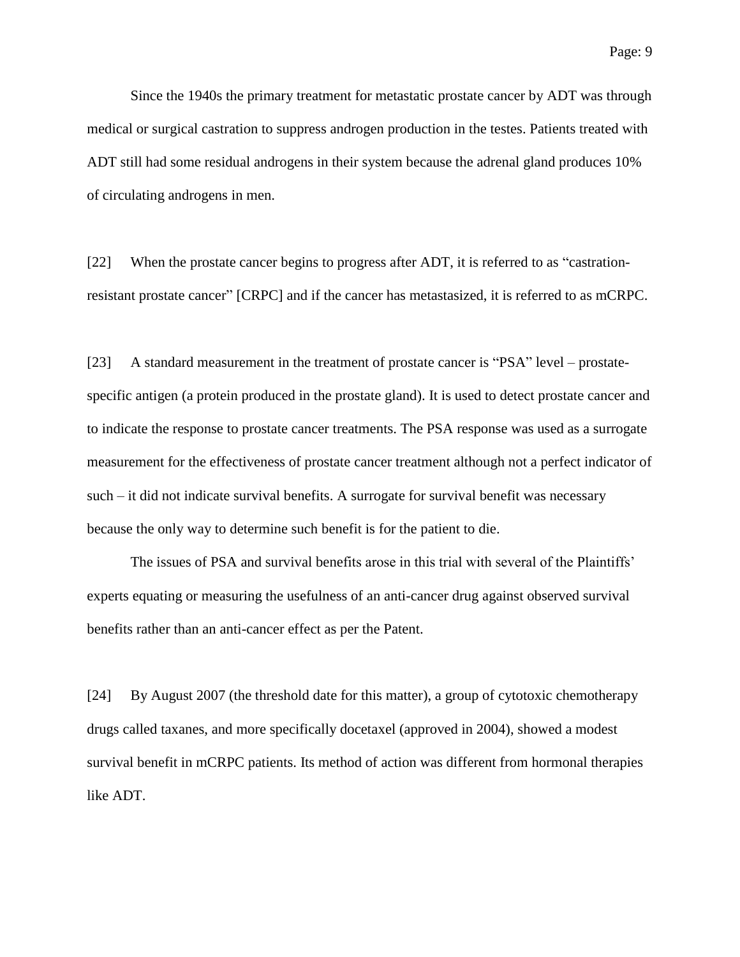Since the 1940s the primary treatment for metastatic prostate cancer by ADT was through medical or surgical castration to suppress androgen production in the testes. Patients treated with ADT still had some residual androgens in their system because the adrenal gland produces 10% of circulating androgens in men.

[22] When the prostate cancer begins to progress after ADT, it is referred to as "castrationresistant prostate cancer" [CRPC] and if the cancer has metastasized, it is referred to as mCRPC.

[23] A standard measurement in the treatment of prostate cancer is "PSA" level – prostatespecific antigen (a protein produced in the prostate gland). It is used to detect prostate cancer and to indicate the response to prostate cancer treatments. The PSA response was used as a surrogate measurement for the effectiveness of prostate cancer treatment although not a perfect indicator of such – it did not indicate survival benefits. A surrogate for survival benefit was necessary because the only way to determine such benefit is for the patient to die.

The issues of PSA and survival benefits arose in this trial with several of the Plaintiffs' experts equating or measuring the usefulness of an anti-cancer drug against observed survival benefits rather than an anti-cancer effect as per the Patent.

[24] By August 2007 (the threshold date for this matter), a group of cytotoxic chemotherapy drugs called taxanes, and more specifically docetaxel (approved in 2004), showed a modest survival benefit in mCRPC patients. Its method of action was different from hormonal therapies like ADT.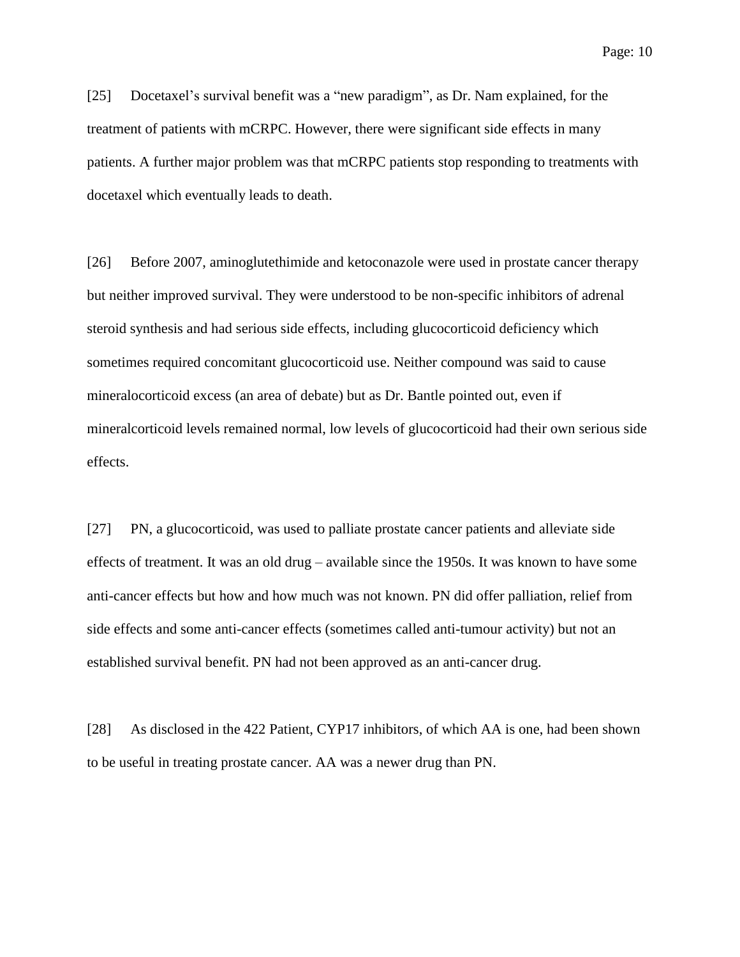[25] Docetaxel's survival benefit was a "new paradigm", as Dr. Nam explained, for the treatment of patients with mCRPC. However, there were significant side effects in many patients. A further major problem was that mCRPC patients stop responding to treatments with docetaxel which eventually leads to death.

[26] Before 2007, aminoglutethimide and ketoconazole were used in prostate cancer therapy but neither improved survival. They were understood to be non-specific inhibitors of adrenal steroid synthesis and had serious side effects, including glucocorticoid deficiency which sometimes required concomitant glucocorticoid use. Neither compound was said to cause mineralocorticoid excess (an area of debate) but as Dr. Bantle pointed out, even if mineralcorticoid levels remained normal, low levels of glucocorticoid had their own serious side effects.

[27] PN, a glucocorticoid, was used to palliate prostate cancer patients and alleviate side effects of treatment. It was an old drug – available since the 1950s. It was known to have some anti-cancer effects but how and how much was not known. PN did offer palliation, relief from side effects and some anti-cancer effects (sometimes called anti-tumour activity) but not an established survival benefit. PN had not been approved as an anti-cancer drug.

[28] As disclosed in the 422 Patient, CYP17 inhibitors, of which AA is one, had been shown to be useful in treating prostate cancer. AA was a newer drug than PN.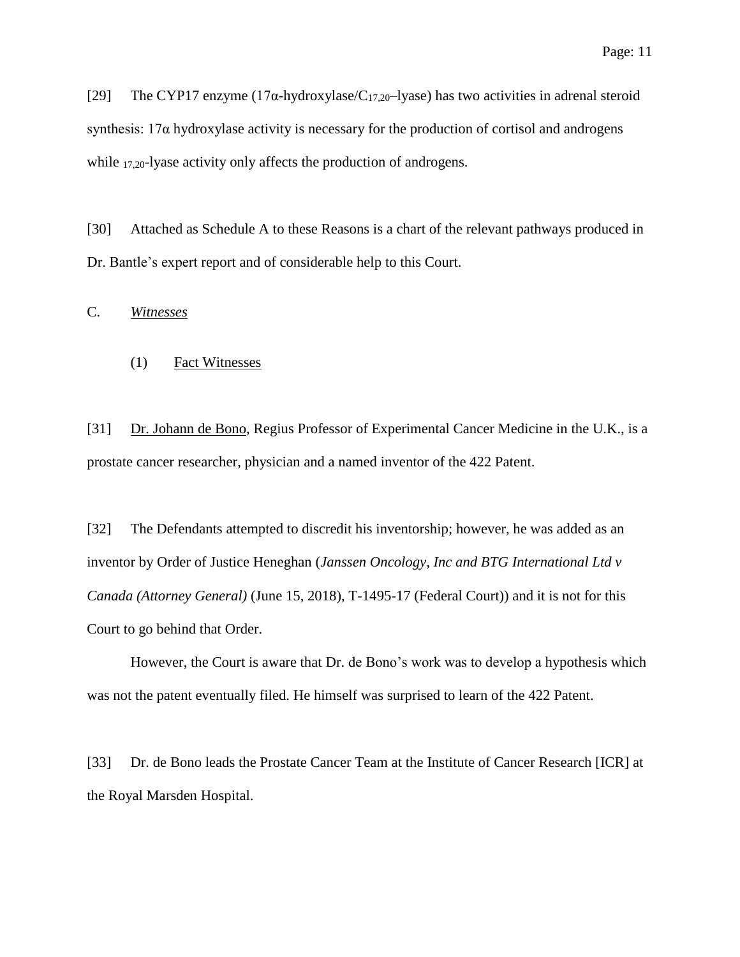[29] The CYP17 enzyme (17 $\alpha$ -hydroxylase/C<sub>17,20</sub>-lyase) has two activities in adrenal steroid synthesis:  $17\alpha$  hydroxylase activity is necessary for the production of cortisol and androgens while 17,20-lyase activity only affects the production of androgens.

[30] Attached as Schedule A to these Reasons is a chart of the relevant pathways produced in Dr. Bantle's expert report and of considerable help to this Court.

<span id="page-10-1"></span><span id="page-10-0"></span>C. *Witnesses*

#### (1) Fact Witnesses

[31] Dr. Johann de Bono, Regius Professor of Experimental Cancer Medicine in the U.K., is a prostate cancer researcher, physician and a named inventor of the 422 Patent.

[32] The Defendants attempted to discredit his inventorship; however, he was added as an inventor by Order of Justice Heneghan (*Janssen Oncology, Inc and BTG International Ltd v Canada (Attorney General)* (June 15, 2018), T-1495-17 (Federal Court)) and it is not for this Court to go behind that Order.

However, the Court is aware that Dr. de Bono's work was to develop a hypothesis which was not the patent eventually filed. He himself was surprised to learn of the 422 Patent.

[33] Dr. de Bono leads the Prostate Cancer Team at the Institute of Cancer Research [ICR] at the Royal Marsden Hospital.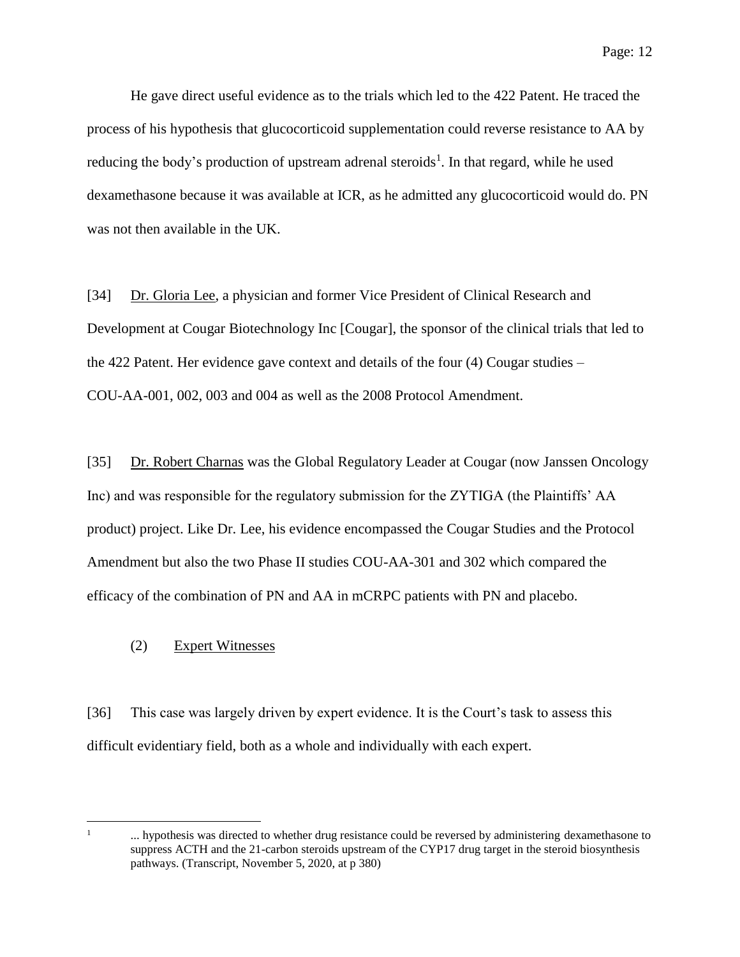He gave direct useful evidence as to the trials which led to the 422 Patent. He traced the process of his hypothesis that glucocorticoid supplementation could reverse resistance to AA by reducing the body's production of upstream adrenal steroids<sup>1</sup>. In that regard, while he used dexamethasone because it was available at ICR, as he admitted any glucocorticoid would do. PN was not then available in the UK.

[34] Dr. Gloria Lee, a physician and former Vice President of Clinical Research and Development at Cougar Biotechnology Inc [Cougar], the sponsor of the clinical trials that led to the 422 Patent. Her evidence gave context and details of the four (4) Cougar studies – COU-AA-001, 002, 003 and 004 as well as the 2008 Protocol Amendment.

[35] Dr. Robert Charnas was the Global Regulatory Leader at Cougar (now Janssen Oncology Inc) and was responsible for the regulatory submission for the ZYTIGA (the Plaintiffs' AA product) project. Like Dr. Lee, his evidence encompassed the Cougar Studies and the Protocol Amendment but also the two Phase II studies COU-AA-301 and 302 which compared the efficacy of the combination of PN and AA in mCRPC patients with PN and placebo.

## <span id="page-11-0"></span>(2) Expert Witnesses

[36] This case was largely driven by expert evidence. It is the Court's task to assess this difficult evidentiary field, both as a whole and individually with each expert.

 $\overline{a}$ 1

<sup>...</sup> hypothesis was directed to whether drug resistance could be reversed by administering dexamethasone to suppress ACTH and the 21-carbon steroids upstream of the CYP17 drug target in the steroid biosynthesis pathways. (Transcript, November 5, 2020, at p 380)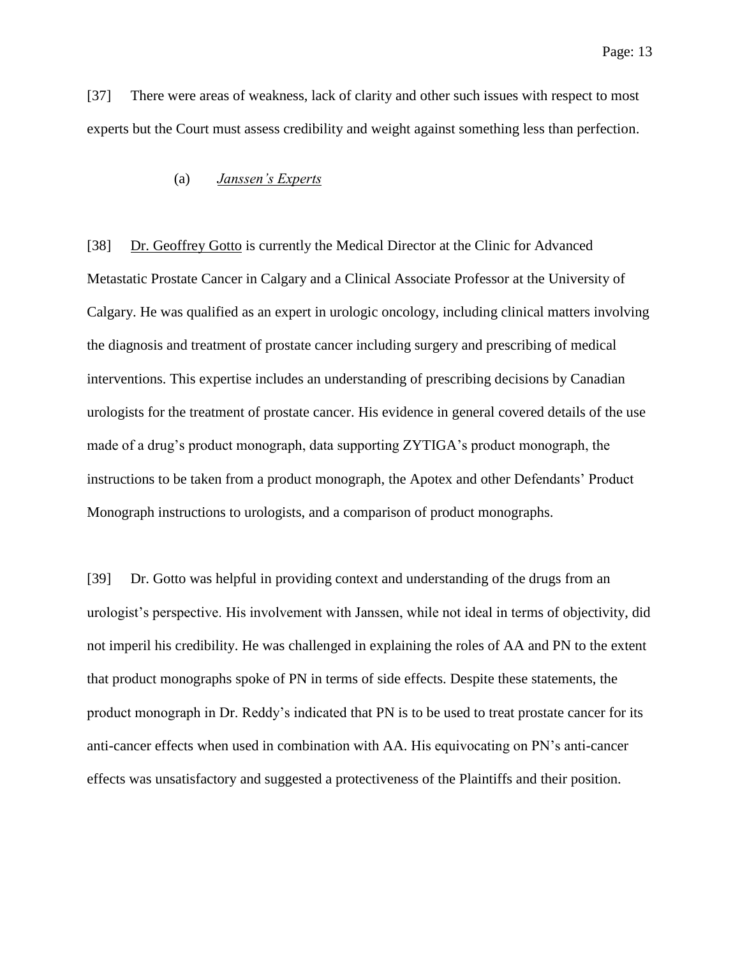<span id="page-12-0"></span>[37] There were areas of weakness, lack of clarity and other such issues with respect to most experts but the Court must assess credibility and weight against something less than perfection.

## (a) *Janssen's Experts*

[38] Dr. Geoffrey Gotto is currently the Medical Director at the Clinic for Advanced Metastatic Prostate Cancer in Calgary and a Clinical Associate Professor at the University of Calgary. He was qualified as an expert in urologic oncology, including clinical matters involving the diagnosis and treatment of prostate cancer including surgery and prescribing of medical interventions. This expertise includes an understanding of prescribing decisions by Canadian urologists for the treatment of prostate cancer. His evidence in general covered details of the use made of a drug's product monograph, data supporting ZYTIGA's product monograph, the instructions to be taken from a product monograph, the Apotex and other Defendants' Product Monograph instructions to urologists, and a comparison of product monographs.

[39] Dr. Gotto was helpful in providing context and understanding of the drugs from an urologist's perspective. His involvement with Janssen, while not ideal in terms of objectivity, did not imperil his credibility. He was challenged in explaining the roles of AA and PN to the extent that product monographs spoke of PN in terms of side effects. Despite these statements, the product monograph in Dr. Reddy's indicated that PN is to be used to treat prostate cancer for its anti-cancer effects when used in combination with AA. His equivocating on PN's anti-cancer effects was unsatisfactory and suggested a protectiveness of the Plaintiffs and their position.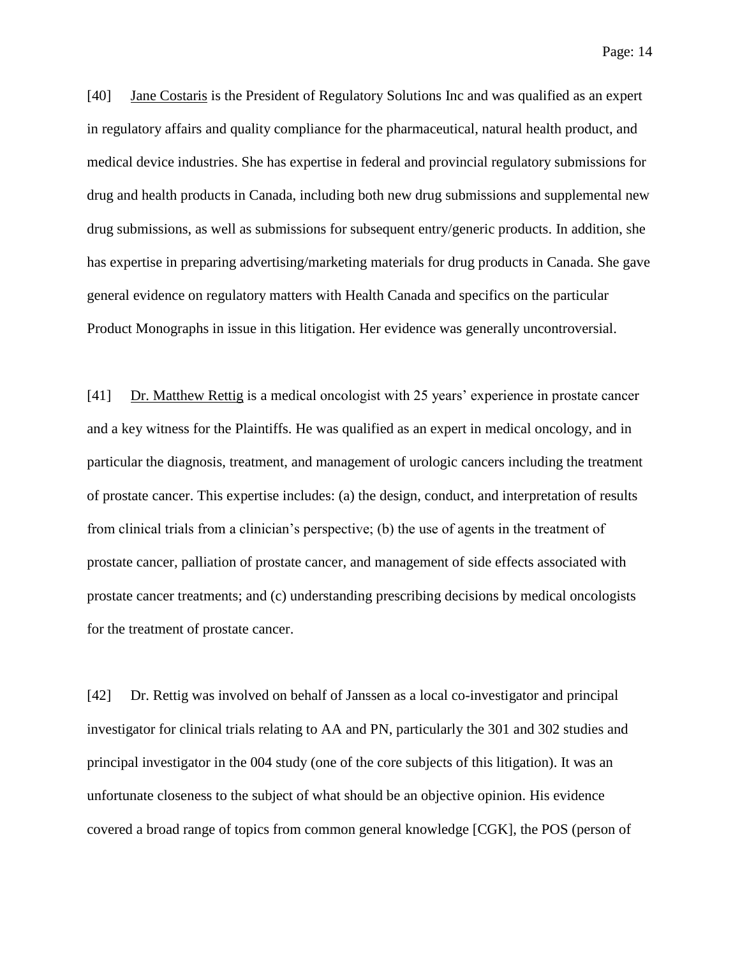Page: 14

[40] Jane Costaris is the President of Regulatory Solutions Inc and was qualified as an expert in regulatory affairs and quality compliance for the pharmaceutical, natural health product, and medical device industries. She has expertise in federal and provincial regulatory submissions for drug and health products in Canada, including both new drug submissions and supplemental new drug submissions, as well as submissions for subsequent entry/generic products. In addition, she has expertise in preparing advertising/marketing materials for drug products in Canada. She gave general evidence on regulatory matters with Health Canada and specifics on the particular Product Monographs in issue in this litigation. Her evidence was generally uncontroversial.

[41] Dr. Matthew Rettig is a medical oncologist with 25 years' experience in prostate cancer and a key witness for the Plaintiffs. He was qualified as an expert in medical oncology, and in particular the diagnosis, treatment, and management of urologic cancers including the treatment of prostate cancer. This expertise includes: (a) the design, conduct, and interpretation of results from clinical trials from a clinician's perspective; (b) the use of agents in the treatment of prostate cancer, palliation of prostate cancer, and management of side effects associated with prostate cancer treatments; and (c) understanding prescribing decisions by medical oncologists for the treatment of prostate cancer.

[42] Dr. Rettig was involved on behalf of Janssen as a local co-investigator and principal investigator for clinical trials relating to AA and PN, particularly the 301 and 302 studies and principal investigator in the 004 study (one of the core subjects of this litigation). It was an unfortunate closeness to the subject of what should be an objective opinion. His evidence covered a broad range of topics from common general knowledge [CGK], the POS (person of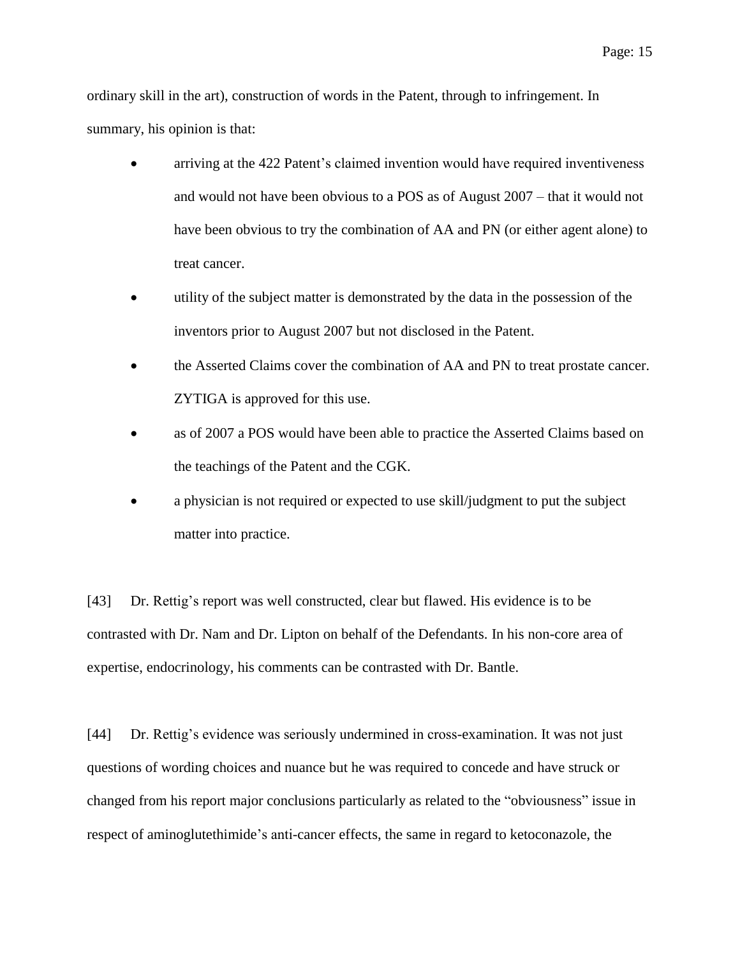ordinary skill in the art), construction of words in the Patent, through to infringement. In summary, his opinion is that:

- arriving at the 422 Patent's claimed invention would have required inventiveness and would not have been obvious to a POS as of August 2007 – that it would not have been obvious to try the combination of AA and PN (or either agent alone) to treat cancer.
- utility of the subject matter is demonstrated by the data in the possession of the inventors prior to August 2007 but not disclosed in the Patent.
- the Asserted Claims cover the combination of AA and PN to treat prostate cancer. ZYTIGA is approved for this use.
- as of 2007 a POS would have been able to practice the Asserted Claims based on the teachings of the Patent and the CGK.
- a physician is not required or expected to use skill/judgment to put the subject matter into practice.

[43] Dr. Rettig's report was well constructed, clear but flawed. His evidence is to be contrasted with Dr. Nam and Dr. Lipton on behalf of the Defendants. In his non-core area of expertise, endocrinology, his comments can be contrasted with Dr. Bantle.

[44] Dr. Rettig's evidence was seriously undermined in cross-examination. It was not just questions of wording choices and nuance but he was required to concede and have struck or changed from his report major conclusions particularly as related to the "obviousness" issue in respect of aminoglutethimide's anti-cancer effects, the same in regard to ketoconazole, the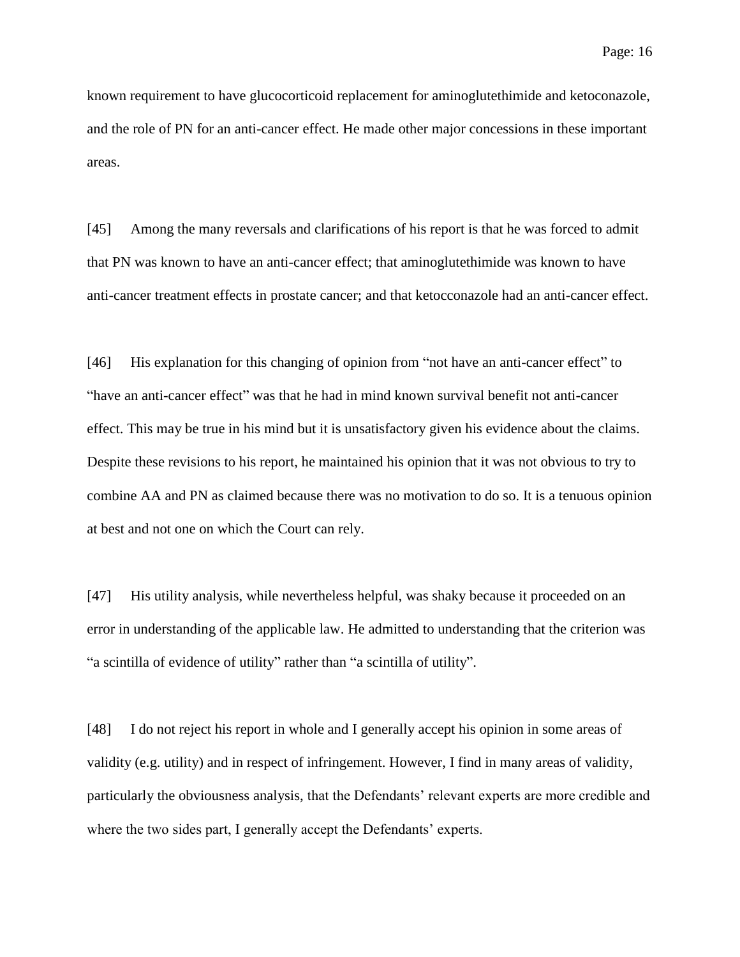known requirement to have glucocorticoid replacement for aminoglutethimide and ketoconazole, and the role of PN for an anti-cancer effect. He made other major concessions in these important areas.

[45] Among the many reversals and clarifications of his report is that he was forced to admit that PN was known to have an anti-cancer effect; that aminoglutethimide was known to have anti-cancer treatment effects in prostate cancer; and that ketocconazole had an anti-cancer effect.

[46] His explanation for this changing of opinion from "not have an anti-cancer effect" to "have an anti-cancer effect" was that he had in mind known survival benefit not anti-cancer effect. This may be true in his mind but it is unsatisfactory given his evidence about the claims. Despite these revisions to his report, he maintained his opinion that it was not obvious to try to combine AA and PN as claimed because there was no motivation to do so. It is a tenuous opinion at best and not one on which the Court can rely.

[47] His utility analysis, while nevertheless helpful, was shaky because it proceeded on an error in understanding of the applicable law. He admitted to understanding that the criterion was "a scintilla of evidence of utility" rather than "a scintilla of utility".

[48] I do not reject his report in whole and I generally accept his opinion in some areas of validity (e.g. utility) and in respect of infringement. However, I find in many areas of validity, particularly the obviousness analysis, that the Defendants' relevant experts are more credible and where the two sides part, I generally accept the Defendants' experts.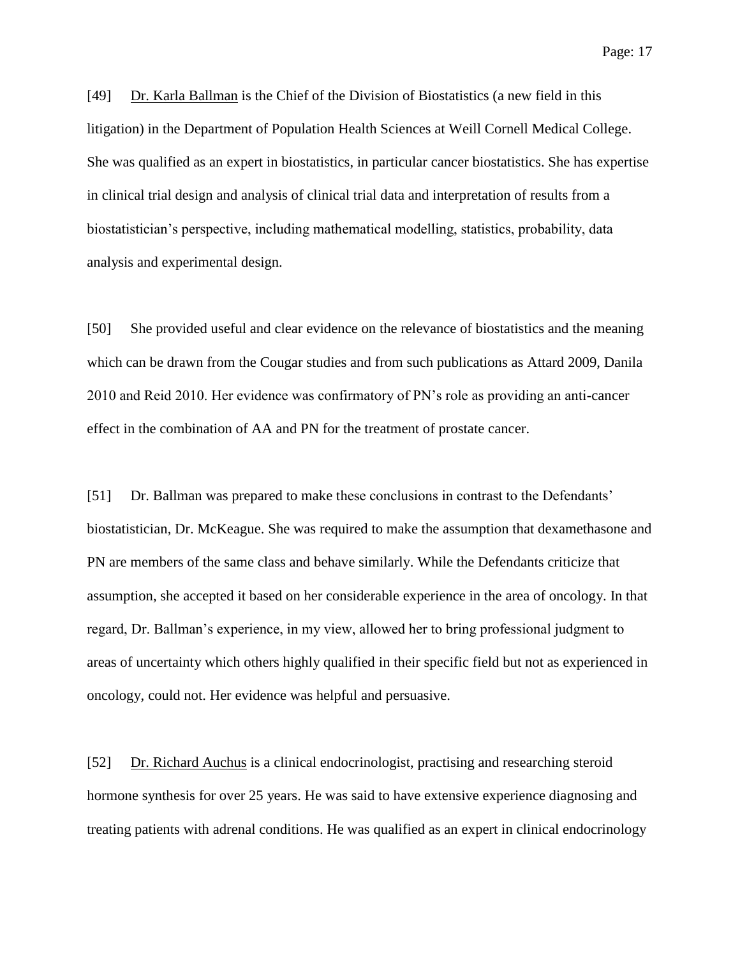Page: 17

[49] Dr. Karla Ballman is the Chief of the Division of Biostatistics (a new field in this litigation) in the Department of Population Health Sciences at Weill Cornell Medical College. She was qualified as an expert in biostatistics, in particular cancer biostatistics. She has expertise in clinical trial design and analysis of clinical trial data and interpretation of results from a biostatistician's perspective, including mathematical modelling, statistics, probability, data analysis and experimental design.

[50] She provided useful and clear evidence on the relevance of biostatistics and the meaning which can be drawn from the Cougar studies and from such publications as Attard 2009, Danila 2010 and Reid 2010. Her evidence was confirmatory of PN's role as providing an anti-cancer effect in the combination of AA and PN for the treatment of prostate cancer.

[51] Dr. Ballman was prepared to make these conclusions in contrast to the Defendants' biostatistician, Dr. McKeague. She was required to make the assumption that dexamethasone and PN are members of the same class and behave similarly. While the Defendants criticize that assumption, she accepted it based on her considerable experience in the area of oncology. In that regard, Dr. Ballman's experience, in my view, allowed her to bring professional judgment to areas of uncertainty which others highly qualified in their specific field but not as experienced in oncology, could not. Her evidence was helpful and persuasive.

[52] Dr. Richard Auchus is a clinical endocrinologist, practising and researching steroid hormone synthesis for over 25 years. He was said to have extensive experience diagnosing and treating patients with adrenal conditions. He was qualified as an expert in clinical endocrinology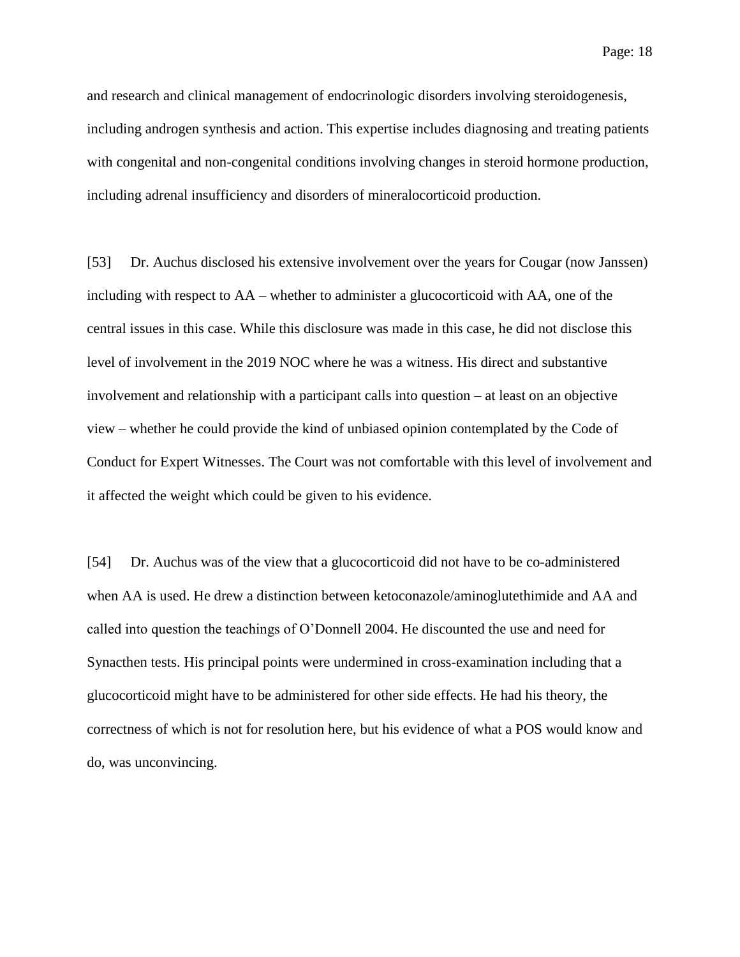Page: 18

and research and clinical management of endocrinologic disorders involving steroidogenesis, including androgen synthesis and action. This expertise includes diagnosing and treating patients with congenital and non-congenital conditions involving changes in steroid hormone production, including adrenal insufficiency and disorders of mineralocorticoid production.

[53] Dr. Auchus disclosed his extensive involvement over the years for Cougar (now Janssen) including with respect to AA – whether to administer a glucocorticoid with AA, one of the central issues in this case. While this disclosure was made in this case, he did not disclose this level of involvement in the 2019 NOC where he was a witness. His direct and substantive involvement and relationship with a participant calls into question – at least on an objective view – whether he could provide the kind of unbiased opinion contemplated by the Code of Conduct for Expert Witnesses. The Court was not comfortable with this level of involvement and it affected the weight which could be given to his evidence.

[54] Dr. Auchus was of the view that a glucocorticoid did not have to be co-administered when AA is used. He drew a distinction between ketoconazole/aminoglutethimide and AA and called into question the teachings of O'Donnell 2004. He discounted the use and need for Synacthen tests. His principal points were undermined in cross-examination including that a glucocorticoid might have to be administered for other side effects. He had his theory, the correctness of which is not for resolution here, but his evidence of what a POS would know and do, was unconvincing.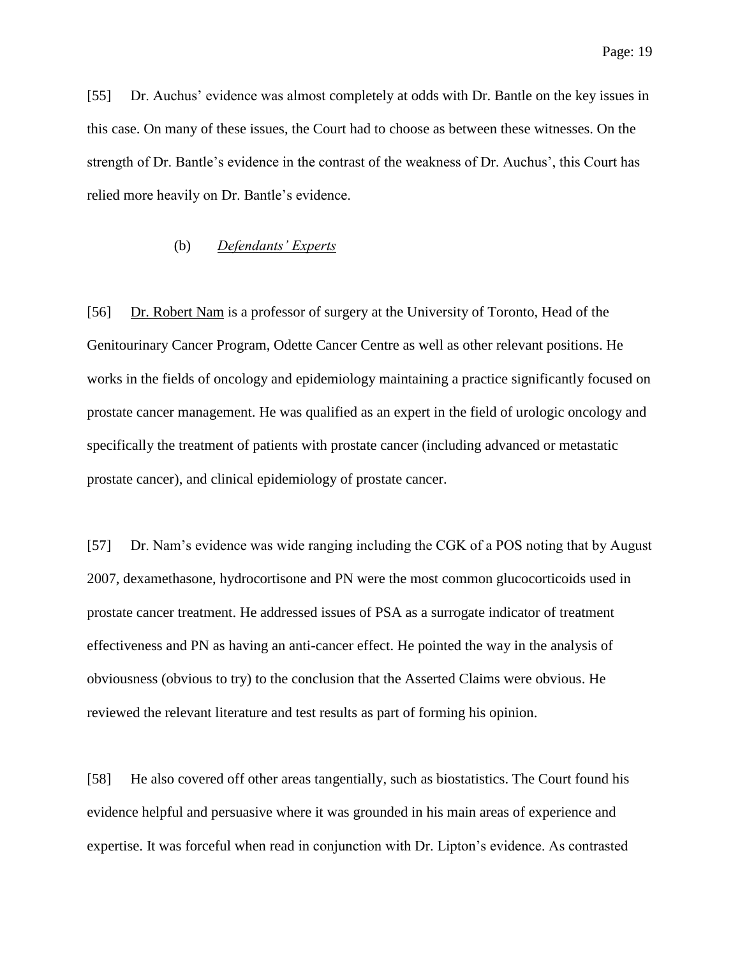[55] Dr. Auchus' evidence was almost completely at odds with Dr. Bantle on the key issues in this case. On many of these issues, the Court had to choose as between these witnesses. On the strength of Dr. Bantle's evidence in the contrast of the weakness of Dr. Auchus', this Court has relied more heavily on Dr. Bantle's evidence.

#### (b) *Defendants' Experts*

<span id="page-18-0"></span>[56] Dr. Robert Nam is a professor of surgery at the University of Toronto, Head of the Genitourinary Cancer Program, Odette Cancer Centre as well as other relevant positions. He works in the fields of oncology and epidemiology maintaining a practice significantly focused on prostate cancer management. He was qualified as an expert in the field of urologic oncology and specifically the treatment of patients with prostate cancer (including advanced or metastatic prostate cancer), and clinical epidemiology of prostate cancer.

[57] Dr. Nam's evidence was wide ranging including the CGK of a POS noting that by August 2007, dexamethasone, hydrocortisone and PN were the most common glucocorticoids used in prostate cancer treatment. He addressed issues of PSA as a surrogate indicator of treatment effectiveness and PN as having an anti-cancer effect. He pointed the way in the analysis of obviousness (obvious to try) to the conclusion that the Asserted Claims were obvious. He reviewed the relevant literature and test results as part of forming his opinion.

[58] He also covered off other areas tangentially, such as biostatistics. The Court found his evidence helpful and persuasive where it was grounded in his main areas of experience and expertise. It was forceful when read in conjunction with Dr. Lipton's evidence. As contrasted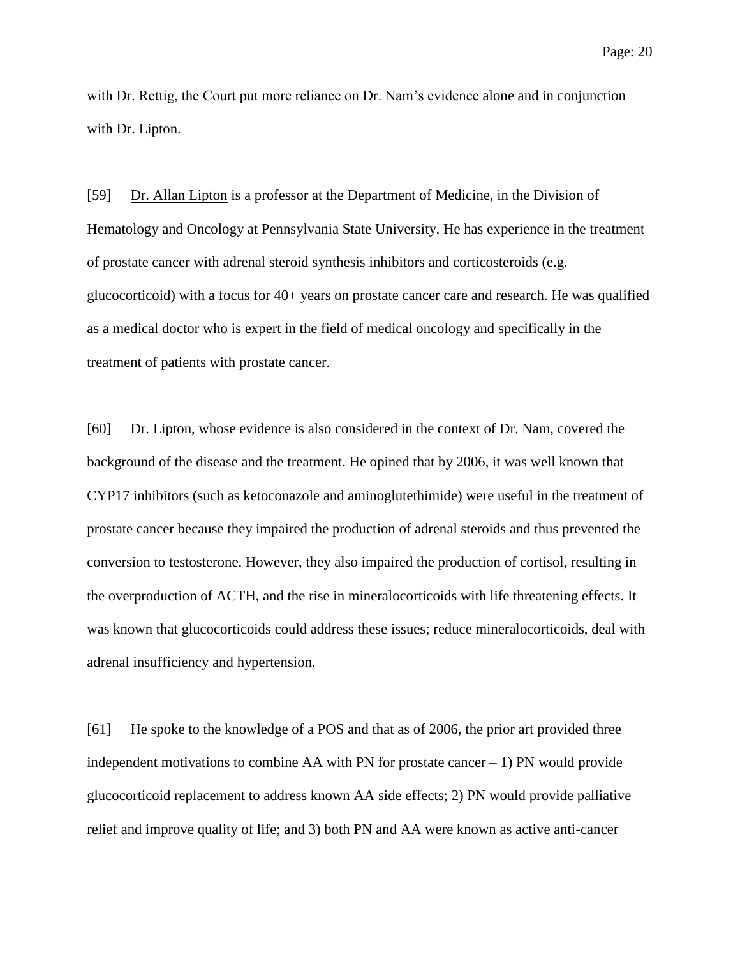with Dr. Rettig, the Court put more reliance on Dr. Nam's evidence alone and in conjunction with Dr. Lipton.

[59] Dr. Allan Lipton is a professor at the Department of Medicine, in the Division of Hematology and Oncology at Pennsylvania State University. He has experience in the treatment of prostate cancer with adrenal steroid synthesis inhibitors and corticosteroids (e.g. glucocorticoid) with a focus for 40+ years on prostate cancer care and research. He was qualified as a medical doctor who is expert in the field of medical oncology and specifically in the treatment of patients with prostate cancer.

[60] Dr. Lipton, whose evidence is also considered in the context of Dr. Nam, covered the background of the disease and the treatment. He opined that by 2006, it was well known that CYP17 inhibitors (such as ketoconazole and aminoglutethimide) were useful in the treatment of prostate cancer because they impaired the production of adrenal steroids and thus prevented the conversion to testosterone. However, they also impaired the production of cortisol, resulting in the overproduction of ACTH, and the rise in mineralocorticoids with life threatening effects. It was known that glucocorticoids could address these issues; reduce mineralocorticoids, deal with adrenal insufficiency and hypertension.

[61] He spoke to the knowledge of a POS and that as of 2006, the prior art provided three independent motivations to combine AA with PN for prostate cancer  $-1$ ) PN would provide glucocorticoid replacement to address known AA side effects; 2) PN would provide palliative relief and improve quality of life; and 3) both PN and AA were known as active anti-cancer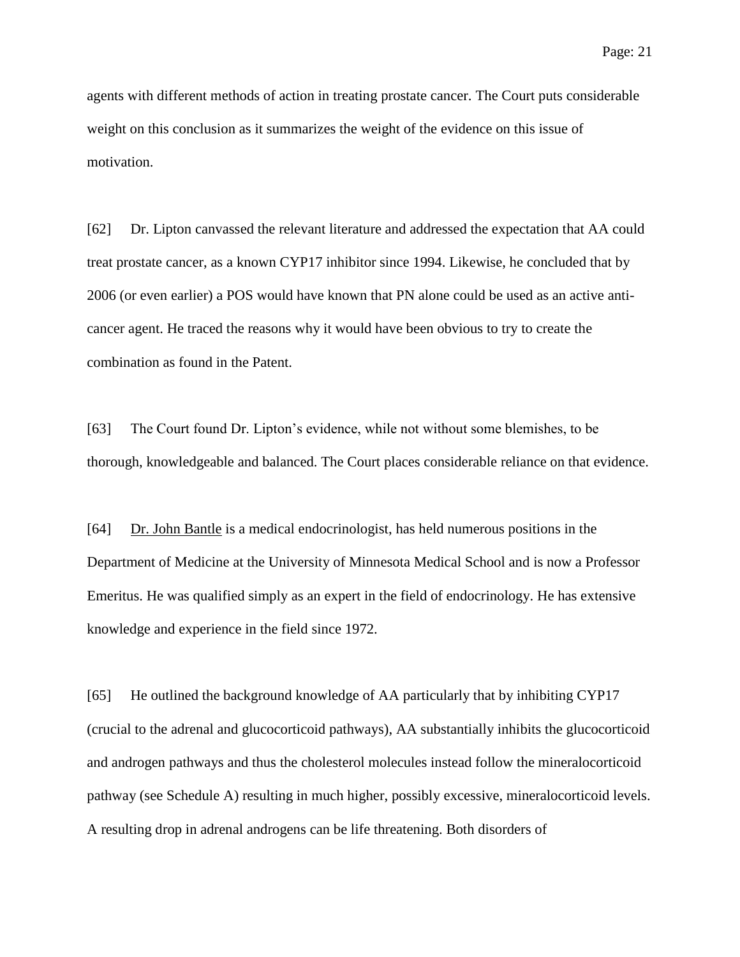agents with different methods of action in treating prostate cancer. The Court puts considerable weight on this conclusion as it summarizes the weight of the evidence on this issue of motivation.

[62] Dr. Lipton canvassed the relevant literature and addressed the expectation that AA could treat prostate cancer, as a known CYP17 inhibitor since 1994. Likewise, he concluded that by 2006 (or even earlier) a POS would have known that PN alone could be used as an active anticancer agent. He traced the reasons why it would have been obvious to try to create the combination as found in the Patent.

[63] The Court found Dr. Lipton's evidence, while not without some blemishes, to be thorough, knowledgeable and balanced. The Court places considerable reliance on that evidence.

[64] Dr. John Bantle is a medical endocrinologist, has held numerous positions in the Department of Medicine at the University of Minnesota Medical School and is now a Professor Emeritus. He was qualified simply as an expert in the field of endocrinology. He has extensive knowledge and experience in the field since 1972.

[65] He outlined the background knowledge of AA particularly that by inhibiting CYP17 (crucial to the adrenal and glucocorticoid pathways), AA substantially inhibits the glucocorticoid and androgen pathways and thus the cholesterol molecules instead follow the mineralocorticoid pathway (see Schedule A) resulting in much higher, possibly excessive, mineralocorticoid levels. A resulting drop in adrenal androgens can be life threatening. Both disorders of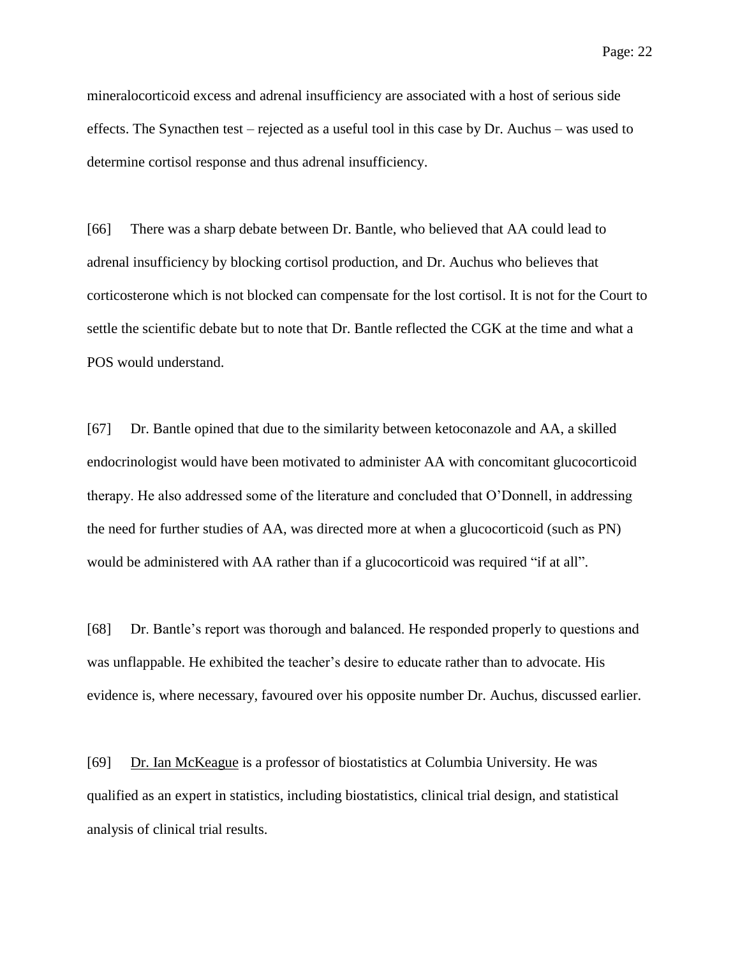mineralocorticoid excess and adrenal insufficiency are associated with a host of serious side effects. The Synacthen test – rejected as a useful tool in this case by Dr. Auchus – was used to determine cortisol response and thus adrenal insufficiency.

[66] There was a sharp debate between Dr. Bantle, who believed that AA could lead to adrenal insufficiency by blocking cortisol production, and Dr. Auchus who believes that corticosterone which is not blocked can compensate for the lost cortisol. It is not for the Court to settle the scientific debate but to note that Dr. Bantle reflected the CGK at the time and what a POS would understand.

[67] Dr. Bantle opined that due to the similarity between ketoconazole and AA, a skilled endocrinologist would have been motivated to administer AA with concomitant glucocorticoid therapy. He also addressed some of the literature and concluded that O'Donnell, in addressing the need for further studies of AA, was directed more at when a glucocorticoid (such as PN) would be administered with AA rather than if a glucocorticoid was required "if at all".

[68] Dr. Bantle's report was thorough and balanced. He responded properly to questions and was unflappable. He exhibited the teacher's desire to educate rather than to advocate. His evidence is, where necessary, favoured over his opposite number Dr. Auchus, discussed earlier.

[69] Dr. Ian McKeague is a professor of biostatistics at Columbia University. He was qualified as an expert in statistics, including biostatistics, clinical trial design, and statistical analysis of clinical trial results.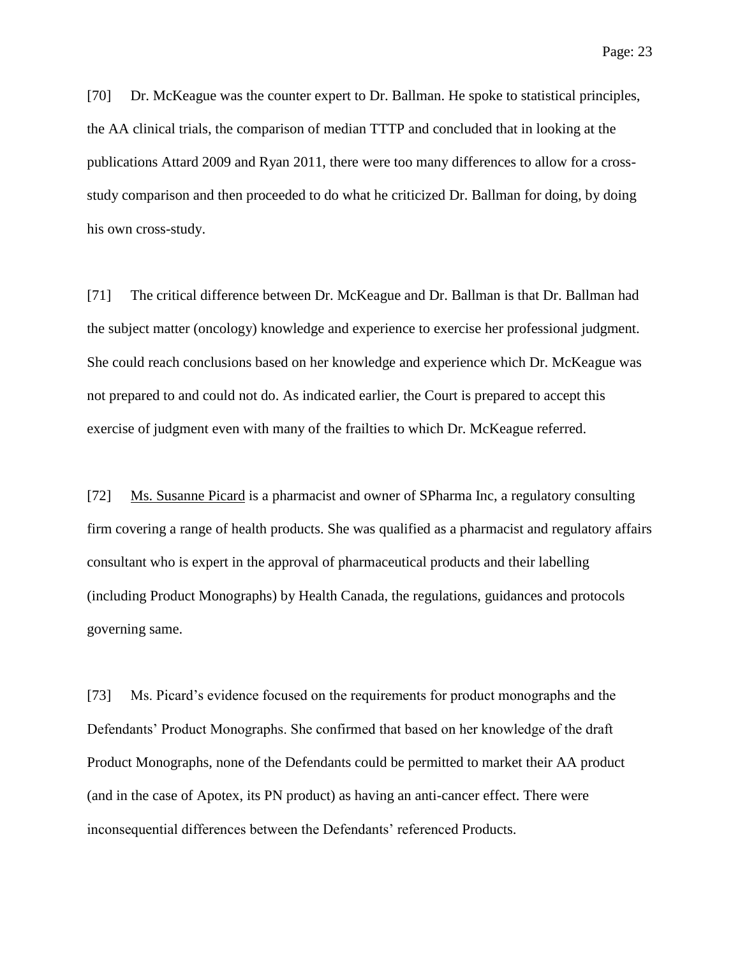[70] Dr. McKeague was the counter expert to Dr. Ballman. He spoke to statistical principles, the AA clinical trials, the comparison of median TTTP and concluded that in looking at the publications Attard 2009 and Ryan 2011, there were too many differences to allow for a crossstudy comparison and then proceeded to do what he criticized Dr. Ballman for doing, by doing his own cross-study.

[71] The critical difference between Dr. McKeague and Dr. Ballman is that Dr. Ballman had the subject matter (oncology) knowledge and experience to exercise her professional judgment. She could reach conclusions based on her knowledge and experience which Dr. McKeague was not prepared to and could not do. As indicated earlier, the Court is prepared to accept this exercise of judgment even with many of the frailties to which Dr. McKeague referred.

[72] Ms. Susanne Picard is a pharmacist and owner of SPharma Inc, a regulatory consulting firm covering a range of health products. She was qualified as a pharmacist and regulatory affairs consultant who is expert in the approval of pharmaceutical products and their labelling (including Product Monographs) by Health Canada, the regulations, guidances and protocols governing same.

[73] Ms. Picard's evidence focused on the requirements for product monographs and the Defendants' Product Monographs. She confirmed that based on her knowledge of the draft Product Monographs, none of the Defendants could be permitted to market their AA product (and in the case of Apotex, its PN product) as having an anti-cancer effect. There were inconsequential differences between the Defendants' referenced Products.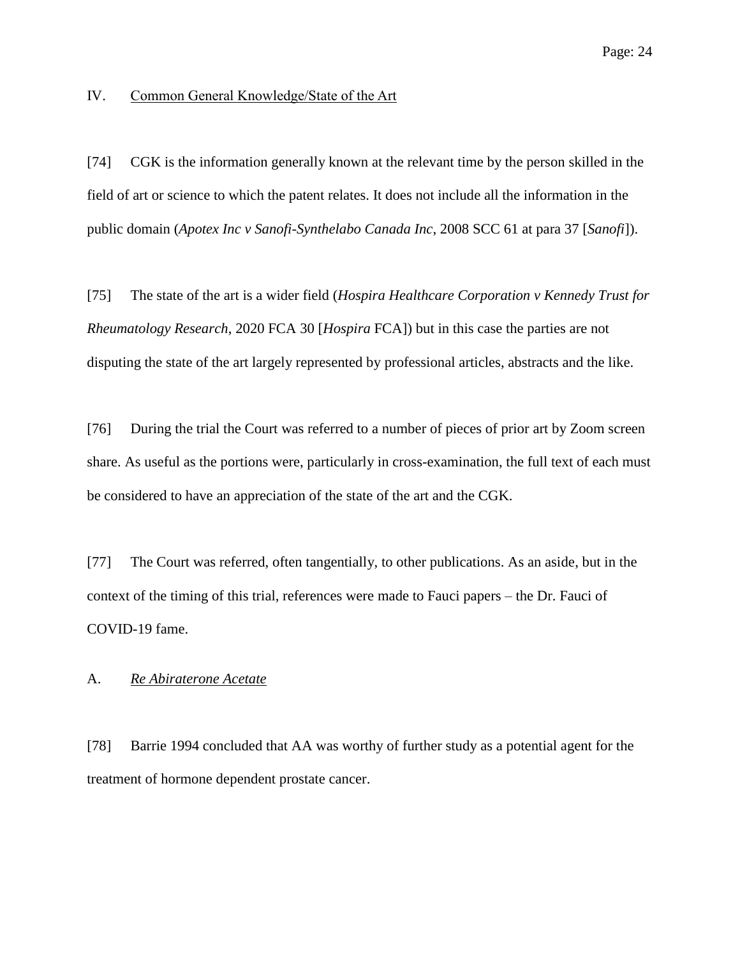## <span id="page-23-0"></span>IV. Common General Knowledge/State of the Art

[74] CGK is the information generally known at the relevant time by the person skilled in the field of art or science to which the patent relates. It does not include all the information in the public domain (*Apotex Inc v Sanofi-Synthelabo Canada Inc*, 2008 SCC 61 at para 37 [*Sanofi*]).

[75] The state of the art is a wider field (*Hospira Healthcare Corporation v Kennedy Trust for Rheumatology Research*, 2020 FCA 30 [*Hospira* FCA]) but in this case the parties are not disputing the state of the art largely represented by professional articles, abstracts and the like.

[76] During the trial the Court was referred to a number of pieces of prior art by Zoom screen share. As useful as the portions were, particularly in cross-examination, the full text of each must be considered to have an appreciation of the state of the art and the CGK.

[77] The Court was referred, often tangentially, to other publications. As an aside, but in the context of the timing of this trial, references were made to Fauci papers – the Dr. Fauci of COVID-19 fame.

#### <span id="page-23-1"></span>A. *Re Abiraterone Acetate*

[78] Barrie 1994 concluded that AA was worthy of further study as a potential agent for the treatment of hormone dependent prostate cancer.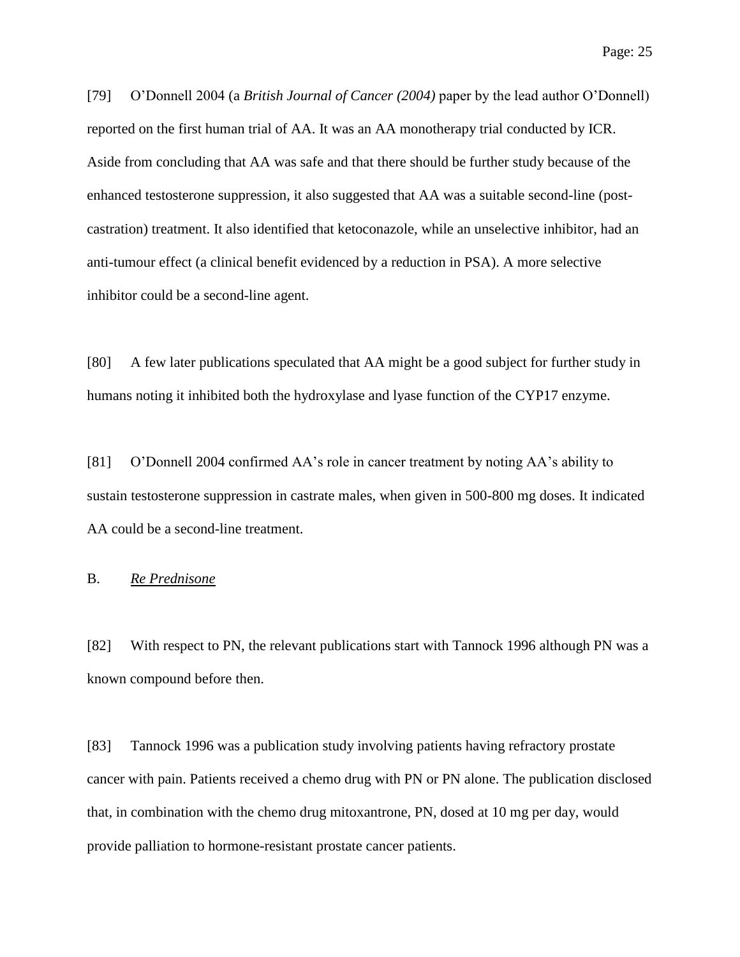[79] O'Donnell 2004 (a *British Journal of Cancer (2004)* paper by the lead author O'Donnell) reported on the first human trial of AA. It was an AA monotherapy trial conducted by ICR. Aside from concluding that AA was safe and that there should be further study because of the enhanced testosterone suppression, it also suggested that AA was a suitable second-line (postcastration) treatment. It also identified that ketoconazole, while an unselective inhibitor, had an anti-tumour effect (a clinical benefit evidenced by a reduction in PSA). A more selective inhibitor could be a second-line agent.

[80] A few later publications speculated that AA might be a good subject for further study in humans noting it inhibited both the hydroxylase and lyase function of the CYP17 enzyme.

[81] O'Donnell 2004 confirmed AA's role in cancer treatment by noting AA's ability to sustain testosterone suppression in castrate males, when given in 500-800 mg doses. It indicated AA could be a second-line treatment.

## <span id="page-24-0"></span>B. *Re Prednisone*

[82] With respect to PN, the relevant publications start with Tannock 1996 although PN was a known compound before then.

[83] Tannock 1996 was a publication study involving patients having refractory prostate cancer with pain. Patients received a chemo drug with PN or PN alone. The publication disclosed that, in combination with the chemo drug mitoxantrone, PN, dosed at 10 mg per day, would provide palliation to hormone-resistant prostate cancer patients.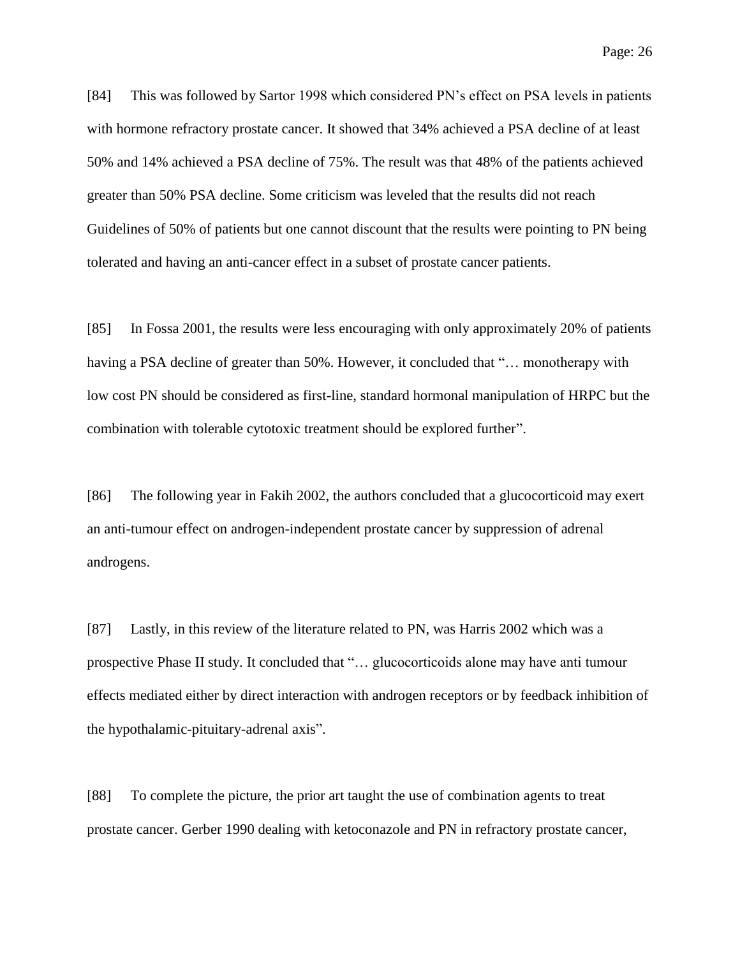[84] This was followed by Sartor 1998 which considered PN's effect on PSA levels in patients with hormone refractory prostate cancer. It showed that 34% achieved a PSA decline of at least 50% and 14% achieved a PSA decline of 75%. The result was that 48% of the patients achieved greater than 50% PSA decline. Some criticism was leveled that the results did not reach Guidelines of 50% of patients but one cannot discount that the results were pointing to PN being tolerated and having an anti-cancer effect in a subset of prostate cancer patients.

[85] In Fossa 2001, the results were less encouraging with only approximately 20% of patients having a PSA decline of greater than 50%. However, it concluded that "... monotherapy with low cost PN should be considered as first-line, standard hormonal manipulation of HRPC but the combination with tolerable cytotoxic treatment should be explored further".

[86] The following year in Fakih 2002, the authors concluded that a glucocorticoid may exert an anti-tumour effect on androgen-independent prostate cancer by suppression of adrenal androgens.

[87] Lastly, in this review of the literature related to PN, was Harris 2002 which was a prospective Phase II study. It concluded that "… glucocorticoids alone may have anti tumour effects mediated either by direct interaction with androgen receptors or by feedback inhibition of the hypothalamic-pituitary-adrenal axis".

[88] To complete the picture, the prior art taught the use of combination agents to treat prostate cancer. Gerber 1990 dealing with ketoconazole and PN in refractory prostate cancer,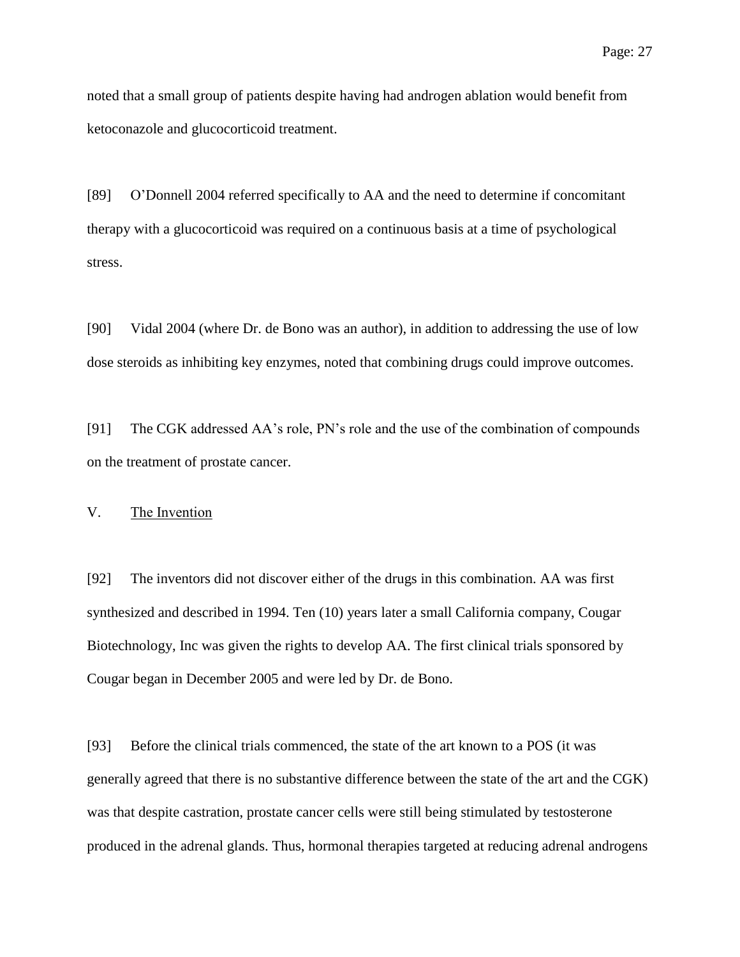noted that a small group of patients despite having had androgen ablation would benefit from ketoconazole and glucocorticoid treatment.

[89] O'Donnell 2004 referred specifically to AA and the need to determine if concomitant therapy with a glucocorticoid was required on a continuous basis at a time of psychological stress.

[90] Vidal 2004 (where Dr. de Bono was an author), in addition to addressing the use of low dose steroids as inhibiting key enzymes, noted that combining drugs could improve outcomes.

[91] The CGK addressed AA's role, PN's role and the use of the combination of compounds on the treatment of prostate cancer.

<span id="page-26-0"></span>V. The Invention

[92] The inventors did not discover either of the drugs in this combination. AA was first synthesized and described in 1994. Ten (10) years later a small California company, Cougar Biotechnology, Inc was given the rights to develop AA. The first clinical trials sponsored by Cougar began in December 2005 and were led by Dr. de Bono.

[93] Before the clinical trials commenced, the state of the art known to a POS (it was generally agreed that there is no substantive difference between the state of the art and the CGK) was that despite castration, prostate cancer cells were still being stimulated by testosterone produced in the adrenal glands. Thus, hormonal therapies targeted at reducing adrenal androgens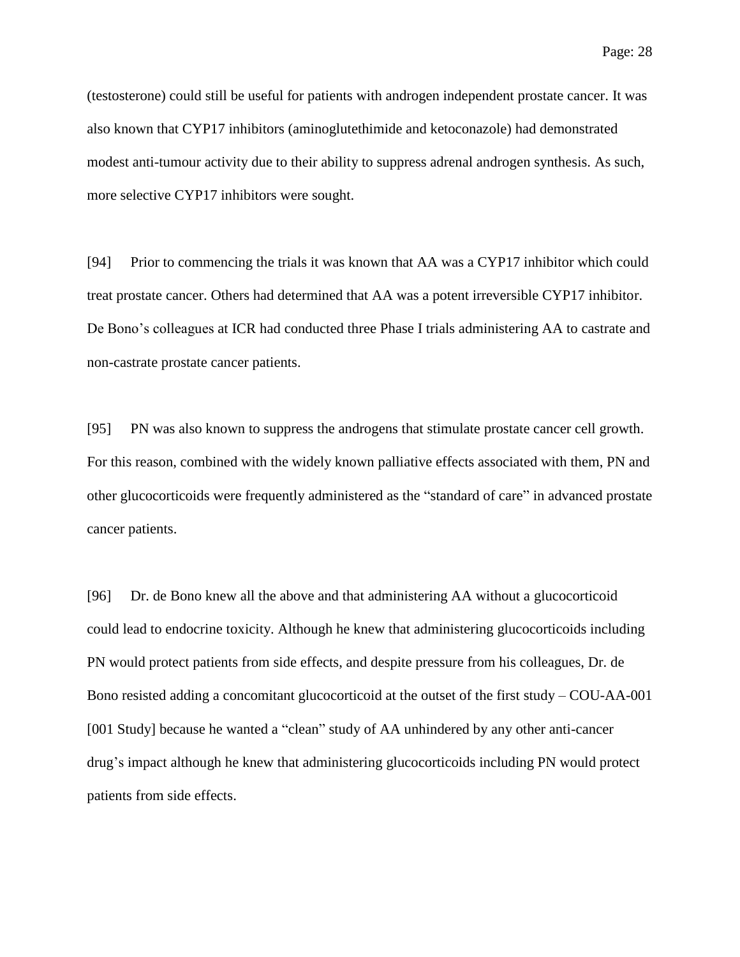(testosterone) could still be useful for patients with androgen independent prostate cancer. It was also known that CYP17 inhibitors (aminoglutethimide and ketoconazole) had demonstrated modest anti-tumour activity due to their ability to suppress adrenal androgen synthesis. As such, more selective CYP17 inhibitors were sought.

[94] Prior to commencing the trials it was known that AA was a CYP17 inhibitor which could treat prostate cancer. Others had determined that AA was a potent irreversible CYP17 inhibitor. De Bono's colleagues at ICR had conducted three Phase I trials administering AA to castrate and non-castrate prostate cancer patients.

[95] PN was also known to suppress the androgens that stimulate prostate cancer cell growth. For this reason, combined with the widely known palliative effects associated with them, PN and other glucocorticoids were frequently administered as the "standard of care" in advanced prostate cancer patients.

[96] Dr. de Bono knew all the above and that administering AA without a glucocorticoid could lead to endocrine toxicity. Although he knew that administering glucocorticoids including PN would protect patients from side effects, and despite pressure from his colleagues, Dr. de Bono resisted adding a concomitant glucocorticoid at the outset of the first study – COU-AA-001 [001 Study] because he wanted a "clean" study of AA unhindered by any other anti-cancer drug's impact although he knew that administering glucocorticoids including PN would protect patients from side effects.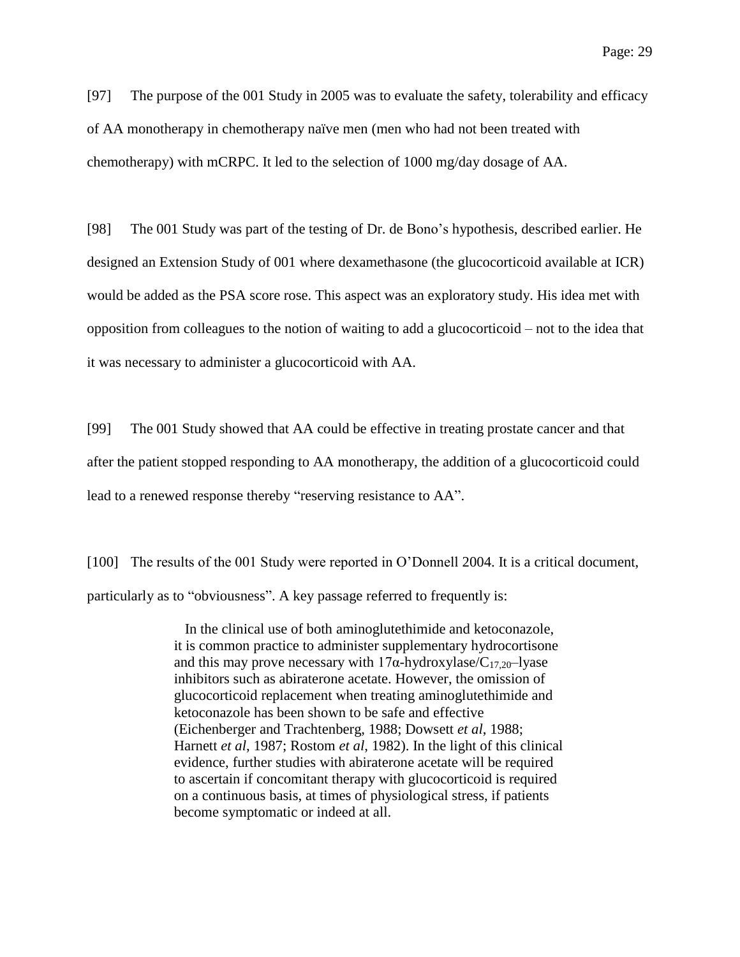[97] The purpose of the 001 Study in 2005 was to evaluate the safety, tolerability and efficacy of AA monotherapy in chemotherapy naïve men (men who had not been treated with chemotherapy) with mCRPC. It led to the selection of 1000 mg/day dosage of AA.

[98] The 001 Study was part of the testing of Dr. de Bono's hypothesis, described earlier. He designed an Extension Study of 001 where dexamethasone (the glucocorticoid available at ICR) would be added as the PSA score rose. This aspect was an exploratory study. His idea met with opposition from colleagues to the notion of waiting to add a glucocorticoid – not to the idea that it was necessary to administer a glucocorticoid with AA.

[99] The 001 Study showed that AA could be effective in treating prostate cancer and that after the patient stopped responding to AA monotherapy, the addition of a glucocorticoid could lead to a renewed response thereby "reserving resistance to AA".

[100] The results of the 001 Study were reported in O'Donnell 2004. It is a critical document, particularly as to "obviousness". A key passage referred to frequently is:

> In the clinical use of both aminoglutethimide and ketoconazole, it is common practice to administer supplementary hydrocortisone and this may prove necessary with  $17\alpha$ -hydroxylase/C<sub>17,20</sub>-lyase inhibitors such as abiraterone acetate. However, the omission of glucocorticoid replacement when treating aminoglutethimide and ketoconazole has been shown to be safe and effective (Eichenberger and Trachtenberg, 1988; Dowsett *et al*, 1988; Harnett *et al*, 1987; Rostom *et al*, 1982). In the light of this clinical evidence, further studies with abiraterone acetate will be required to ascertain if concomitant therapy with glucocorticoid is required on a continuous basis, at times of physiological stress, if patients become symptomatic or indeed at all.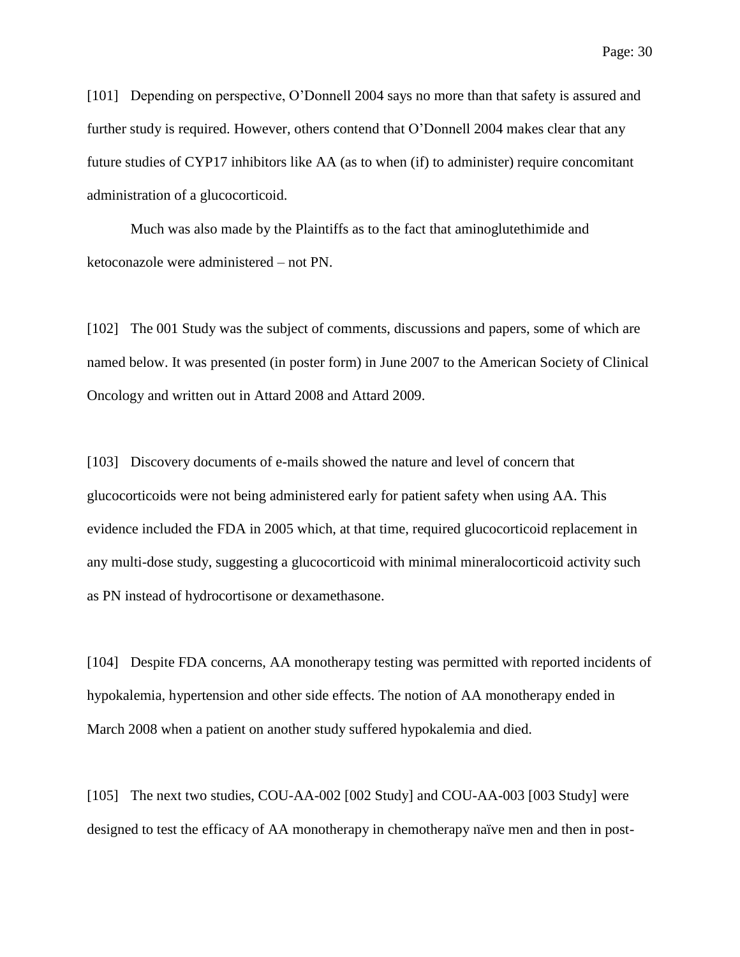[101] Depending on perspective, O'Donnell 2004 says no more than that safety is assured and further study is required. However, others contend that O'Donnell 2004 makes clear that any future studies of CYP17 inhibitors like AA (as to when (if) to administer) require concomitant administration of a glucocorticoid.

Much was also made by the Plaintiffs as to the fact that aminoglutethimide and ketoconazole were administered – not PN.

[102] The 001 Study was the subject of comments, discussions and papers, some of which are named below. It was presented (in poster form) in June 2007 to the American Society of Clinical Oncology and written out in Attard 2008 and Attard 2009.

[103] Discovery documents of e-mails showed the nature and level of concern that glucocorticoids were not being administered early for patient safety when using AA. This evidence included the FDA in 2005 which, at that time, required glucocorticoid replacement in any multi-dose study, suggesting a glucocorticoid with minimal mineralocorticoid activity such as PN instead of hydrocortisone or dexamethasone.

[104] Despite FDA concerns, AA monotherapy testing was permitted with reported incidents of hypokalemia, hypertension and other side effects. The notion of AA monotherapy ended in March 2008 when a patient on another study suffered hypokalemia and died.

[105] The next two studies, COU-AA-002 [002 Study] and COU-AA-003 [003 Study] were designed to test the efficacy of AA monotherapy in chemotherapy naïve men and then in post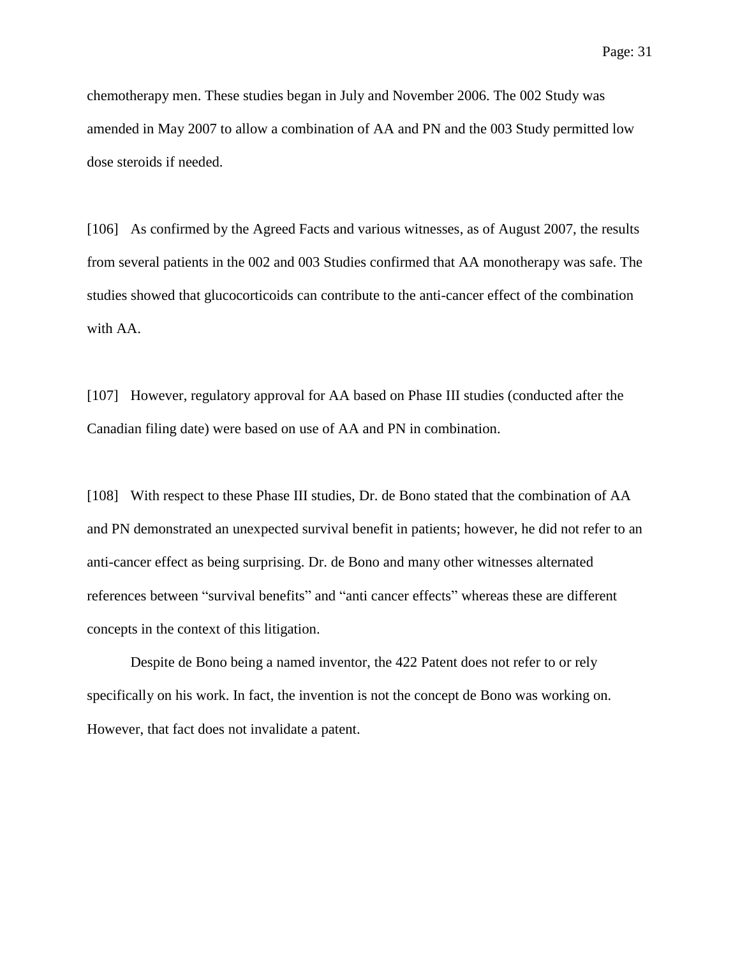chemotherapy men. These studies began in July and November 2006. The 002 Study was amended in May 2007 to allow a combination of AA and PN and the 003 Study permitted low dose steroids if needed.

[106] As confirmed by the Agreed Facts and various witnesses, as of August 2007, the results from several patients in the 002 and 003 Studies confirmed that AA monotherapy was safe. The studies showed that glucocorticoids can contribute to the anti-cancer effect of the combination with AA.

[107] However, regulatory approval for AA based on Phase III studies (conducted after the Canadian filing date) were based on use of AA and PN in combination.

[108] With respect to these Phase III studies, Dr. de Bono stated that the combination of AA and PN demonstrated an unexpected survival benefit in patients; however, he did not refer to an anti-cancer effect as being surprising. Dr. de Bono and many other witnesses alternated references between "survival benefits" and "anti cancer effects" whereas these are different concepts in the context of this litigation.

Despite de Bono being a named inventor, the 422 Patent does not refer to or rely specifically on his work. In fact, the invention is not the concept de Bono was working on. However, that fact does not invalidate a patent.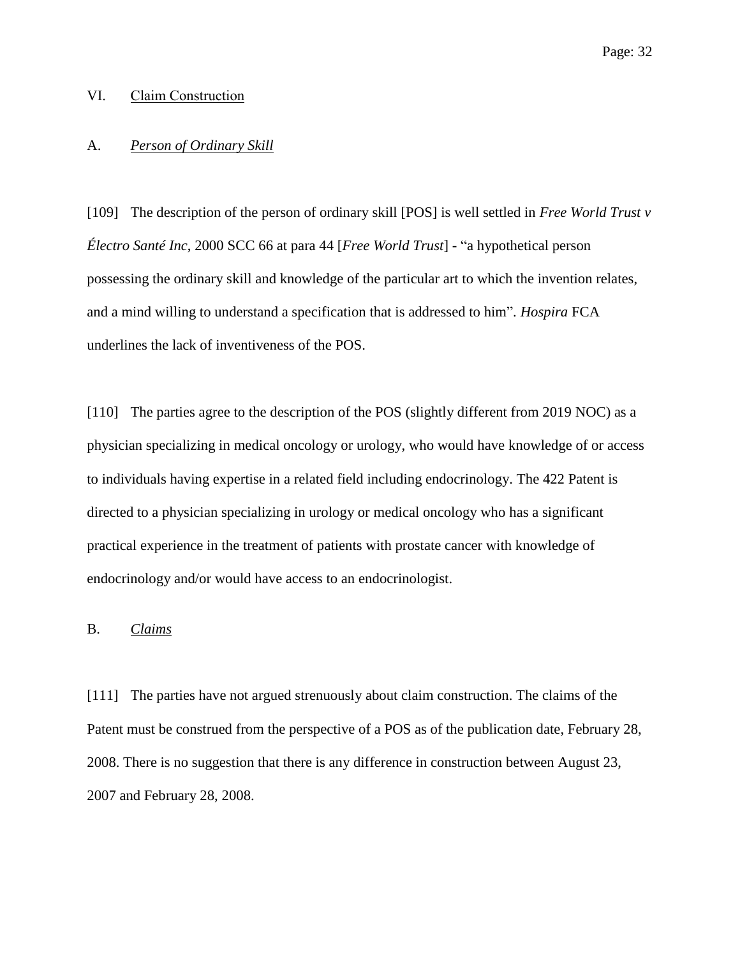## <span id="page-31-0"></span>VI. Claim Construction

#### <span id="page-31-1"></span>A. *Person of Ordinary Skill*

[109] The description of the person of ordinary skill [POS] is well settled in *Free World Trust v Électro Santé Inc*, 2000 SCC 66 at para 44 [*Free World Trust*] - "a hypothetical person possessing the ordinary skill and knowledge of the particular art to which the invention relates, and a mind willing to understand a specification that is addressed to him". *Hospira* FCA underlines the lack of inventiveness of the POS.

[110] The parties agree to the description of the POS (slightly different from 2019 NOC) as a physician specializing in medical oncology or urology, who would have knowledge of or access to individuals having expertise in a related field including endocrinology. The 422 Patent is directed to a physician specializing in urology or medical oncology who has a significant practical experience in the treatment of patients with prostate cancer with knowledge of endocrinology and/or would have access to an endocrinologist.

#### <span id="page-31-2"></span>B. *Claims*

[111] The parties have not argued strenuously about claim construction. The claims of the Patent must be construed from the perspective of a POS as of the publication date, February 28, 2008. There is no suggestion that there is any difference in construction between August 23, 2007 and February 28, 2008.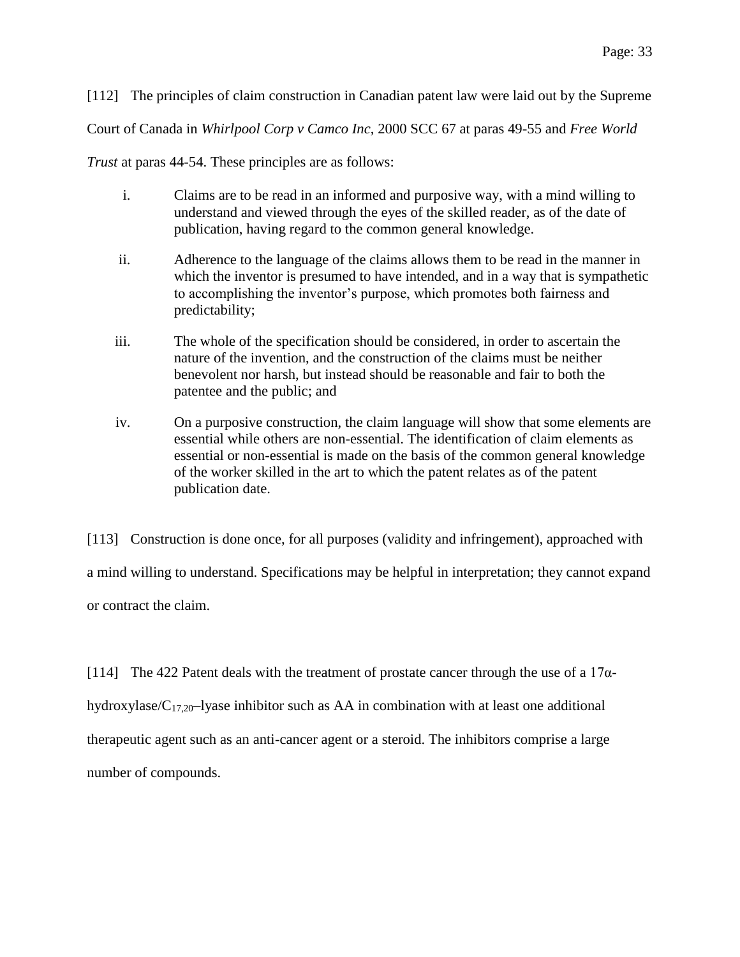[112] The principles of claim construction in Canadian patent law were laid out by the Supreme

Court of Canada in *Whirlpool Corp v Camco Inc*, 2000 SCC 67 at paras 49-55 and *Free World* 

*Trust* at paras 44-54. These principles are as follows:

- i. Claims are to be read in an informed and purposive way, with a mind willing to understand and viewed through the eyes of the skilled reader, as of the date of publication, having regard to the common general knowledge.
- ii. Adherence to the language of the claims allows them to be read in the manner in which the inventor is presumed to have intended, and in a way that is sympathetic to accomplishing the inventor's purpose, which promotes both fairness and predictability;
- iii. The whole of the specification should be considered, in order to ascertain the nature of the invention, and the construction of the claims must be neither benevolent nor harsh, but instead should be reasonable and fair to both the patentee and the public; and
- iv. On a purposive construction, the claim language will show that some elements are essential while others are non-essential. The identification of claim elements as essential or non-essential is made on the basis of the common general knowledge of the worker skilled in the art to which the patent relates as of the patent publication date.

[113] Construction is done once, for all purposes (validity and infringement), approached with a mind willing to understand. Specifications may be helpful in interpretation; they cannot expand or contract the claim.

[114] The 422 Patent deals with the treatment of prostate cancer through the use of a  $17\alpha$ hydroxylase/ $C_{17,20}$ -lyase inhibitor such as AA in combination with at least one additional therapeutic agent such as an anti-cancer agent or a steroid. The inhibitors comprise a large number of compounds.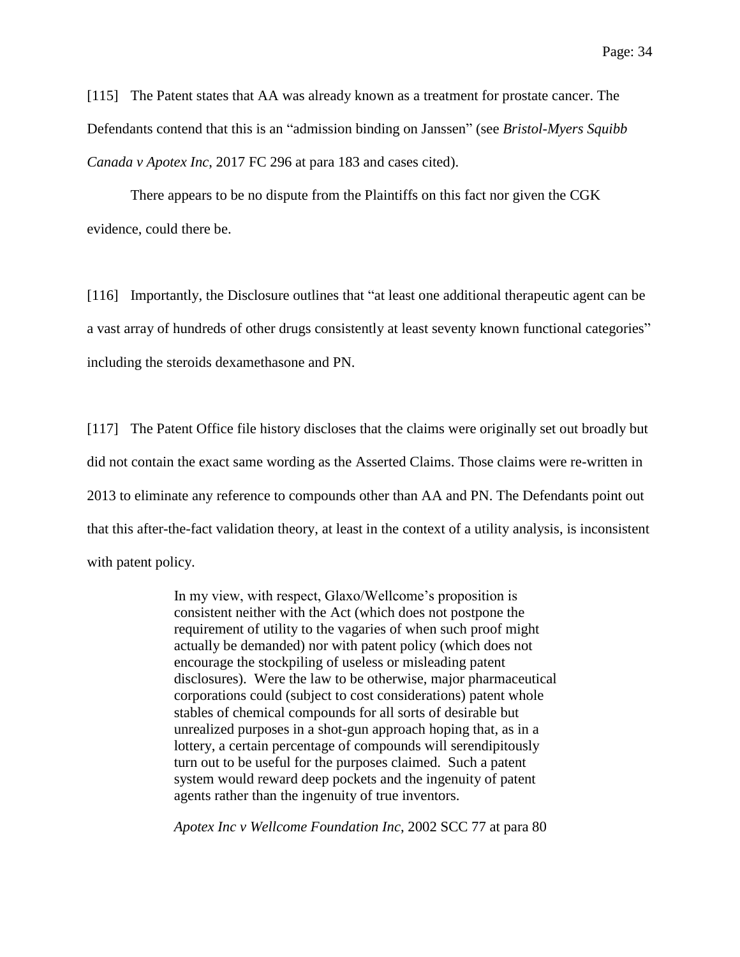[115] The Patent states that AA was already known as a treatment for prostate cancer. The Defendants contend that this is an "admission binding on Janssen" (see *Bristol-Myers Squibb Canada v Apotex Inc*, 2017 FC 296 at para 183 and cases cited).

There appears to be no dispute from the Plaintiffs on this fact nor given the CGK evidence, could there be.

[116] Importantly, the Disclosure outlines that "at least one additional therapeutic agent can be a vast array of hundreds of other drugs consistently at least seventy known functional categories" including the steroids dexamethasone and PN.

[117] The Patent Office file history discloses that the claims were originally set out broadly but did not contain the exact same wording as the Asserted Claims. Those claims were re-written in 2013 to eliminate any reference to compounds other than AA and PN. The Defendants point out that this after-the-fact validation theory, at least in the context of a utility analysis, is inconsistent with patent policy.

> In my view, with respect, Glaxo/Wellcome's proposition is consistent neither with the Act (which does not postpone the requirement of utility to the vagaries of when such proof might actually be demanded) nor with patent policy (which does not encourage the stockpiling of useless or misleading patent disclosures). Were the law to be otherwise, major pharmaceutical corporations could (subject to cost considerations) patent whole stables of chemical compounds for all sorts of desirable but unrealized purposes in a shot-gun approach hoping that, as in a lottery, a certain percentage of compounds will serendipitously turn out to be useful for the purposes claimed. Such a patent system would reward deep pockets and the ingenuity of patent agents rather than the ingenuity of true inventors.

*Apotex Inc v Wellcome Foundation Inc*, 2002 SCC 77 at para 80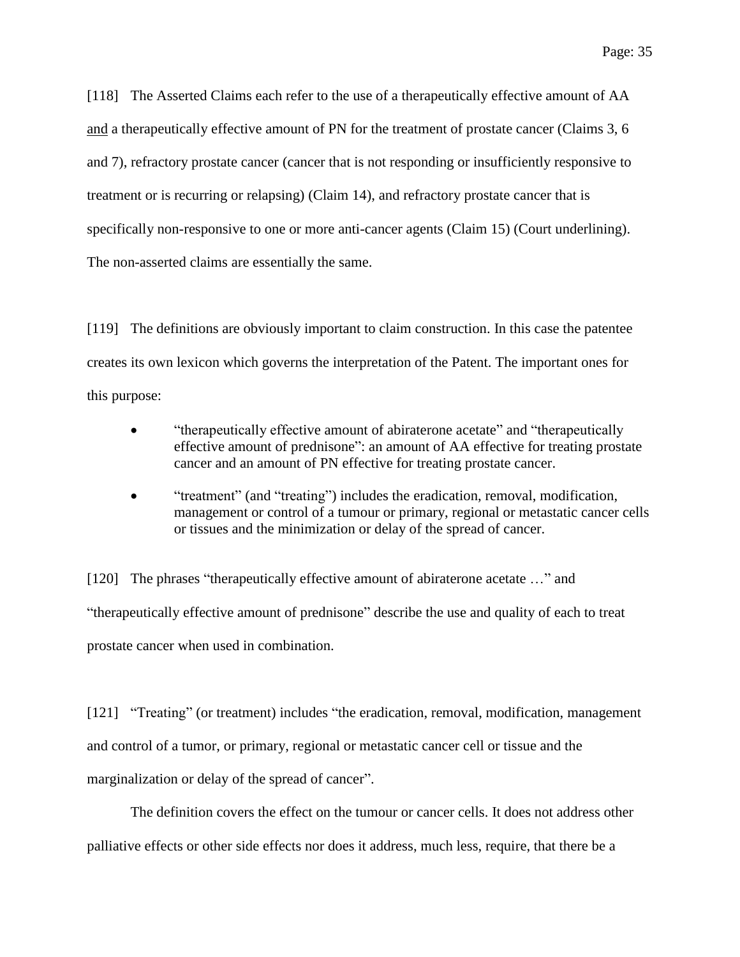[118] The Asserted Claims each refer to the use of a therapeutically effective amount of AA and a therapeutically effective amount of PN for the treatment of prostate cancer (Claims 3, 6 and 7), refractory prostate cancer (cancer that is not responding or insufficiently responsive to treatment or is recurring or relapsing) (Claim 14), and refractory prostate cancer that is specifically non-responsive to one or more anti-cancer agents (Claim 15) (Court underlining). The non-asserted claims are essentially the same.

[119] The definitions are obviously important to claim construction. In this case the patentee creates its own lexicon which governs the interpretation of the Patent. The important ones for this purpose:

- "therapeutically effective amount of abiraterone acetate" and "therapeutically effective amount of prednisone": an amount of AA effective for treating prostate cancer and an amount of PN effective for treating prostate cancer.
- "treatment" (and "treating") includes the eradication, removal, modification, management or control of a tumour or primary, regional or metastatic cancer cells or tissues and the minimization or delay of the spread of cancer.

[120] The phrases "therapeutically effective amount of abiraterone acetate …" and "therapeutically effective amount of prednisone" describe the use and quality of each to treat prostate cancer when used in combination.

[121] "Treating" (or treatment) includes "the eradication, removal, modification, management and control of a tumor, or primary, regional or metastatic cancer cell or tissue and the marginalization or delay of the spread of cancer".

The definition covers the effect on the tumour or cancer cells. It does not address other palliative effects or other side effects nor does it address, much less, require, that there be a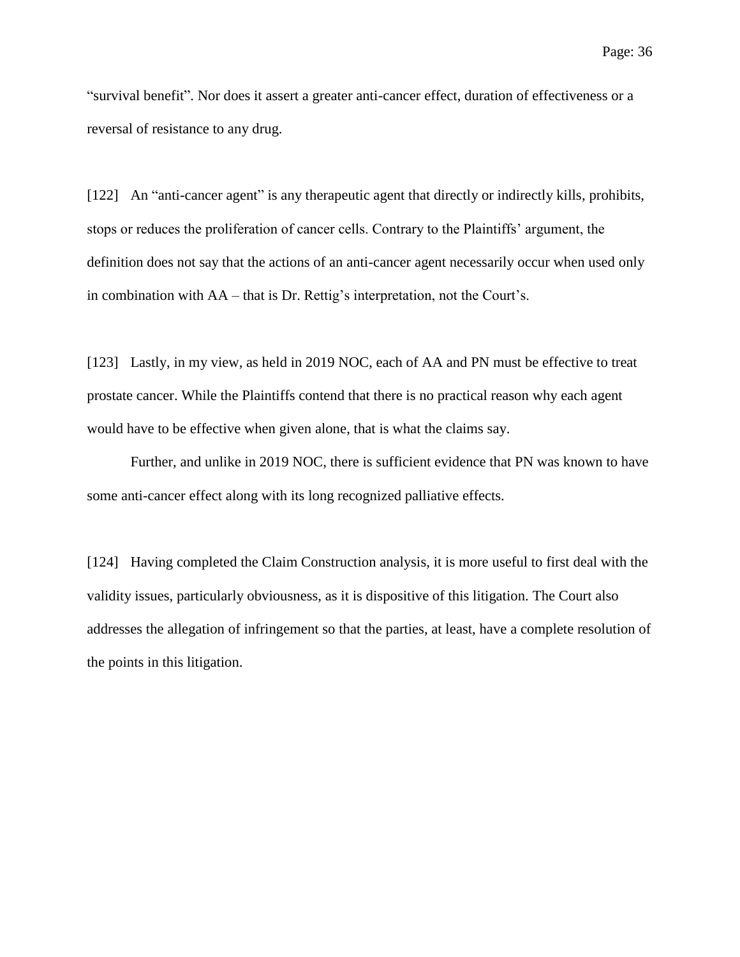"survival benefit". Nor does it assert a greater anti-cancer effect, duration of effectiveness or a reversal of resistance to any drug.

[122] An "anti-cancer agent" is any therapeutic agent that directly or indirectly kills, prohibits, stops or reduces the proliferation of cancer cells. Contrary to the Plaintiffs' argument, the definition does not say that the actions of an anti-cancer agent necessarily occur when used only in combination with AA – that is Dr. Rettig's interpretation, not the Court's.

[123] Lastly, in my view, as held in 2019 NOC, each of AA and PN must be effective to treat prostate cancer. While the Plaintiffs contend that there is no practical reason why each agent would have to be effective when given alone, that is what the claims say.

Further, and unlike in 2019 NOC, there is sufficient evidence that PN was known to have some anti-cancer effect along with its long recognized palliative effects.

[124] Having completed the Claim Construction analysis, it is more useful to first deal with the validity issues, particularly obviousness, as it is dispositive of this litigation. The Court also addresses the allegation of infringement so that the parties, at least, have a complete resolution of the points in this litigation.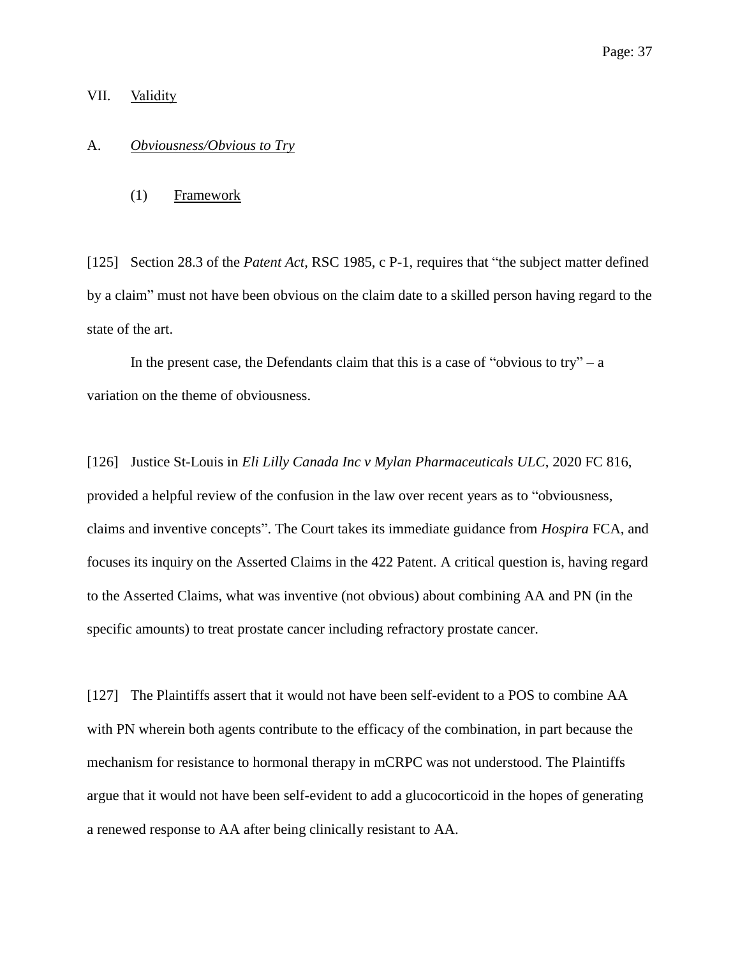#### VII. Validity

## A. *Obviousness/Obvious to Try*

(1) Framework

[125] Section 28.3 of the *Patent Act*, RSC 1985, c P-1, requires that "the subject matter defined by a claim" must not have been obvious on the claim date to a skilled person having regard to the state of the art.

In the present case, the Defendants claim that this is a case of "obvious to try" – a variation on the theme of obviousness.

[126] Justice St-Louis in *Eli Lilly Canada Inc v Mylan Pharmaceuticals ULC*, 2020 FC 816, provided a helpful review of the confusion in the law over recent years as to "obviousness, claims and inventive concepts". The Court takes its immediate guidance from *Hospira* FCA, and focuses its inquiry on the Asserted Claims in the 422 Patent. A critical question is, having regard to the Asserted Claims, what was inventive (not obvious) about combining AA and PN (in the specific amounts) to treat prostate cancer including refractory prostate cancer.

[127] The Plaintiffs assert that it would not have been self-evident to a POS to combine AA with PN wherein both agents contribute to the efficacy of the combination, in part because the mechanism for resistance to hormonal therapy in mCRPC was not understood. The Plaintiffs argue that it would not have been self-evident to add a glucocorticoid in the hopes of generating a renewed response to AA after being clinically resistant to AA.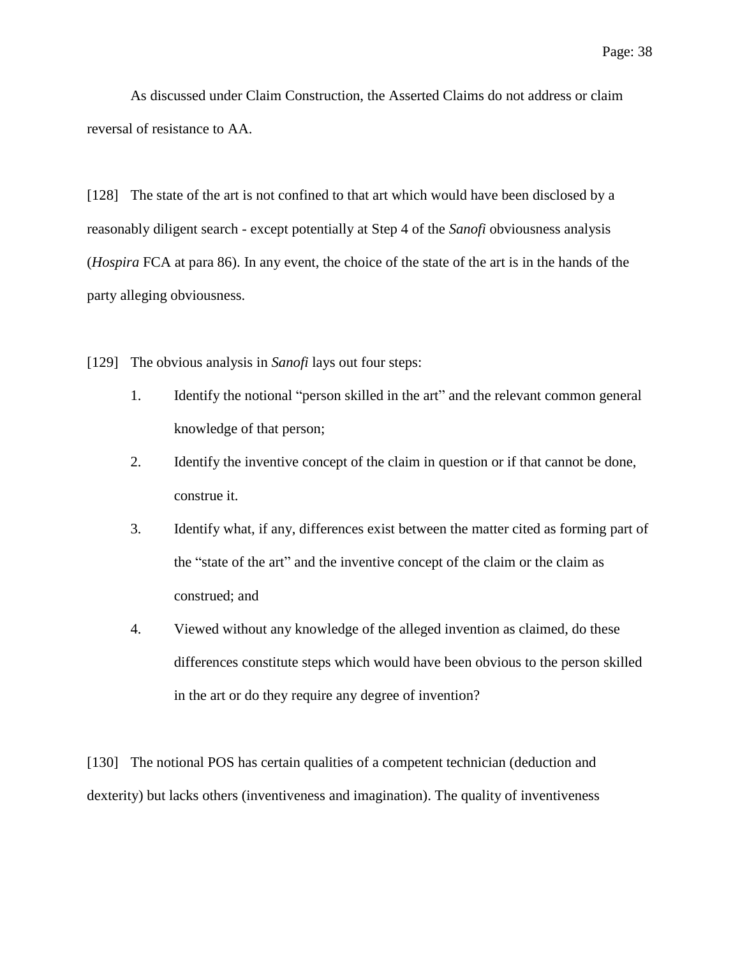As discussed under Claim Construction, the Asserted Claims do not address or claim reversal of resistance to AA.

[128] The state of the art is not confined to that art which would have been disclosed by a reasonably diligent search - except potentially at Step 4 of the *Sanofi* obviousness analysis (*Hospira* FCA at para 86). In any event, the choice of the state of the art is in the hands of the party alleging obviousness.

[129] The obvious analysis in *Sanofi* lays out four steps:

- 1. Identify the notional "person skilled in the art" and the relevant common general knowledge of that person;
- 2. Identify the inventive concept of the claim in question or if that cannot be done, construe it.
- 3. Identify what, if any, differences exist between the matter cited as forming part of the "state of the art" and the inventive concept of the claim or the claim as construed; and
- 4. Viewed without any knowledge of the alleged invention as claimed, do these differences constitute steps which would have been obvious to the person skilled in the art or do they require any degree of invention?

[130] The notional POS has certain qualities of a competent technician (deduction and dexterity) but lacks others (inventiveness and imagination). The quality of inventiveness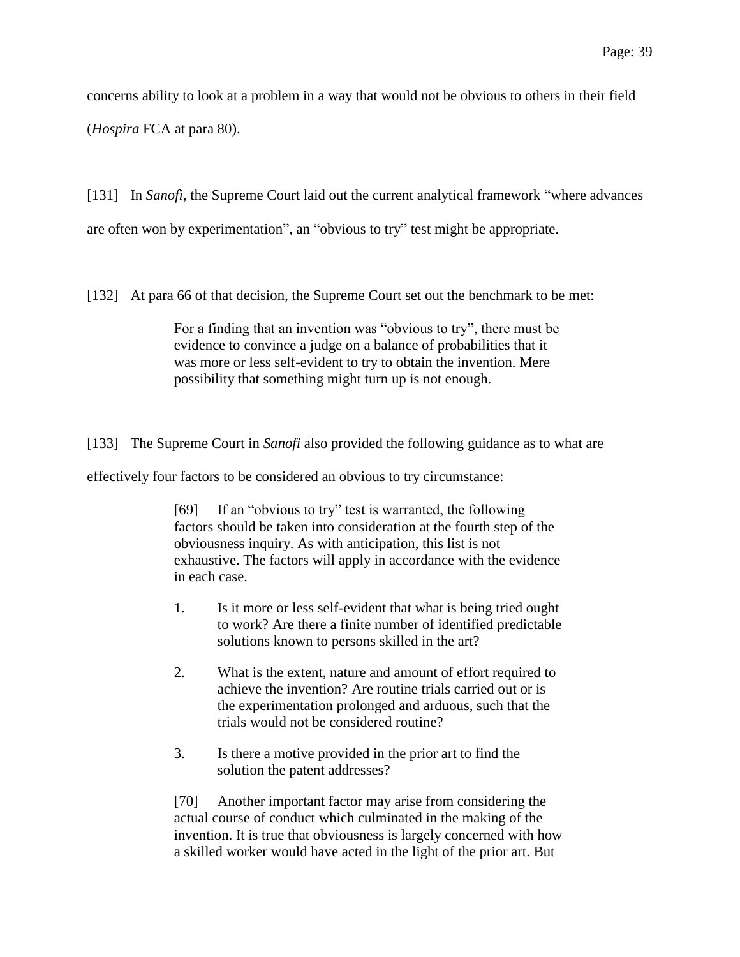concerns ability to look at a problem in a way that would not be obvious to others in their field

(*Hospira* FCA at para 80).

[131] In *Sanofi*, the Supreme Court laid out the current analytical framework "where advances are often won by experimentation", an "obvious to try" test might be appropriate.

[132] At para 66 of that decision, the Supreme Court set out the benchmark to be met:

For a finding that an invention was "obvious to try", there must be evidence to convince a judge on a balance of probabilities that it was more or less self-evident to try to obtain the invention. Mere possibility that something might turn up is not enough.

[133] The Supreme Court in *Sanofi* also provided the following guidance as to what are

effectively four factors to be considered an obvious to try circumstance:

[69] If an "obvious to try" test is warranted, the following factors should be taken into consideration at the fourth step of the obviousness inquiry. As with anticipation, this list is not exhaustive. The factors will apply in accordance with the evidence in each case.

- 1. Is it more or less self-evident that what is being tried ought to work? Are there a finite number of identified predictable solutions known to persons skilled in the art?
- 2. What is the extent, nature and amount of effort required to achieve the invention? Are routine trials carried out or is the experimentation prolonged and arduous, such that the trials would not be considered routine?
- 3. Is there a motive provided in the prior art to find the solution the patent addresses?

[70] Another important factor may arise from considering the actual course of conduct which culminated in the making of the invention. It is true that obviousness is largely concerned with how a skilled worker would have acted in the light of the prior art. But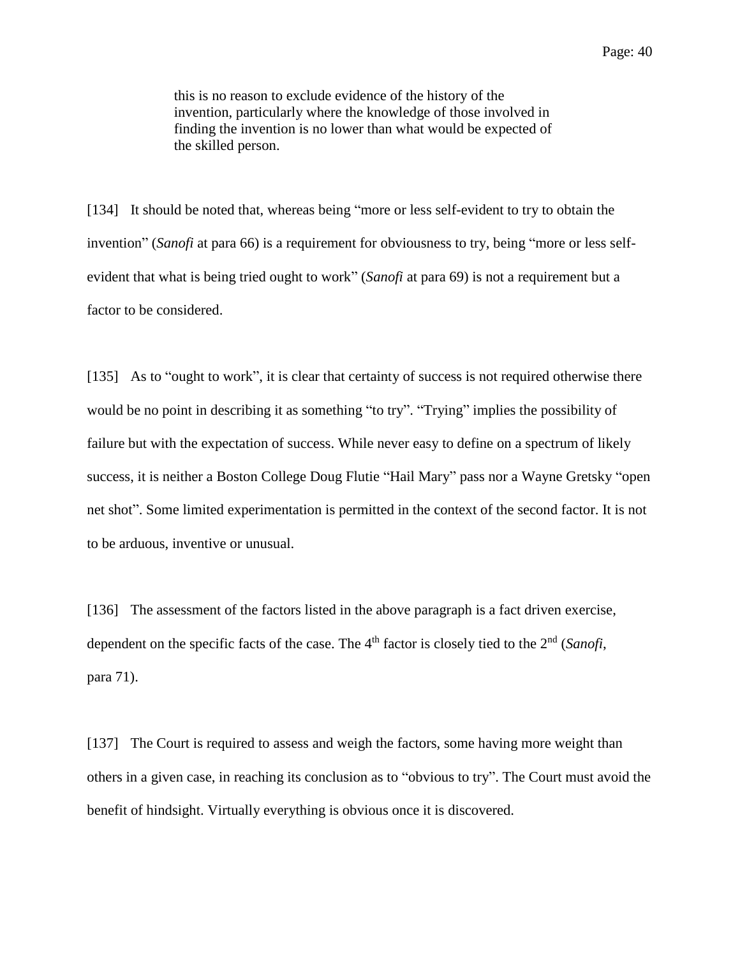this is no reason to exclude evidence of the history of the invention, particularly where the knowledge of those involved in finding the invention is no lower than what would be expected of the skilled person.

[134] It should be noted that, whereas being "more or less self-evident to try to obtain the invention" (*Sanofi* at para 66) is a requirement for obviousness to try, being "more or less selfevident that what is being tried ought to work" (*Sanofi* at para 69) is not a requirement but a factor to be considered.

[135] As to "ought to work", it is clear that certainty of success is not required otherwise there would be no point in describing it as something "to try". "Trying" implies the possibility of failure but with the expectation of success. While never easy to define on a spectrum of likely success, it is neither a Boston College Doug Flutie "Hail Mary" pass nor a Wayne Gretsky "open net shot". Some limited experimentation is permitted in the context of the second factor. It is not to be arduous, inventive or unusual.

[136] The assessment of the factors listed in the above paragraph is a fact driven exercise, dependent on the specific facts of the case. The 4<sup>th</sup> factor is closely tied to the 2<sup>nd</sup> (*Sanofi*, para 71).

[137] The Court is required to assess and weigh the factors, some having more weight than others in a given case, in reaching its conclusion as to "obvious to try". The Court must avoid the benefit of hindsight. Virtually everything is obvious once it is discovered.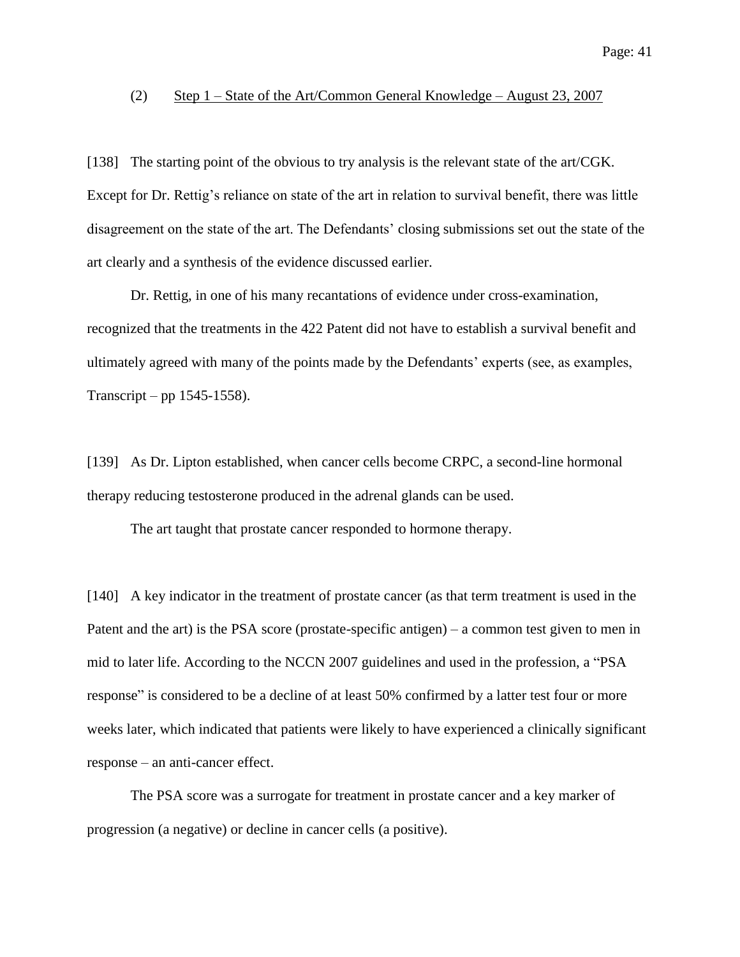#### (2) Step 1 – State of the Art/Common General Knowledge – August 23, 2007

[138] The starting point of the obvious to try analysis is the relevant state of the art/CGK. Except for Dr. Rettig's reliance on state of the art in relation to survival benefit, there was little disagreement on the state of the art. The Defendants' closing submissions set out the state of the art clearly and a synthesis of the evidence discussed earlier.

Dr. Rettig, in one of his many recantations of evidence under cross-examination, recognized that the treatments in the 422 Patent did not have to establish a survival benefit and ultimately agreed with many of the points made by the Defendants' experts (see, as examples, Transcript – pp 1545-1558).

[139] As Dr. Lipton established, when cancer cells become CRPC, a second-line hormonal therapy reducing testosterone produced in the adrenal glands can be used.

The art taught that prostate cancer responded to hormone therapy.

[140] A key indicator in the treatment of prostate cancer (as that term treatment is used in the Patent and the art) is the PSA score (prostate-specific antigen) – a common test given to men in mid to later life. According to the NCCN 2007 guidelines and used in the profession, a "PSA response" is considered to be a decline of at least 50% confirmed by a latter test four or more weeks later, which indicated that patients were likely to have experienced a clinically significant response – an anti-cancer effect.

The PSA score was a surrogate for treatment in prostate cancer and a key marker of progression (a negative) or decline in cancer cells (a positive).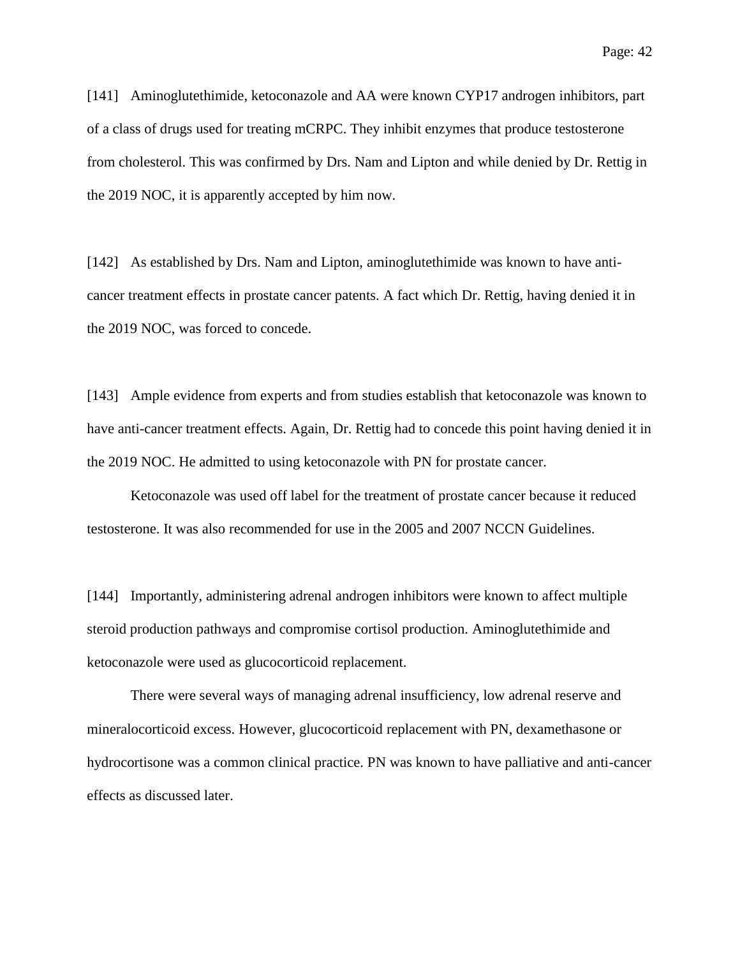[141] Aminoglutethimide, ketoconazole and AA were known CYP17 androgen inhibitors, part of a class of drugs used for treating mCRPC. They inhibit enzymes that produce testosterone from cholesterol. This was confirmed by Drs. Nam and Lipton and while denied by Dr. Rettig in the 2019 NOC, it is apparently accepted by him now.

[142] As established by Drs. Nam and Lipton, aminoglutethimide was known to have anticancer treatment effects in prostate cancer patents. A fact which Dr. Rettig, having denied it in the 2019 NOC, was forced to concede.

[143] Ample evidence from experts and from studies establish that ketoconazole was known to have anti-cancer treatment effects. Again, Dr. Rettig had to concede this point having denied it in the 2019 NOC. He admitted to using ketoconazole with PN for prostate cancer.

Ketoconazole was used off label for the treatment of prostate cancer because it reduced testosterone. It was also recommended for use in the 2005 and 2007 NCCN Guidelines.

[144] Importantly, administering adrenal androgen inhibitors were known to affect multiple steroid production pathways and compromise cortisol production. Aminoglutethimide and ketoconazole were used as glucocorticoid replacement.

There were several ways of managing adrenal insufficiency, low adrenal reserve and mineralocorticoid excess. However, glucocorticoid replacement with PN, dexamethasone or hydrocortisone was a common clinical practice. PN was known to have palliative and anti-cancer effects as discussed later.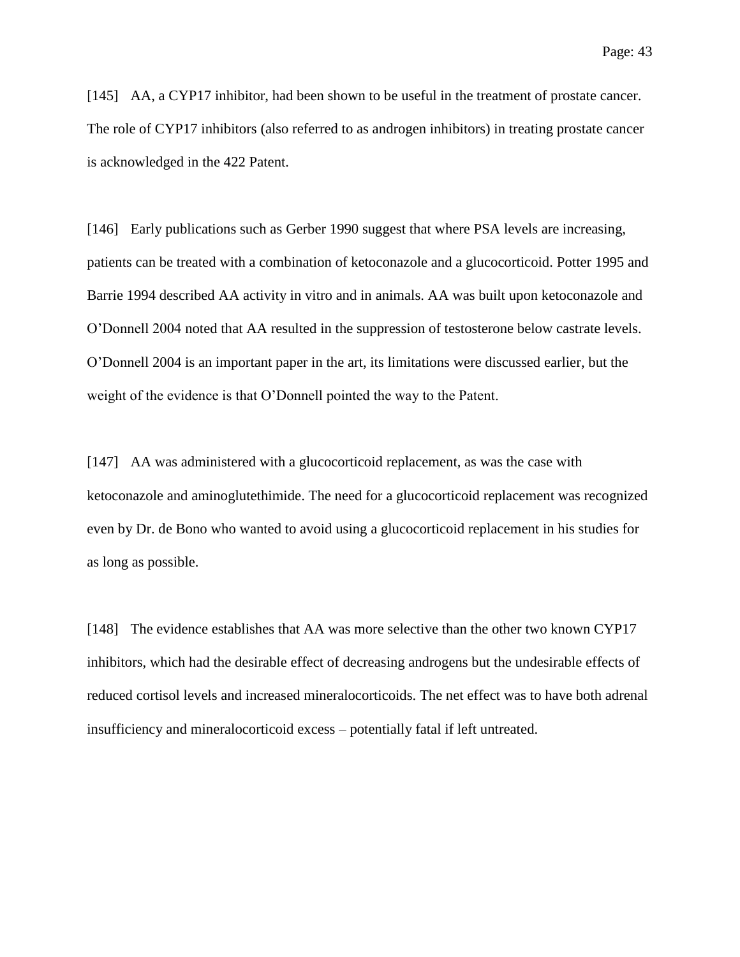[145] AA, a CYP17 inhibitor, had been shown to be useful in the treatment of prostate cancer. The role of CYP17 inhibitors (also referred to as androgen inhibitors) in treating prostate cancer is acknowledged in the 422 Patent.

[146] Early publications such as Gerber 1990 suggest that where PSA levels are increasing, patients can be treated with a combination of ketoconazole and a glucocorticoid. Potter 1995 and Barrie 1994 described AA activity in vitro and in animals. AA was built upon ketoconazole and O'Donnell 2004 noted that AA resulted in the suppression of testosterone below castrate levels. O'Donnell 2004 is an important paper in the art, its limitations were discussed earlier, but the weight of the evidence is that O'Donnell pointed the way to the Patent.

[147] AA was administered with a glucocorticoid replacement, as was the case with ketoconazole and aminoglutethimide. The need for a glucocorticoid replacement was recognized even by Dr. de Bono who wanted to avoid using a glucocorticoid replacement in his studies for as long as possible.

[148] The evidence establishes that AA was more selective than the other two known CYP17 inhibitors, which had the desirable effect of decreasing androgens but the undesirable effects of reduced cortisol levels and increased mineralocorticoids. The net effect was to have both adrenal insufficiency and mineralocorticoid excess – potentially fatal if left untreated.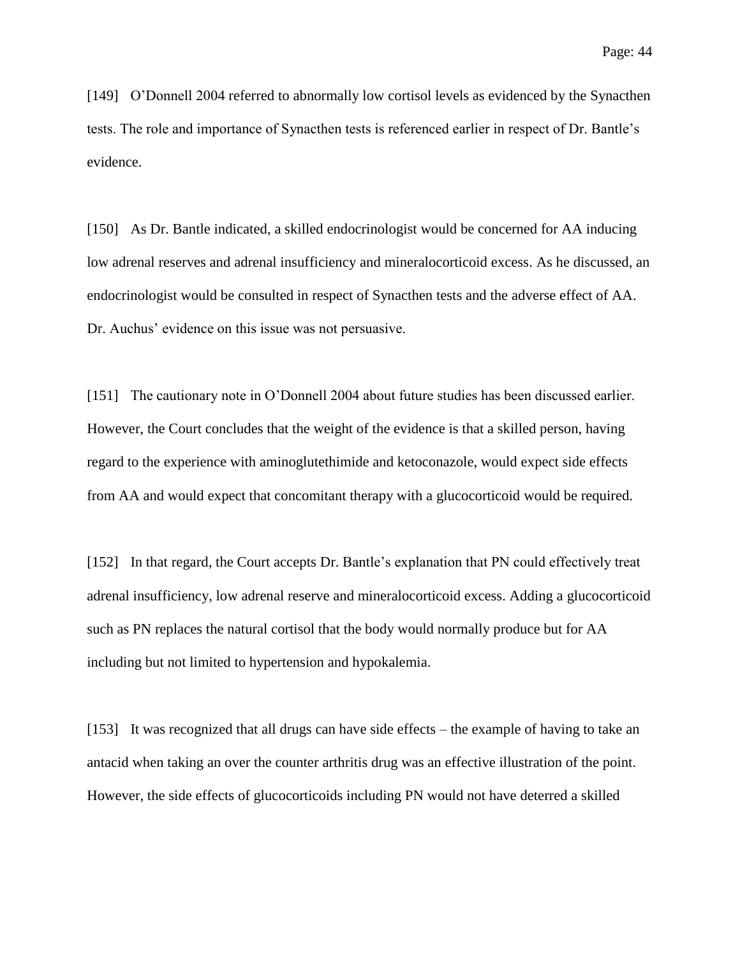[149] O'Donnell 2004 referred to abnormally low cortisol levels as evidenced by the Synacthen tests. The role and importance of Synacthen tests is referenced earlier in respect of Dr. Bantle's evidence.

[150] As Dr. Bantle indicated, a skilled endocrinologist would be concerned for AA inducing low adrenal reserves and adrenal insufficiency and mineralocorticoid excess. As he discussed, an endocrinologist would be consulted in respect of Synacthen tests and the adverse effect of AA. Dr. Auchus' evidence on this issue was not persuasive.

[151] The cautionary note in O'Donnell 2004 about future studies has been discussed earlier. However, the Court concludes that the weight of the evidence is that a skilled person, having regard to the experience with aminoglutethimide and ketoconazole, would expect side effects from AA and would expect that concomitant therapy with a glucocorticoid would be required.

[152] In that regard, the Court accepts Dr. Bantle's explanation that PN could effectively treat adrenal insufficiency, low adrenal reserve and mineralocorticoid excess. Adding a glucocorticoid such as PN replaces the natural cortisol that the body would normally produce but for AA including but not limited to hypertension and hypokalemia.

[153] It was recognized that all drugs can have side effects – the example of having to take an antacid when taking an over the counter arthritis drug was an effective illustration of the point. However, the side effects of glucocorticoids including PN would not have deterred a skilled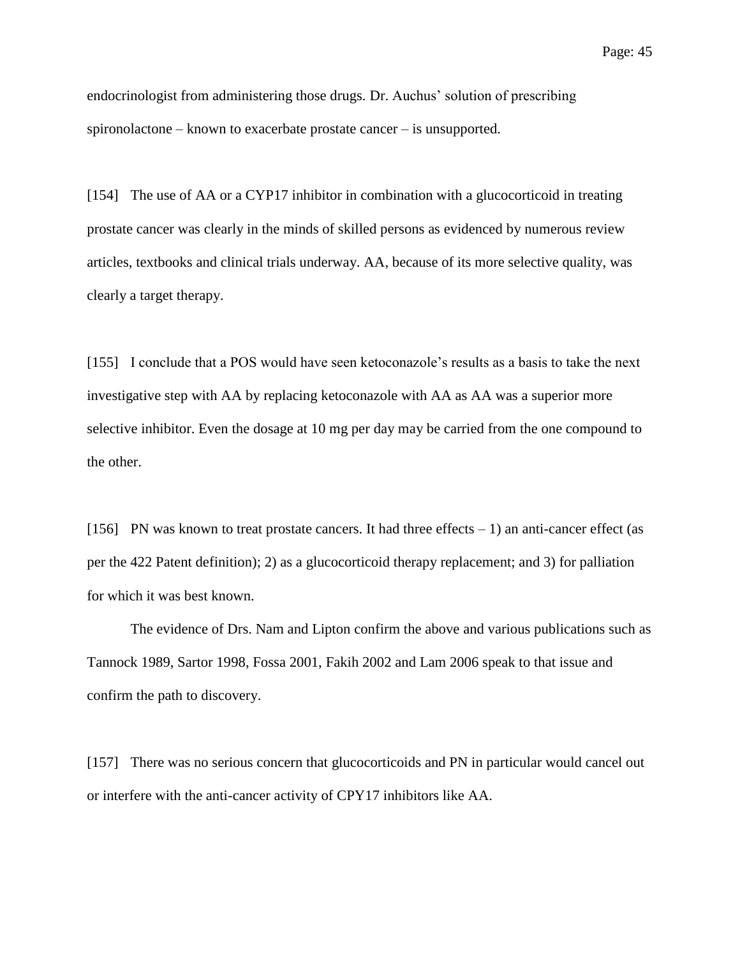endocrinologist from administering those drugs. Dr. Auchus' solution of prescribing spironolactone – known to exacerbate prostate cancer – is unsupported.

[154] The use of AA or a CYP17 inhibitor in combination with a glucocorticoid in treating prostate cancer was clearly in the minds of skilled persons as evidenced by numerous review articles, textbooks and clinical trials underway. AA, because of its more selective quality, was clearly a target therapy.

[155] I conclude that a POS would have seen ketoconazole's results as a basis to take the next investigative step with AA by replacing ketoconazole with AA as AA was a superior more selective inhibitor. Even the dosage at 10 mg per day may be carried from the one compound to the other.

[156] PN was known to treat prostate cancers. It had three effects  $-1$ ) an anti-cancer effect (as per the 422 Patent definition); 2) as a glucocorticoid therapy replacement; and 3) for palliation for which it was best known.

The evidence of Drs. Nam and Lipton confirm the above and various publications such as Tannock 1989, Sartor 1998, Fossa 2001, Fakih 2002 and Lam 2006 speak to that issue and confirm the path to discovery.

[157] There was no serious concern that glucocorticoids and PN in particular would cancel out or interfere with the anti-cancer activity of CPY17 inhibitors like AA.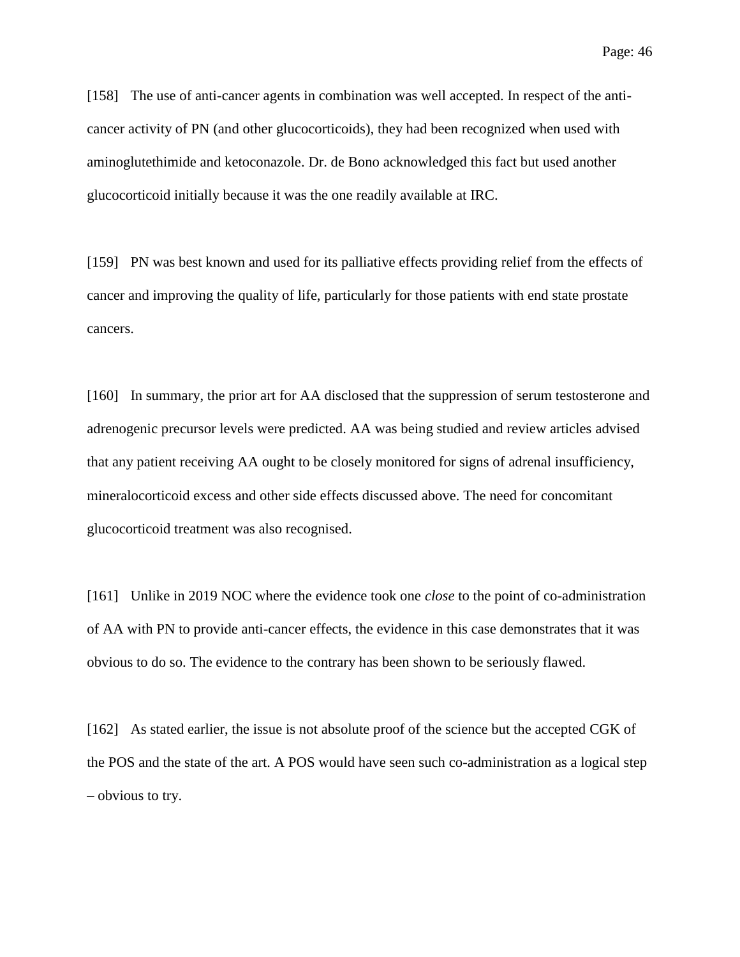[158] The use of anti-cancer agents in combination was well accepted. In respect of the anticancer activity of PN (and other glucocorticoids), they had been recognized when used with aminoglutethimide and ketoconazole. Dr. de Bono acknowledged this fact but used another glucocorticoid initially because it was the one readily available at IRC.

[159] PN was best known and used for its palliative effects providing relief from the effects of cancer and improving the quality of life, particularly for those patients with end state prostate cancers.

[160] In summary, the prior art for AA disclosed that the suppression of serum testosterone and adrenogenic precursor levels were predicted. AA was being studied and review articles advised that any patient receiving AA ought to be closely monitored for signs of adrenal insufficiency, mineralocorticoid excess and other side effects discussed above. The need for concomitant glucocorticoid treatment was also recognised.

[161] Unlike in 2019 NOC where the evidence took one *close* to the point of co-administration of AA with PN to provide anti-cancer effects, the evidence in this case demonstrates that it was obvious to do so. The evidence to the contrary has been shown to be seriously flawed.

[162] As stated earlier, the issue is not absolute proof of the science but the accepted CGK of the POS and the state of the art. A POS would have seen such co-administration as a logical step – obvious to try.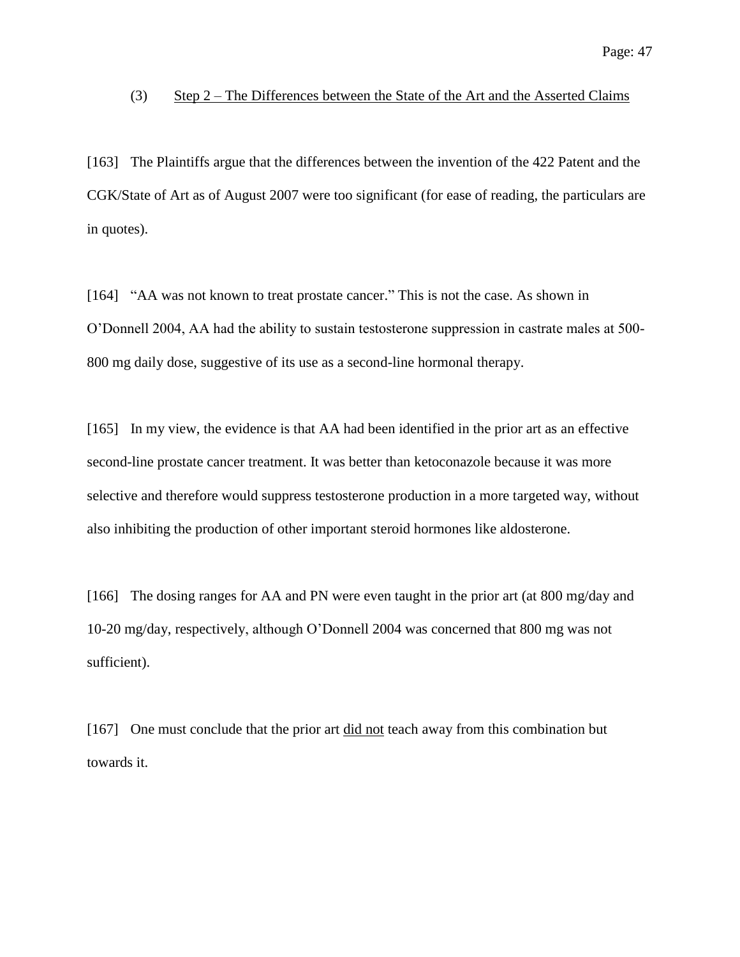#### (3) Step  $2$  – The Differences between the State of the Art and the Asserted Claims

[163] The Plaintiffs argue that the differences between the invention of the 422 Patent and the CGK/State of Art as of August 2007 were too significant (for ease of reading, the particulars are in quotes).

[164] "AA was not known to treat prostate cancer." This is not the case. As shown in O'Donnell 2004, AA had the ability to sustain testosterone suppression in castrate males at 500- 800 mg daily dose, suggestive of its use as a second-line hormonal therapy.

[165] In my view, the evidence is that AA had been identified in the prior art as an effective second-line prostate cancer treatment. It was better than ketoconazole because it was more selective and therefore would suppress testosterone production in a more targeted way, without also inhibiting the production of other important steroid hormones like aldosterone.

[166] The dosing ranges for AA and PN were even taught in the prior art (at 800 mg/day and 10-20 mg/day, respectively, although O'Donnell 2004 was concerned that 800 mg was not sufficient).

[167] One must conclude that the prior art did not teach away from this combination but towards it.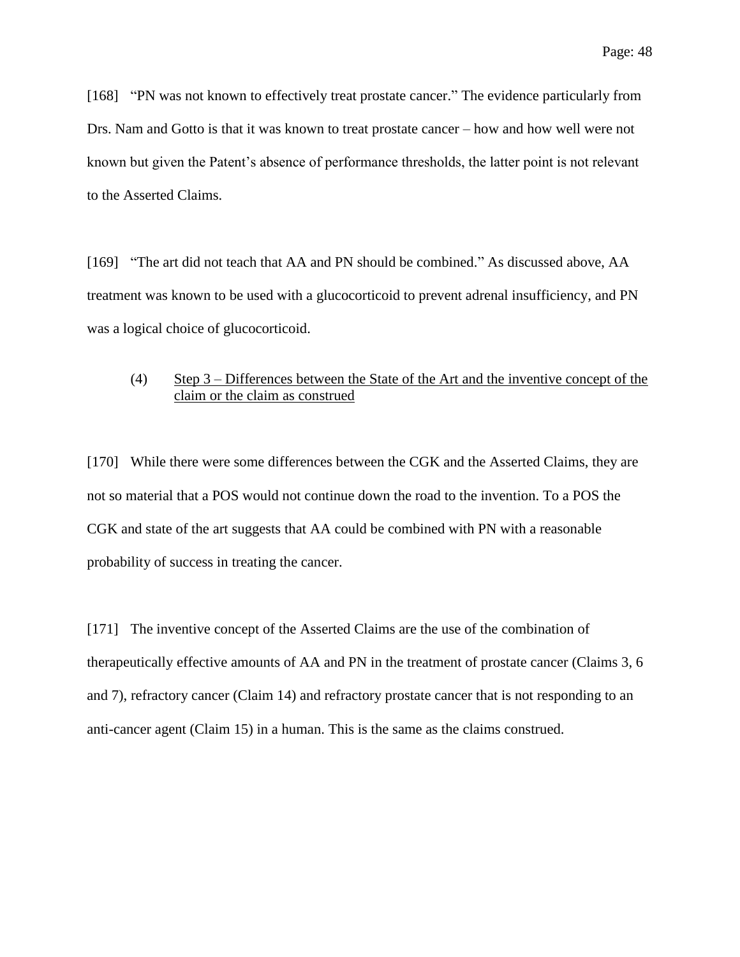[168] "PN was not known to effectively treat prostate cancer." The evidence particularly from Drs. Nam and Gotto is that it was known to treat prostate cancer – how and how well were not known but given the Patent's absence of performance thresholds, the latter point is not relevant to the Asserted Claims.

[169] "The art did not teach that AA and PN should be combined." As discussed above, AA treatment was known to be used with a glucocorticoid to prevent adrenal insufficiency, and PN was a logical choice of glucocorticoid.

## (4) Step 3 – Differences between the State of the Art and the inventive concept of the claim or the claim as construed

[170] While there were some differences between the CGK and the Asserted Claims, they are not so material that a POS would not continue down the road to the invention. To a POS the CGK and state of the art suggests that AA could be combined with PN with a reasonable probability of success in treating the cancer.

[171] The inventive concept of the Asserted Claims are the use of the combination of therapeutically effective amounts of AA and PN in the treatment of prostate cancer (Claims 3, 6 and 7), refractory cancer (Claim 14) and refractory prostate cancer that is not responding to an anti-cancer agent (Claim 15) in a human. This is the same as the claims construed.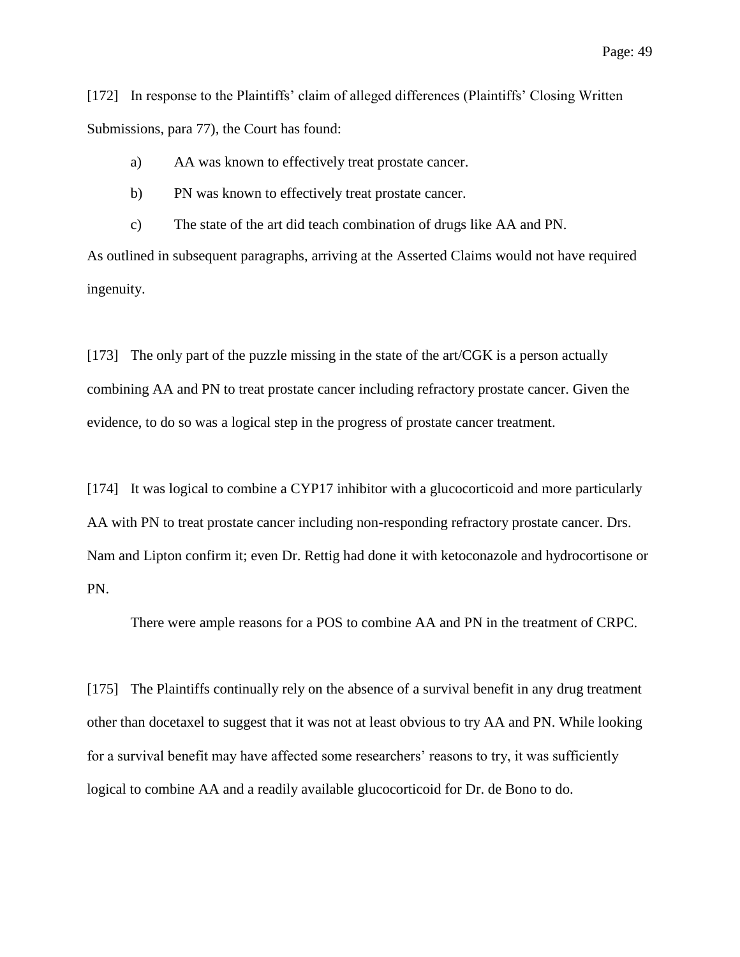[172] In response to the Plaintiffs' claim of alleged differences (Plaintiffs' Closing Written Submissions, para 77), the Court has found:

- a) AA was known to effectively treat prostate cancer.
- b) PN was known to effectively treat prostate cancer.

c) The state of the art did teach combination of drugs like AA and PN.

As outlined in subsequent paragraphs, arriving at the Asserted Claims would not have required ingenuity.

[173] The only part of the puzzle missing in the state of the art/CGK is a person actually combining AA and PN to treat prostate cancer including refractory prostate cancer. Given the evidence, to do so was a logical step in the progress of prostate cancer treatment.

[174] It was logical to combine a CYP17 inhibitor with a glucocorticoid and more particularly AA with PN to treat prostate cancer including non-responding refractory prostate cancer. Drs. Nam and Lipton confirm it; even Dr. Rettig had done it with ketoconazole and hydrocortisone or PN.

There were ample reasons for a POS to combine AA and PN in the treatment of CRPC.

[175] The Plaintiffs continually rely on the absence of a survival benefit in any drug treatment other than docetaxel to suggest that it was not at least obvious to try AA and PN. While looking for a survival benefit may have affected some researchers' reasons to try, it was sufficiently logical to combine AA and a readily available glucocorticoid for Dr. de Bono to do.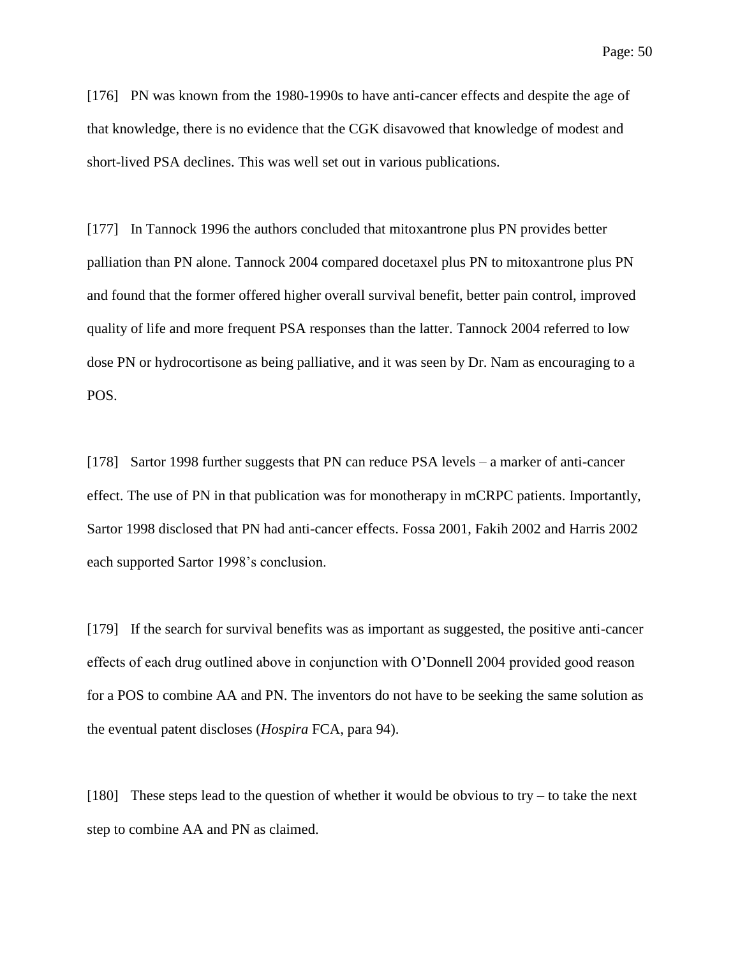[176] PN was known from the 1980-1990s to have anti-cancer effects and despite the age of that knowledge, there is no evidence that the CGK disavowed that knowledge of modest and short-lived PSA declines. This was well set out in various publications.

[177] In Tannock 1996 the authors concluded that mitoxantrone plus PN provides better palliation than PN alone. Tannock 2004 compared docetaxel plus PN to mitoxantrone plus PN and found that the former offered higher overall survival benefit, better pain control, improved quality of life and more frequent PSA responses than the latter. Tannock 2004 referred to low dose PN or hydrocortisone as being palliative, and it was seen by Dr. Nam as encouraging to a POS.

[178] Sartor 1998 further suggests that PN can reduce PSA levels – a marker of anti-cancer effect. The use of PN in that publication was for monotherapy in mCRPC patients. Importantly, Sartor 1998 disclosed that PN had anti-cancer effects. Fossa 2001, Fakih 2002 and Harris 2002 each supported Sartor 1998's conclusion.

[179] If the search for survival benefits was as important as suggested, the positive anti-cancer effects of each drug outlined above in conjunction with O'Donnell 2004 provided good reason for a POS to combine AA and PN. The inventors do not have to be seeking the same solution as the eventual patent discloses (*Hospira* FCA, para 94).

[180] These steps lead to the question of whether it would be obvious to try – to take the next step to combine AA and PN as claimed.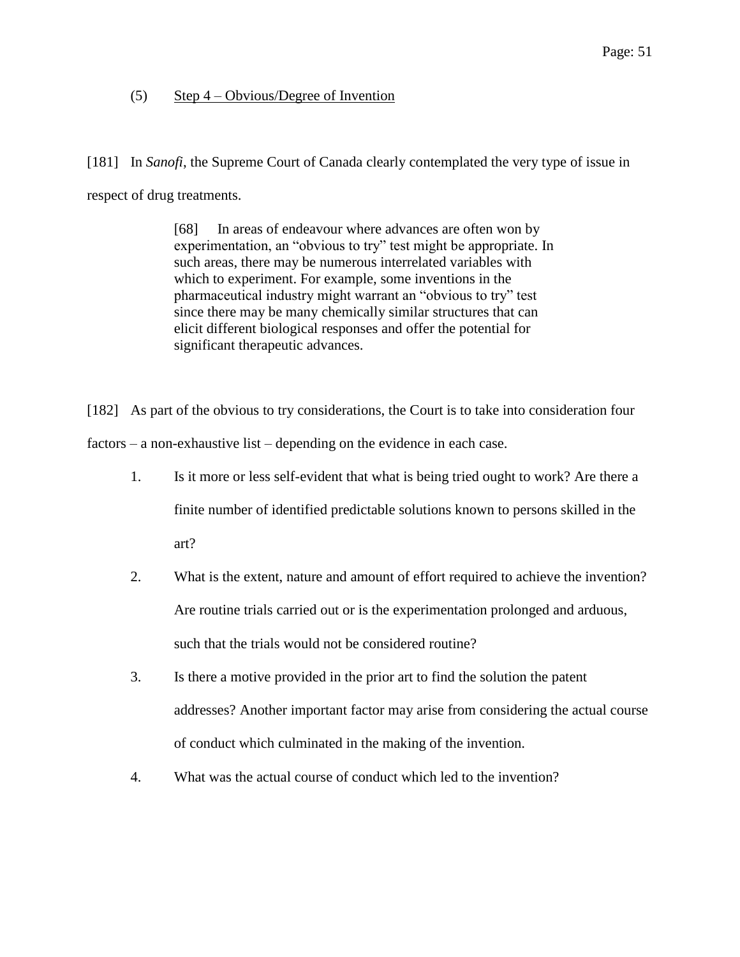## (5) Step 4 – Obvious/Degree of Invention

[181] In *Sanofi*, the Supreme Court of Canada clearly contemplated the very type of issue in respect of drug treatments.

> [68] In areas of endeavour where advances are often won by experimentation, an "obvious to try" test might be appropriate. In such areas, there may be numerous interrelated variables with which to experiment. For example, some inventions in the pharmaceutical industry might warrant an "obvious to try" test since there may be many chemically similar structures that can elicit different biological responses and offer the potential for significant therapeutic advances.

[182] As part of the obvious to try considerations, the Court is to take into consideration four factors – a non-exhaustive list – depending on the evidence in each case.

- 1. Is it more or less self-evident that what is being tried ought to work? Are there a finite number of identified predictable solutions known to persons skilled in the art?
- 2. What is the extent, nature and amount of effort required to achieve the invention? Are routine trials carried out or is the experimentation prolonged and arduous, such that the trials would not be considered routine?
- 3. Is there a motive provided in the prior art to find the solution the patent addresses? Another important factor may arise from considering the actual course of conduct which culminated in the making of the invention.
- 4. What was the actual course of conduct which led to the invention?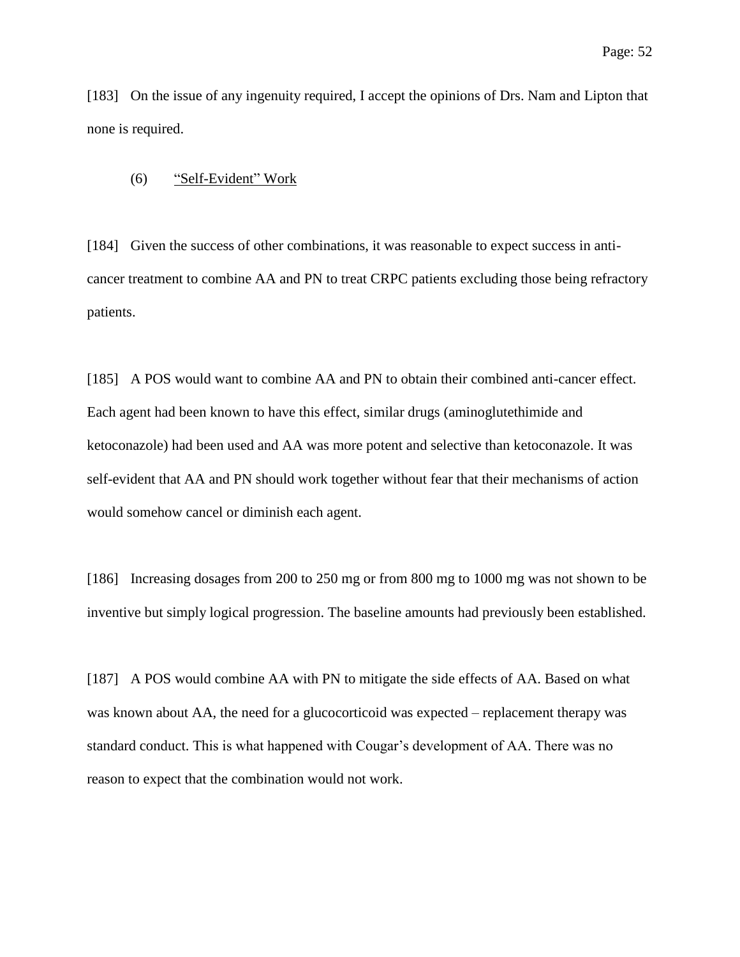[183] On the issue of any ingenuity required, I accept the opinions of Drs. Nam and Lipton that none is required.

### (6) "Self-Evident" Work

[184] Given the success of other combinations, it was reasonable to expect success in anticancer treatment to combine AA and PN to treat CRPC patients excluding those being refractory patients.

[185] A POS would want to combine AA and PN to obtain their combined anti-cancer effect. Each agent had been known to have this effect, similar drugs (aminoglutethimide and ketoconazole) had been used and AA was more potent and selective than ketoconazole. It was self-evident that AA and PN should work together without fear that their mechanisms of action would somehow cancel or diminish each agent.

[186] Increasing dosages from 200 to 250 mg or from 800 mg to 1000 mg was not shown to be inventive but simply logical progression. The baseline amounts had previously been established.

[187] A POS would combine AA with PN to mitigate the side effects of AA. Based on what was known about AA, the need for a glucocorticoid was expected – replacement therapy was standard conduct. This is what happened with Cougar's development of AA. There was no reason to expect that the combination would not work.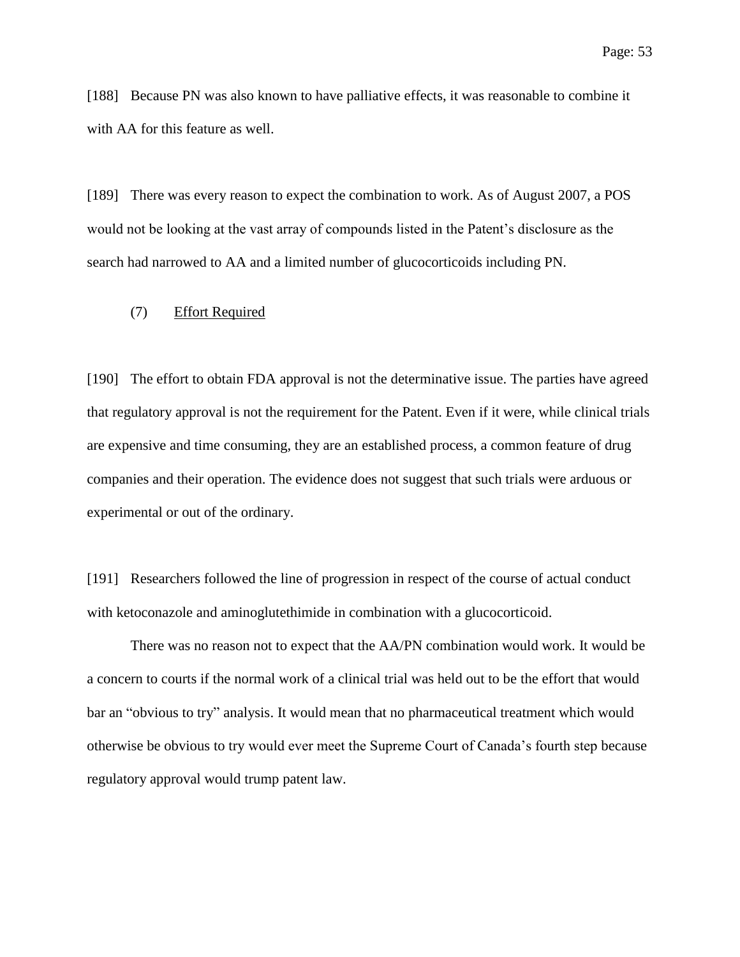[188] Because PN was also known to have palliative effects, it was reasonable to combine it with AA for this feature as well.

[189] There was every reason to expect the combination to work. As of August 2007, a POS would not be looking at the vast array of compounds listed in the Patent's disclosure as the search had narrowed to AA and a limited number of glucocorticoids including PN.

#### (7) Effort Required

[190] The effort to obtain FDA approval is not the determinative issue. The parties have agreed that regulatory approval is not the requirement for the Patent. Even if it were, while clinical trials are expensive and time consuming, they are an established process, a common feature of drug companies and their operation. The evidence does not suggest that such trials were arduous or experimental or out of the ordinary.

[191] Researchers followed the line of progression in respect of the course of actual conduct with ketoconazole and aminoglutethimide in combination with a glucocorticoid.

There was no reason not to expect that the AA/PN combination would work. It would be a concern to courts if the normal work of a clinical trial was held out to be the effort that would bar an "obvious to try" analysis. It would mean that no pharmaceutical treatment which would otherwise be obvious to try would ever meet the Supreme Court of Canada's fourth step because regulatory approval would trump patent law.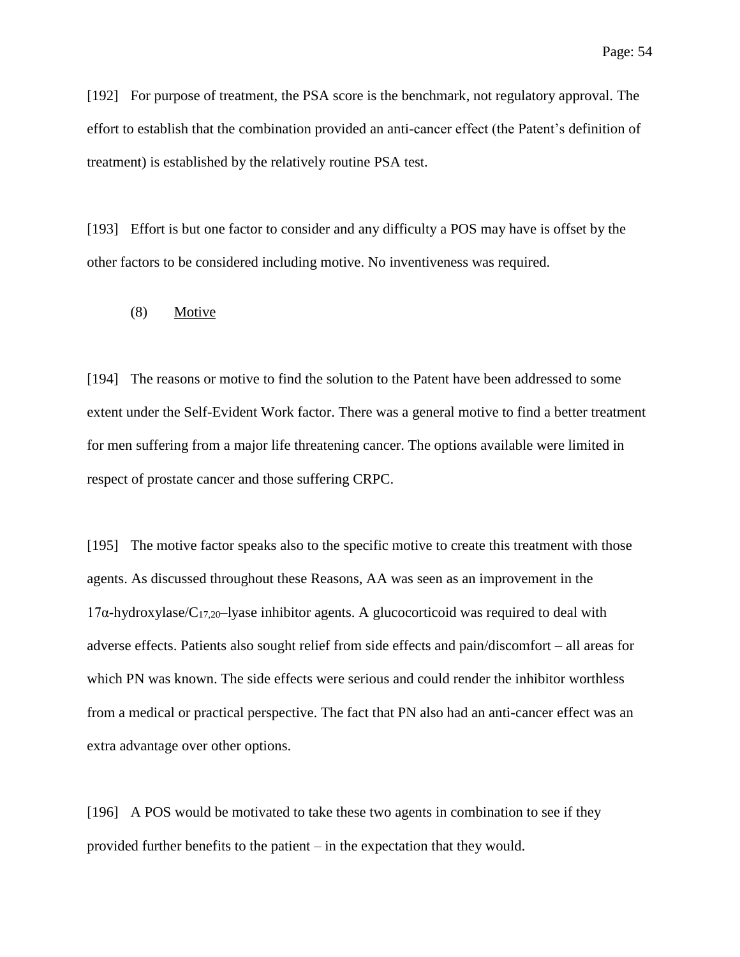[192] For purpose of treatment, the PSA score is the benchmark, not regulatory approval. The effort to establish that the combination provided an anti-cancer effect (the Patent's definition of treatment) is established by the relatively routine PSA test.

[193] Effort is but one factor to consider and any difficulty a POS may have is offset by the other factors to be considered including motive. No inventiveness was required.

### (8) Motive

[194] The reasons or motive to find the solution to the Patent have been addressed to some extent under the Self-Evident Work factor. There was a general motive to find a better treatment for men suffering from a major life threatening cancer. The options available were limited in respect of prostate cancer and those suffering CRPC.

[195] The motive factor speaks also to the specific motive to create this treatment with those agents. As discussed throughout these Reasons, AA was seen as an improvement in the  $17\alpha$ -hydroxylase/C<sub>17,20</sub>-lyase inhibitor agents. A glucocorticoid was required to deal with adverse effects. Patients also sought relief from side effects and pain/discomfort – all areas for which PN was known. The side effects were serious and could render the inhibitor worthless from a medical or practical perspective. The fact that PN also had an anti-cancer effect was an extra advantage over other options.

[196] A POS would be motivated to take these two agents in combination to see if they provided further benefits to the patient – in the expectation that they would.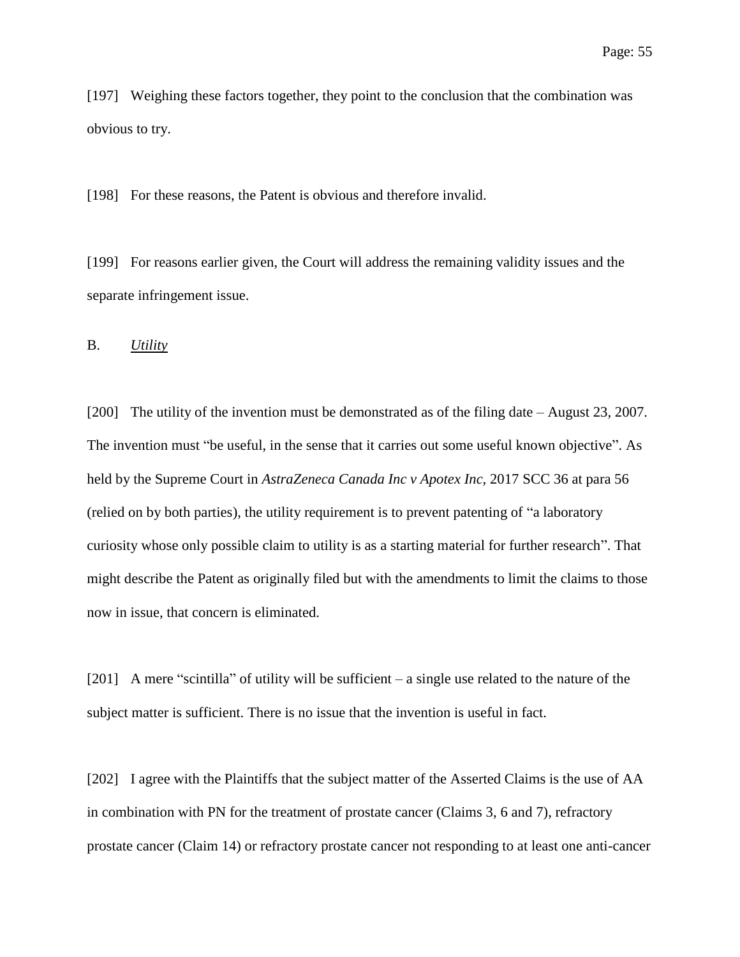[197] Weighing these factors together, they point to the conclusion that the combination was obvious to try.

[198] For these reasons, the Patent is obvious and therefore invalid.

[199] For reasons earlier given, the Court will address the remaining validity issues and the separate infringement issue.

B. *Utility*

[200] The utility of the invention must be demonstrated as of the filing date – August 23, 2007. The invention must "be useful, in the sense that it carries out some useful known objective". As held by the Supreme Court in *AstraZeneca Canada Inc v Apotex Inc*, 2017 SCC 36 at para 56 (relied on by both parties), the utility requirement is to prevent patenting of "a laboratory curiosity whose only possible claim to utility is as a starting material for further research". That might describe the Patent as originally filed but with the amendments to limit the claims to those now in issue, that concern is eliminated.

[201] A mere "scintilla" of utility will be sufficient – a single use related to the nature of the subject matter is sufficient. There is no issue that the invention is useful in fact.

[202] I agree with the Plaintiffs that the subject matter of the Asserted Claims is the use of AA in combination with PN for the treatment of prostate cancer (Claims 3, 6 and 7), refractory prostate cancer (Claim 14) or refractory prostate cancer not responding to at least one anti-cancer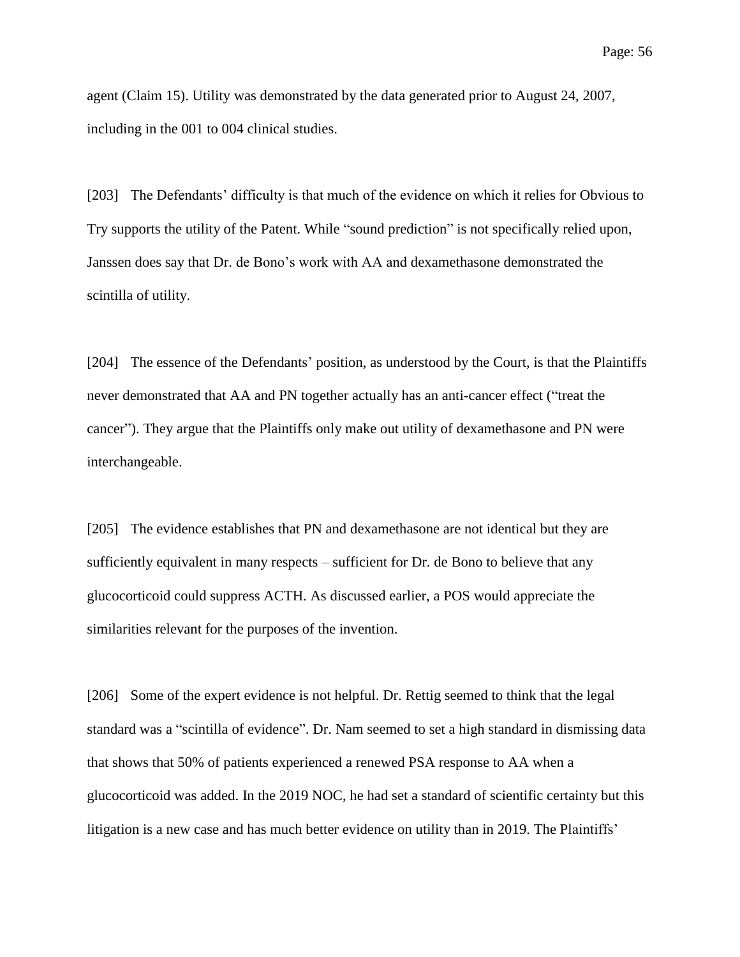agent (Claim 15). Utility was demonstrated by the data generated prior to August 24, 2007, including in the 001 to 004 clinical studies.

[203] The Defendants' difficulty is that much of the evidence on which it relies for Obvious to Try supports the utility of the Patent. While "sound prediction" is not specifically relied upon, Janssen does say that Dr. de Bono's work with AA and dexamethasone demonstrated the scintilla of utility.

[204] The essence of the Defendants' position, as understood by the Court, is that the Plaintiffs never demonstrated that AA and PN together actually has an anti-cancer effect ("treat the cancer"). They argue that the Plaintiffs only make out utility of dexamethasone and PN were interchangeable.

[205] The evidence establishes that PN and dexamethasone are not identical but they are sufficiently equivalent in many respects – sufficient for Dr. de Bono to believe that any glucocorticoid could suppress ACTH. As discussed earlier, a POS would appreciate the similarities relevant for the purposes of the invention.

[206] Some of the expert evidence is not helpful. Dr. Rettig seemed to think that the legal standard was a "scintilla of evidence". Dr. Nam seemed to set a high standard in dismissing data that shows that 50% of patients experienced a renewed PSA response to AA when a glucocorticoid was added. In the 2019 NOC, he had set a standard of scientific certainty but this litigation is a new case and has much better evidence on utility than in 2019. The Plaintiffs'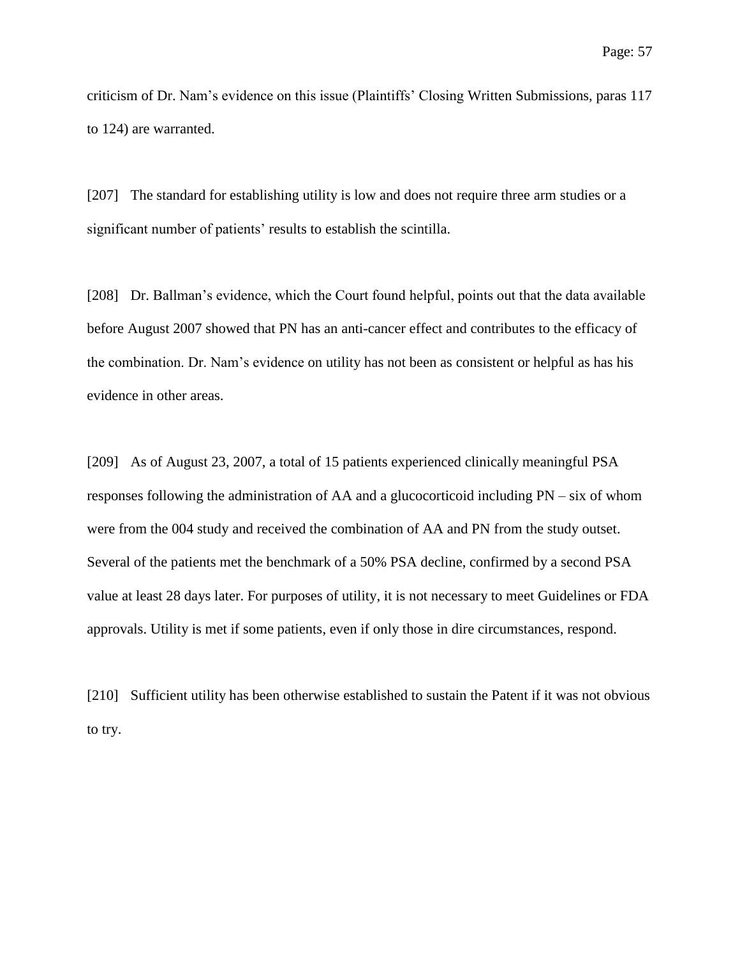criticism of Dr. Nam's evidence on this issue (Plaintiffs' Closing Written Submissions, paras 117 to 124) are warranted.

[207] The standard for establishing utility is low and does not require three arm studies or a significant number of patients' results to establish the scintilla.

[208] Dr. Ballman's evidence, which the Court found helpful, points out that the data available before August 2007 showed that PN has an anti-cancer effect and contributes to the efficacy of the combination. Dr. Nam's evidence on utility has not been as consistent or helpful as has his evidence in other areas.

[209] As of August 23, 2007, a total of 15 patients experienced clinically meaningful PSA responses following the administration of AA and a glucocorticoid including PN – six of whom were from the 004 study and received the combination of AA and PN from the study outset. Several of the patients met the benchmark of a 50% PSA decline, confirmed by a second PSA value at least 28 days later. For purposes of utility, it is not necessary to meet Guidelines or FDA approvals. Utility is met if some patients, even if only those in dire circumstances, respond.

[210] Sufficient utility has been otherwise established to sustain the Patent if it was not obvious to try.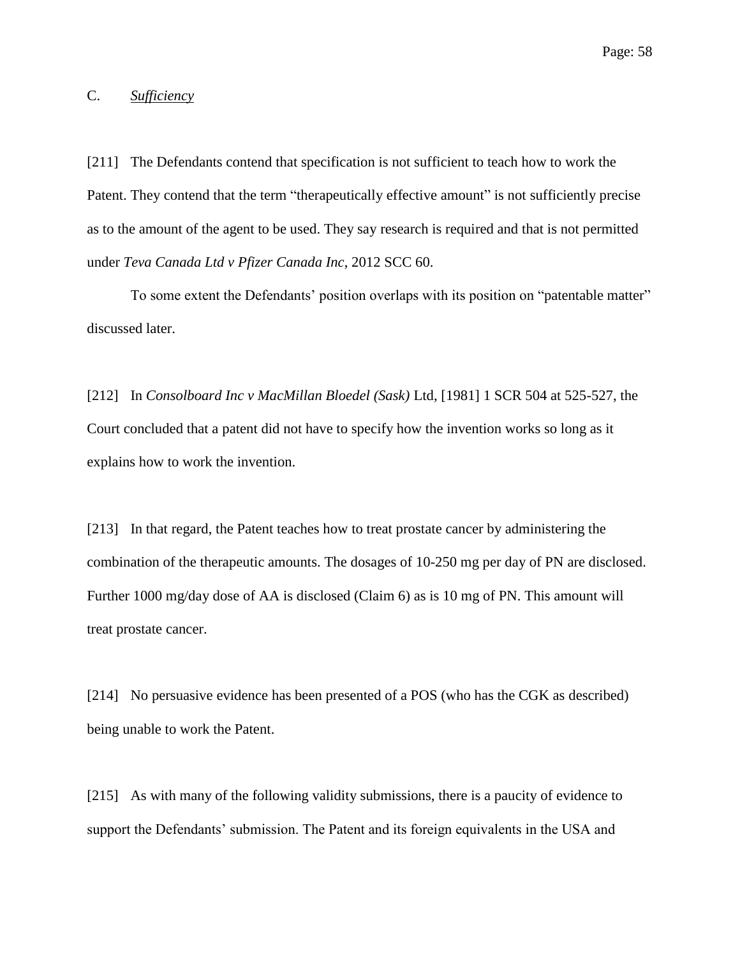### C. *Sufficiency*

[211] The Defendants contend that specification is not sufficient to teach how to work the Patent. They contend that the term "therapeutically effective amount" is not sufficiently precise as to the amount of the agent to be used. They say research is required and that is not permitted under *Teva Canada Ltd v Pfizer Canada Inc*, 2012 SCC 60.

To some extent the Defendants' position overlaps with its position on "patentable matter" discussed later.

[212] In *Consolboard Inc v MacMillan Bloedel (Sask)* Ltd, [1981] 1 SCR 504 at 525-527, the Court concluded that a patent did not have to specify how the invention works so long as it explains how to work the invention.

[213] In that regard, the Patent teaches how to treat prostate cancer by administering the combination of the therapeutic amounts. The dosages of 10-250 mg per day of PN are disclosed. Further 1000 mg/day dose of AA is disclosed (Claim 6) as is 10 mg of PN. This amount will treat prostate cancer.

[214] No persuasive evidence has been presented of a POS (who has the CGK as described) being unable to work the Patent.

[215] As with many of the following validity submissions, there is a paucity of evidence to support the Defendants' submission. The Patent and its foreign equivalents in the USA and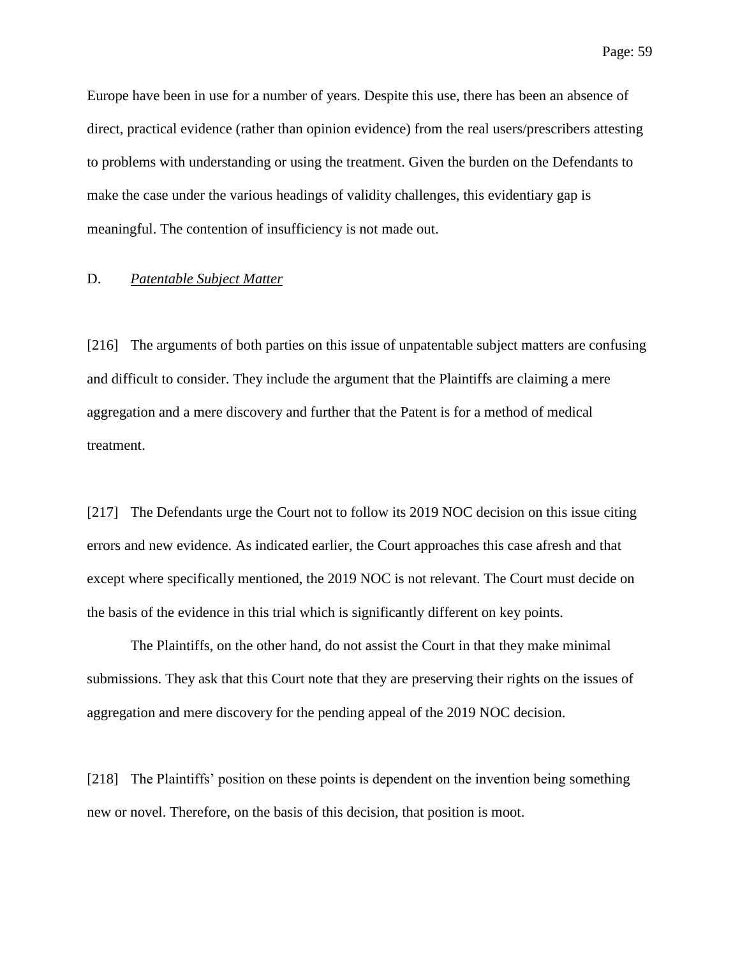Europe have been in use for a number of years. Despite this use, there has been an absence of direct, practical evidence (rather than opinion evidence) from the real users/prescribers attesting to problems with understanding or using the treatment. Given the burden on the Defendants to make the case under the various headings of validity challenges, this evidentiary gap is meaningful. The contention of insufficiency is not made out.

### D. *Patentable Subject Matter*

[216] The arguments of both parties on this issue of unpatentable subject matters are confusing and difficult to consider. They include the argument that the Plaintiffs are claiming a mere aggregation and a mere discovery and further that the Patent is for a method of medical treatment.

[217] The Defendants urge the Court not to follow its 2019 NOC decision on this issue citing errors and new evidence. As indicated earlier, the Court approaches this case afresh and that except where specifically mentioned, the 2019 NOC is not relevant. The Court must decide on the basis of the evidence in this trial which is significantly different on key points.

The Plaintiffs, on the other hand, do not assist the Court in that they make minimal submissions. They ask that this Court note that they are preserving their rights on the issues of aggregation and mere discovery for the pending appeal of the 2019 NOC decision.

[218] The Plaintiffs' position on these points is dependent on the invention being something new or novel. Therefore, on the basis of this decision, that position is moot.

Page: 59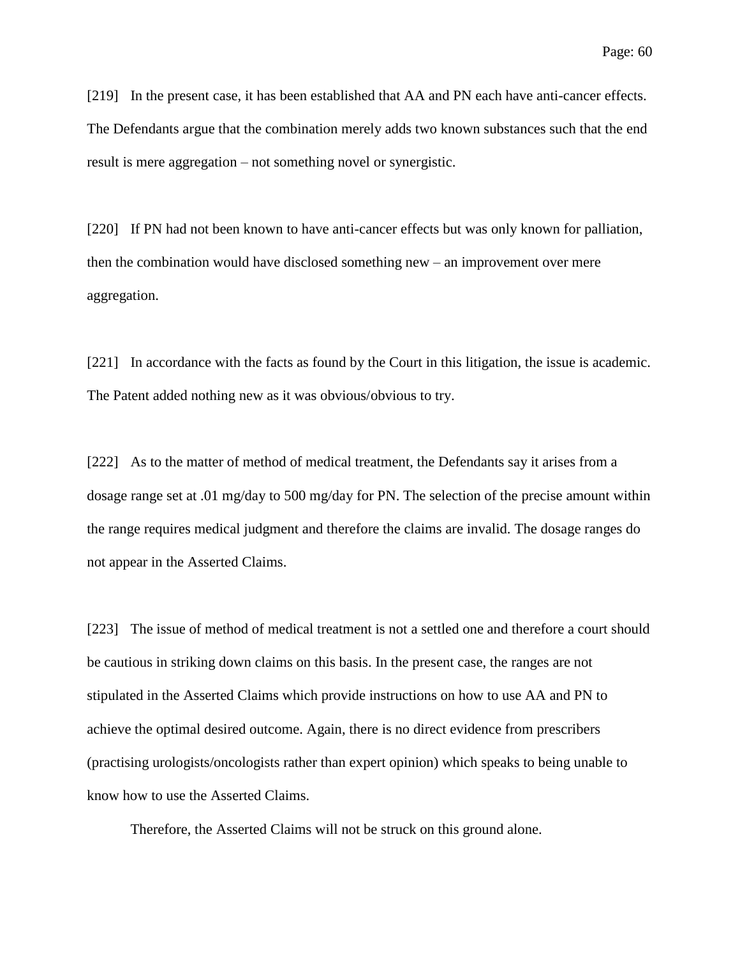[219] In the present case, it has been established that AA and PN each have anti-cancer effects. The Defendants argue that the combination merely adds two known substances such that the end result is mere aggregation – not something novel or synergistic.

[220] If PN had not been known to have anti-cancer effects but was only known for palliation, then the combination would have disclosed something new – an improvement over mere aggregation.

[221] In accordance with the facts as found by the Court in this litigation, the issue is academic. The Patent added nothing new as it was obvious/obvious to try.

[222] As to the matter of method of medical treatment, the Defendants say it arises from a dosage range set at .01 mg/day to 500 mg/day for PN. The selection of the precise amount within the range requires medical judgment and therefore the claims are invalid. The dosage ranges do not appear in the Asserted Claims.

[223] The issue of method of medical treatment is not a settled one and therefore a court should be cautious in striking down claims on this basis. In the present case, the ranges are not stipulated in the Asserted Claims which provide instructions on how to use AA and PN to achieve the optimal desired outcome. Again, there is no direct evidence from prescribers (practising urologists/oncologists rather than expert opinion) which speaks to being unable to know how to use the Asserted Claims.

Therefore, the Asserted Claims will not be struck on this ground alone.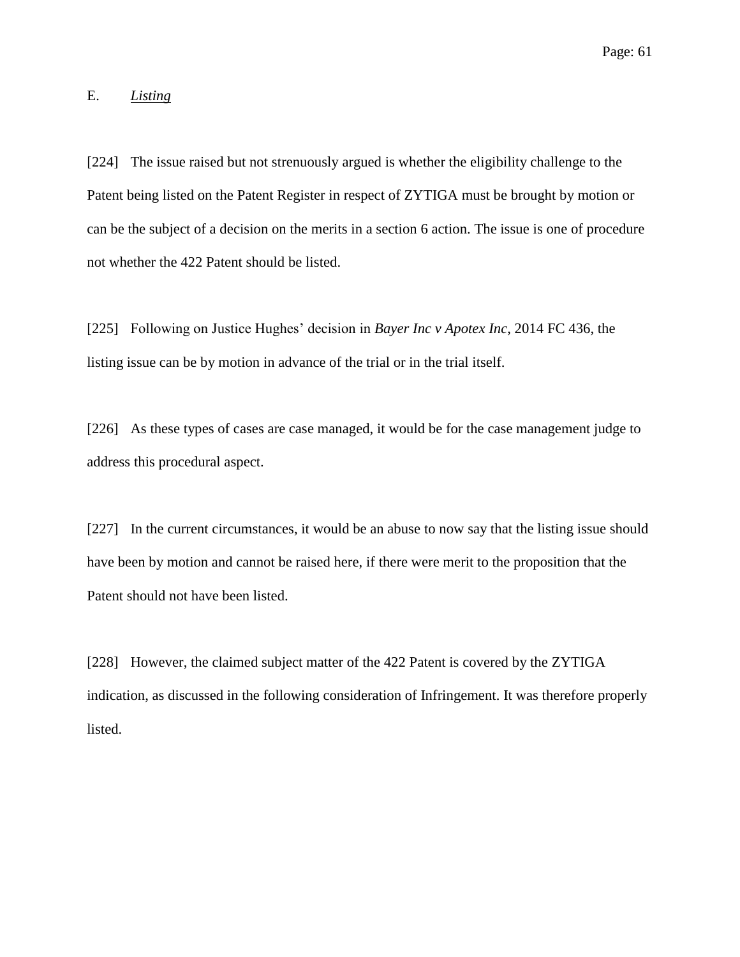## E. *Listing*

[224] The issue raised but not strenuously argued is whether the eligibility challenge to the Patent being listed on the Patent Register in respect of ZYTIGA must be brought by motion or can be the subject of a decision on the merits in a section 6 action. The issue is one of procedure not whether the 422 Patent should be listed.

[225] Following on Justice Hughes' decision in *Bayer Inc v Apotex Inc*, 2014 FC 436, the listing issue can be by motion in advance of the trial or in the trial itself.

[226] As these types of cases are case managed, it would be for the case management judge to address this procedural aspect.

[227] In the current circumstances, it would be an abuse to now say that the listing issue should have been by motion and cannot be raised here, if there were merit to the proposition that the Patent should not have been listed.

[228] However, the claimed subject matter of the 422 Patent is covered by the ZYTIGA indication, as discussed in the following consideration of Infringement. It was therefore properly listed.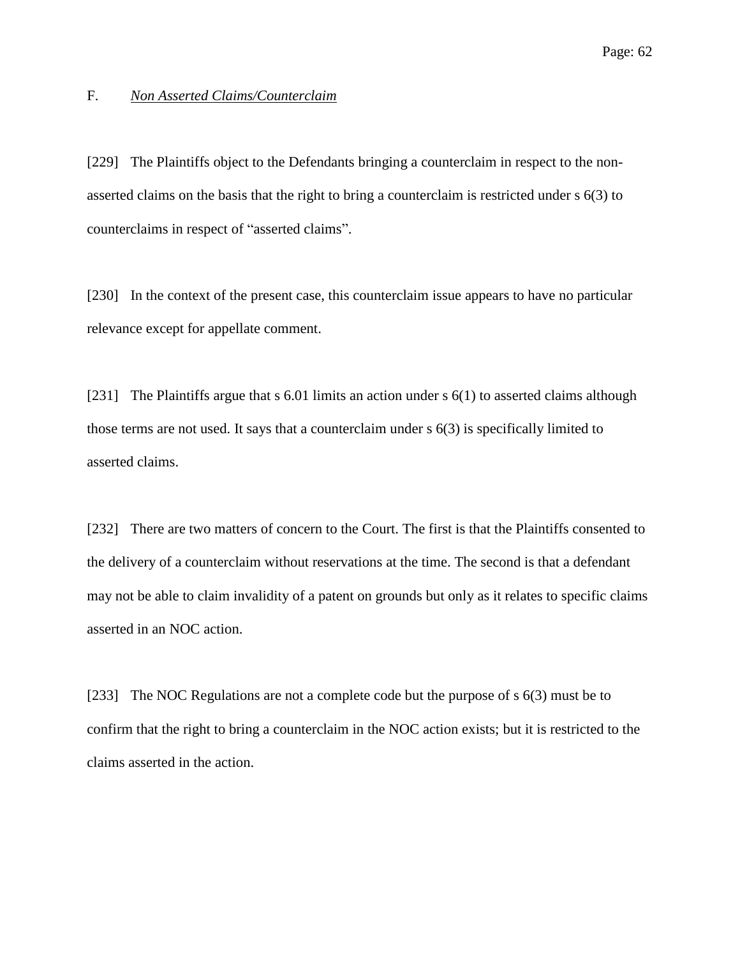## F. *Non Asserted Claims/Counterclaim*

[229] The Plaintiffs object to the Defendants bringing a counterclaim in respect to the nonasserted claims on the basis that the right to bring a counterclaim is restricted under s 6(3) to counterclaims in respect of "asserted claims".

[230] In the context of the present case, this counterclaim issue appears to have no particular relevance except for appellate comment.

[231] The Plaintiffs argue that s 6.01 limits an action under s 6(1) to asserted claims although those terms are not used. It says that a counterclaim under s 6(3) is specifically limited to asserted claims.

[232] There are two matters of concern to the Court. The first is that the Plaintiffs consented to the delivery of a counterclaim without reservations at the time. The second is that a defendant may not be able to claim invalidity of a patent on grounds but only as it relates to specific claims asserted in an NOC action.

[233] The NOC Regulations are not a complete code but the purpose of s 6(3) must be to confirm that the right to bring a counterclaim in the NOC action exists; but it is restricted to the claims asserted in the action.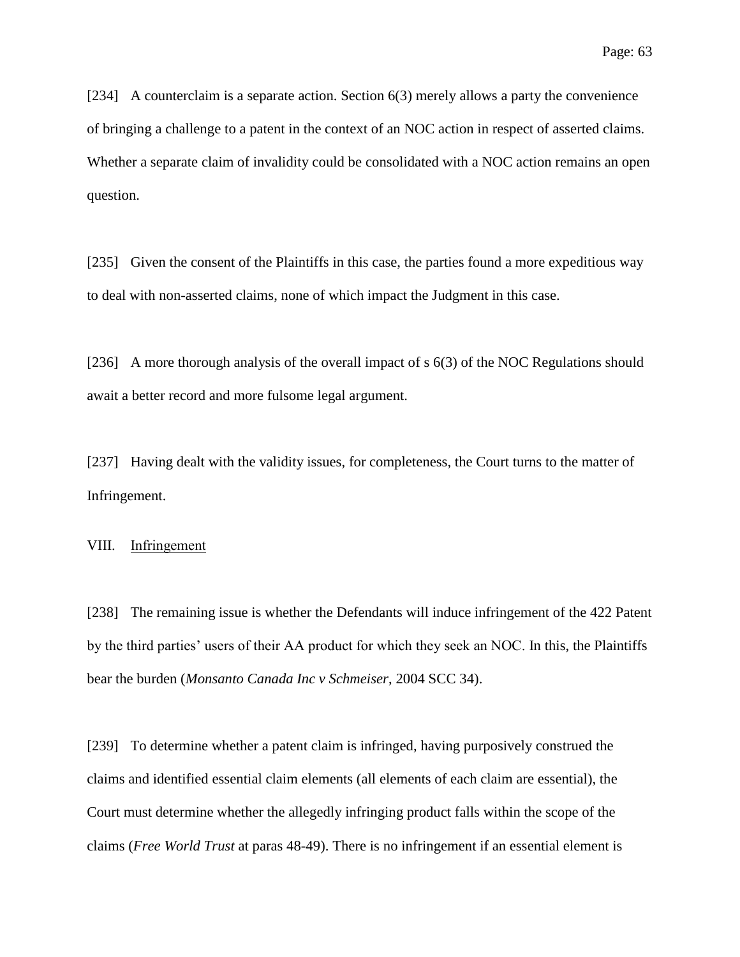[234] A counterclaim is a separate action. Section 6(3) merely allows a party the convenience of bringing a challenge to a patent in the context of an NOC action in respect of asserted claims. Whether a separate claim of invalidity could be consolidated with a NOC action remains an open question.

[235] Given the consent of the Plaintiffs in this case, the parties found a more expeditious way to deal with non-asserted claims, none of which impact the Judgment in this case.

[236] A more thorough analysis of the overall impact of s 6(3) of the NOC Regulations should await a better record and more fulsome legal argument.

[237] Having dealt with the validity issues, for completeness, the Court turns to the matter of Infringement.

VIII. Infringement

[238] The remaining issue is whether the Defendants will induce infringement of the 422 Patent by the third parties' users of their AA product for which they seek an NOC. In this, the Plaintiffs bear the burden (*Monsanto Canada Inc v Schmeiser*, 2004 SCC 34).

[239] To determine whether a patent claim is infringed, having purposively construed the claims and identified essential claim elements (all elements of each claim are essential), the Court must determine whether the allegedly infringing product falls within the scope of the claims (*Free World Trust* at paras 48-49). There is no infringement if an essential element is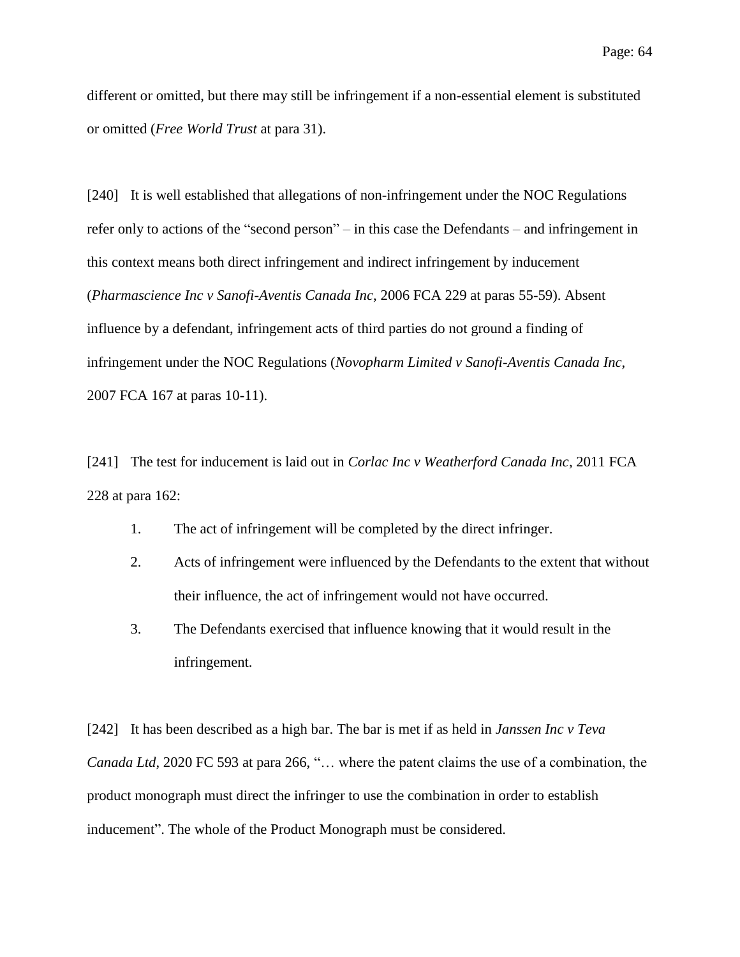different or omitted, but there may still be infringement if a non-essential element is substituted or omitted (*Free World Trust* at para 31).

[240] It is well established that allegations of non-infringement under the NOC Regulations refer only to actions of the "second person" – in this case the Defendants – and infringement in this context means both direct infringement and indirect infringement by inducement (*Pharmascience Inc v Sanofi-Aventis Canada Inc*, 2006 FCA 229 at paras 55-59). Absent influence by a defendant, infringement acts of third parties do not ground a finding of infringement under the NOC Regulations (*Novopharm Limited v Sanofi-Aventis Canada Inc*, 2007 FCA 167 at paras 10-11).

[241] The test for inducement is laid out in *Corlac Inc v Weatherford Canada Inc*, 2011 FCA 228 at para 162:

- 1. The act of infringement will be completed by the direct infringer.
- 2. Acts of infringement were influenced by the Defendants to the extent that without their influence, the act of infringement would not have occurred.
- 3. The Defendants exercised that influence knowing that it would result in the infringement.

[242] It has been described as a high bar. The bar is met if as held in *Janssen Inc v Teva Canada Ltd*, 2020 FC 593 at para 266, "… where the patent claims the use of a combination, the product monograph must direct the infringer to use the combination in order to establish inducement". The whole of the Product Monograph must be considered.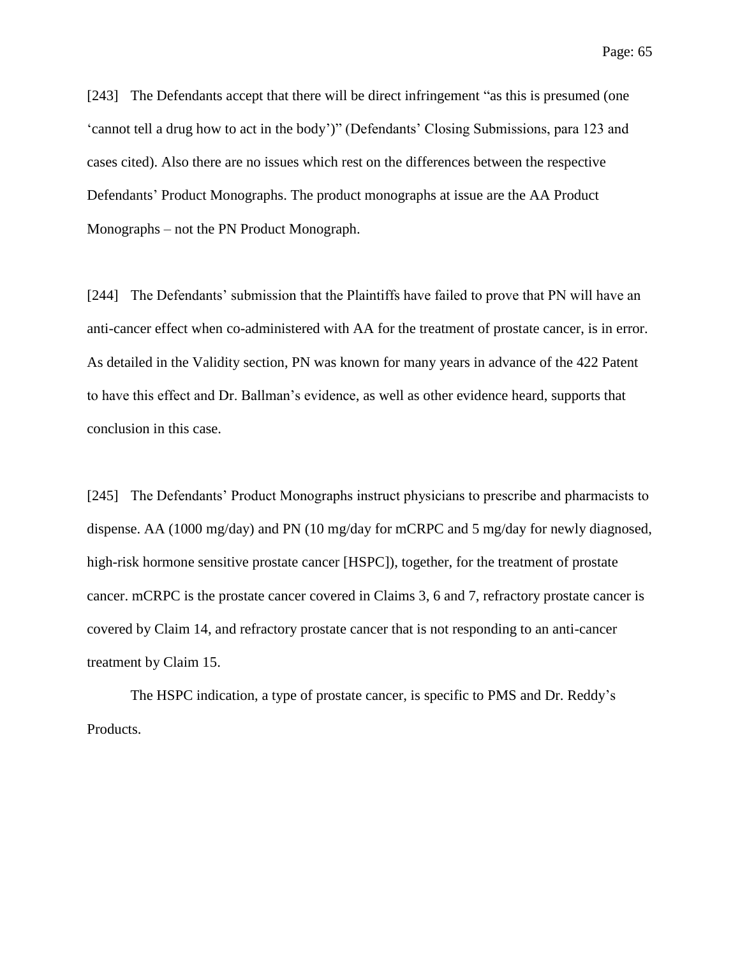[243] The Defendants accept that there will be direct infringement "as this is presumed (one 'cannot tell a drug how to act in the body')" (Defendants' Closing Submissions, para 123 and cases cited). Also there are no issues which rest on the differences between the respective Defendants' Product Monographs. The product monographs at issue are the AA Product Monographs – not the PN Product Monograph.

[244] The Defendants' submission that the Plaintiffs have failed to prove that PN will have an anti-cancer effect when co-administered with AA for the treatment of prostate cancer, is in error. As detailed in the Validity section, PN was known for many years in advance of the 422 Patent to have this effect and Dr. Ballman's evidence, as well as other evidence heard, supports that conclusion in this case.

[245] The Defendants' Product Monographs instruct physicians to prescribe and pharmacists to dispense. AA (1000 mg/day) and PN (10 mg/day for mCRPC and 5 mg/day for newly diagnosed, high-risk hormone sensitive prostate cancer [HSPC]), together, for the treatment of prostate cancer. mCRPC is the prostate cancer covered in Claims 3, 6 and 7, refractory prostate cancer is covered by Claim 14, and refractory prostate cancer that is not responding to an anti-cancer treatment by Claim 15.

The HSPC indication, a type of prostate cancer, is specific to PMS and Dr. Reddy's Products.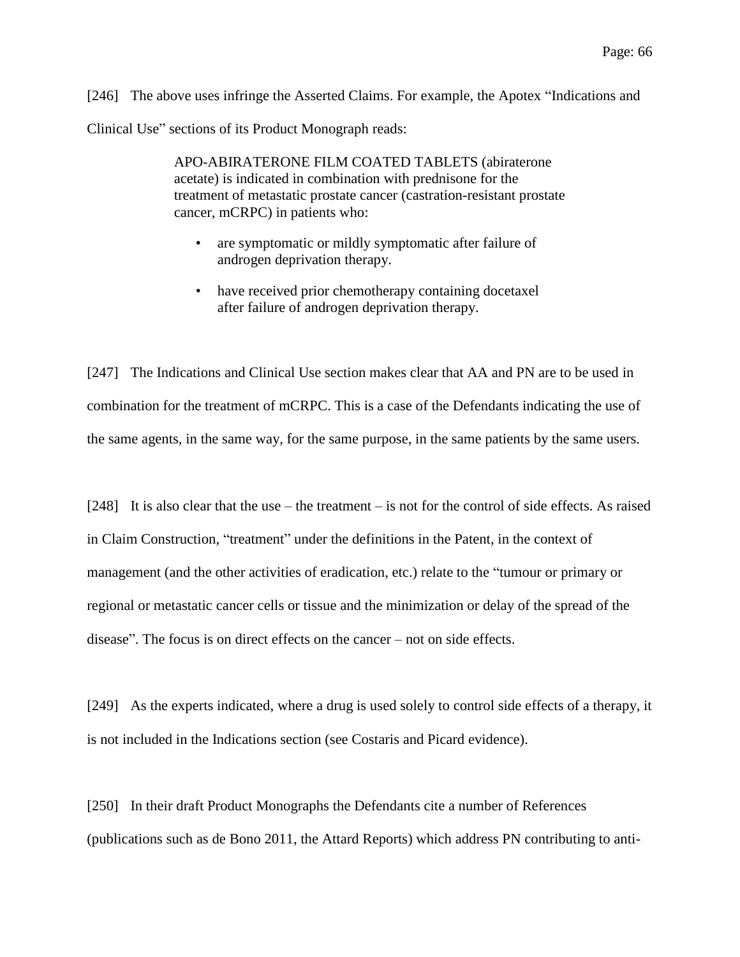[246] The above uses infringe the Asserted Claims. For example, the Apotex "Indications and Clinical Use" sections of its Product Monograph reads:

> APO-ABIRATERONE FILM COATED TABLETS (abiraterone acetate) is indicated in combination with prednisone for the treatment of metastatic prostate cancer (castration-resistant prostate cancer, mCRPC) in patients who:

- are symptomatic or mildly symptomatic after failure of androgen deprivation therapy.
- have received prior chemotherapy containing docetaxel after failure of androgen deprivation therapy.

[247] The Indications and Clinical Use section makes clear that AA and PN are to be used in combination for the treatment of mCRPC. This is a case of the Defendants indicating the use of the same agents, in the same way, for the same purpose, in the same patients by the same users.

[248] It is also clear that the use – the treatment – is not for the control of side effects. As raised in Claim Construction, "treatment" under the definitions in the Patent, in the context of management (and the other activities of eradication, etc.) relate to the "tumour or primary or regional or metastatic cancer cells or tissue and the minimization or delay of the spread of the disease". The focus is on direct effects on the cancer – not on side effects.

[249] As the experts indicated, where a drug is used solely to control side effects of a therapy, it is not included in the Indications section (see Costaris and Picard evidence).

[250] In their draft Product Monographs the Defendants cite a number of References (publications such as de Bono 2011, the Attard Reports) which address PN contributing to anti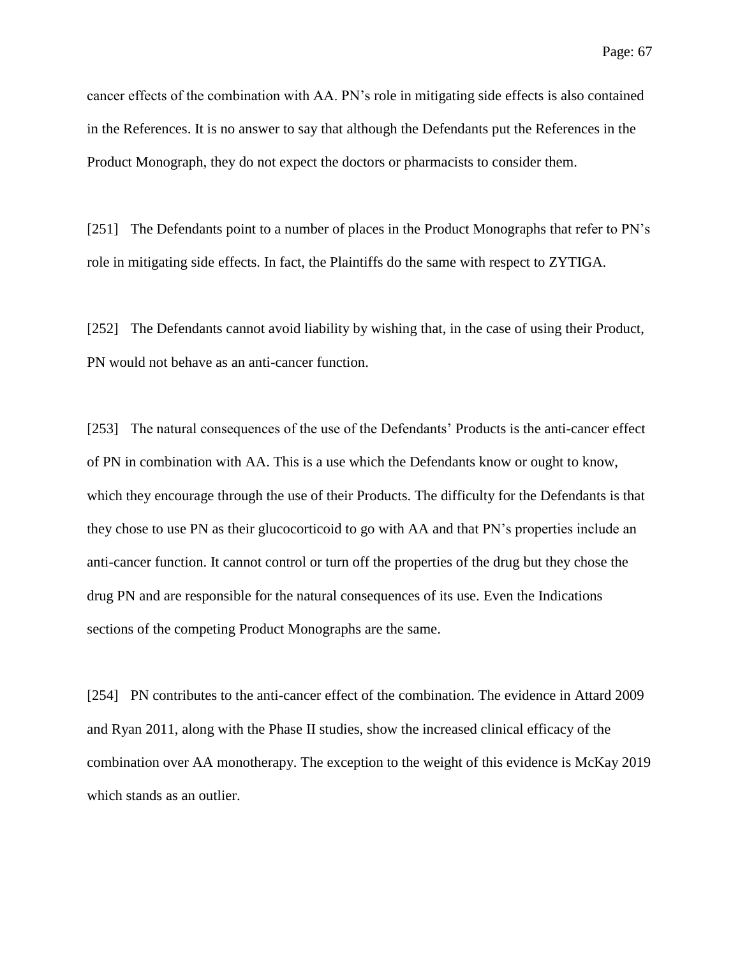cancer effects of the combination with AA. PN's role in mitigating side effects is also contained in the References. It is no answer to say that although the Defendants put the References in the Product Monograph, they do not expect the doctors or pharmacists to consider them.

[251] The Defendants point to a number of places in the Product Monographs that refer to PN's role in mitigating side effects. In fact, the Plaintiffs do the same with respect to ZYTIGA.

[252] The Defendants cannot avoid liability by wishing that, in the case of using their Product, PN would not behave as an anti-cancer function.

[253] The natural consequences of the use of the Defendants' Products is the anti-cancer effect of PN in combination with AA. This is a use which the Defendants know or ought to know, which they encourage through the use of their Products. The difficulty for the Defendants is that they chose to use PN as their glucocorticoid to go with AA and that PN's properties include an anti-cancer function. It cannot control or turn off the properties of the drug but they chose the drug PN and are responsible for the natural consequences of its use. Even the Indications sections of the competing Product Monographs are the same.

[254] PN contributes to the anti-cancer effect of the combination. The evidence in Attard 2009 and Ryan 2011, along with the Phase II studies, show the increased clinical efficacy of the combination over AA monotherapy. The exception to the weight of this evidence is McKay 2019 which stands as an outlier.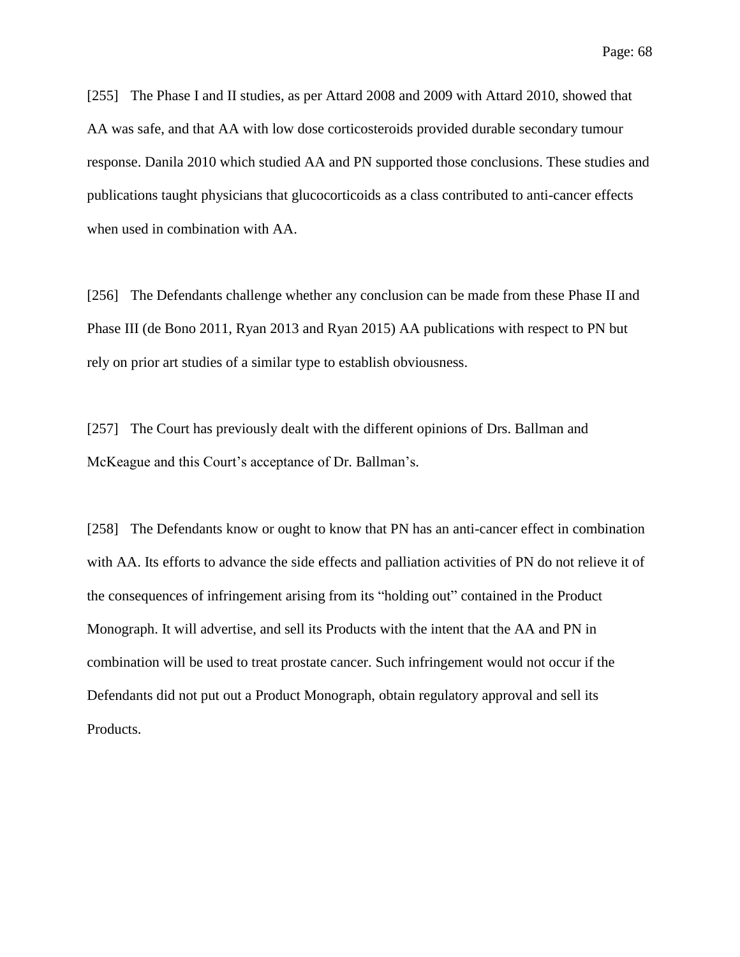[255] The Phase I and II studies, as per Attard 2008 and 2009 with Attard 2010, showed that AA was safe, and that AA with low dose corticosteroids provided durable secondary tumour response. Danila 2010 which studied AA and PN supported those conclusions. These studies and publications taught physicians that glucocorticoids as a class contributed to anti-cancer effects when used in combination with AA.

[256] The Defendants challenge whether any conclusion can be made from these Phase II and Phase III (de Bono 2011, Ryan 2013 and Ryan 2015) AA publications with respect to PN but rely on prior art studies of a similar type to establish obviousness.

[257] The Court has previously dealt with the different opinions of Drs. Ballman and McKeague and this Court's acceptance of Dr. Ballman's.

[258] The Defendants know or ought to know that PN has an anti-cancer effect in combination with AA. Its efforts to advance the side effects and palliation activities of PN do not relieve it of the consequences of infringement arising from its "holding out" contained in the Product Monograph. It will advertise, and sell its Products with the intent that the AA and PN in combination will be used to treat prostate cancer. Such infringement would not occur if the Defendants did not put out a Product Monograph, obtain regulatory approval and sell its Products.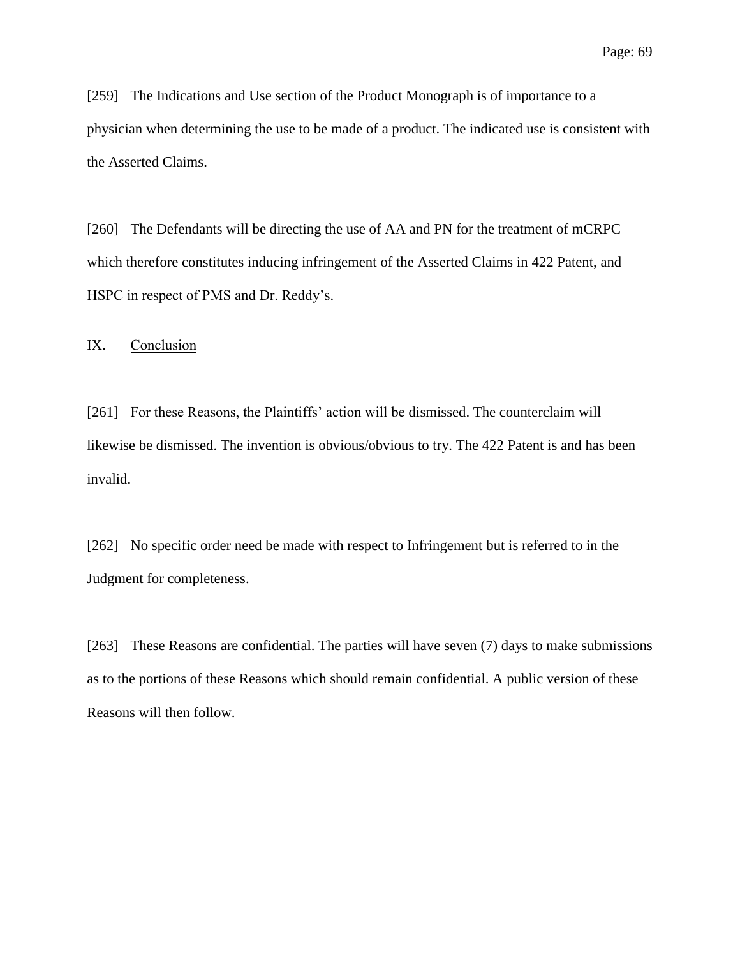[259] The Indications and Use section of the Product Monograph is of importance to a physician when determining the use to be made of a product. The indicated use is consistent with the Asserted Claims.

[260] The Defendants will be directing the use of AA and PN for the treatment of mCRPC which therefore constitutes inducing infringement of the Asserted Claims in 422 Patent, and HSPC in respect of PMS and Dr. Reddy's.

IX. Conclusion

[261] For these Reasons, the Plaintiffs' action will be dismissed. The counterclaim will likewise be dismissed. The invention is obvious/obvious to try. The 422 Patent is and has been invalid.

[262] No specific order need be made with respect to Infringement but is referred to in the Judgment for completeness.

[263] These Reasons are confidential. The parties will have seven (7) days to make submissions as to the portions of these Reasons which should remain confidential. A public version of these Reasons will then follow.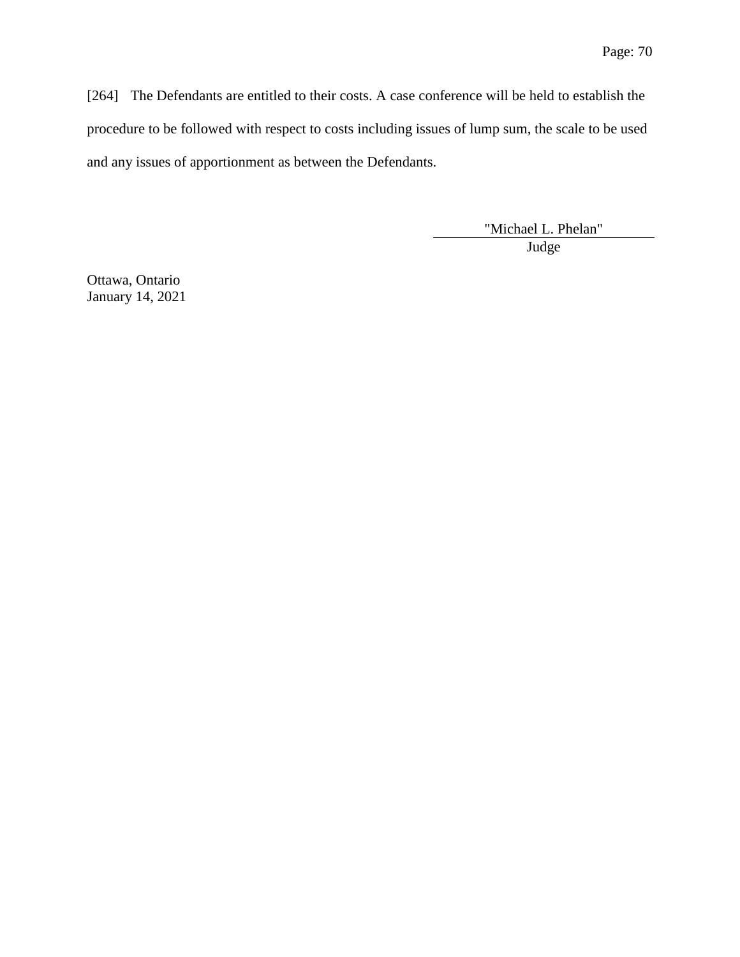[264] The Defendants are entitled to their costs. A case conference will be held to establish the procedure to be followed with respect to costs including issues of lump sum, the scale to be used and any issues of apportionment as between the Defendants.

> "Michael L. Phelan" Judge

Ottawa, Ontario January 14, 2021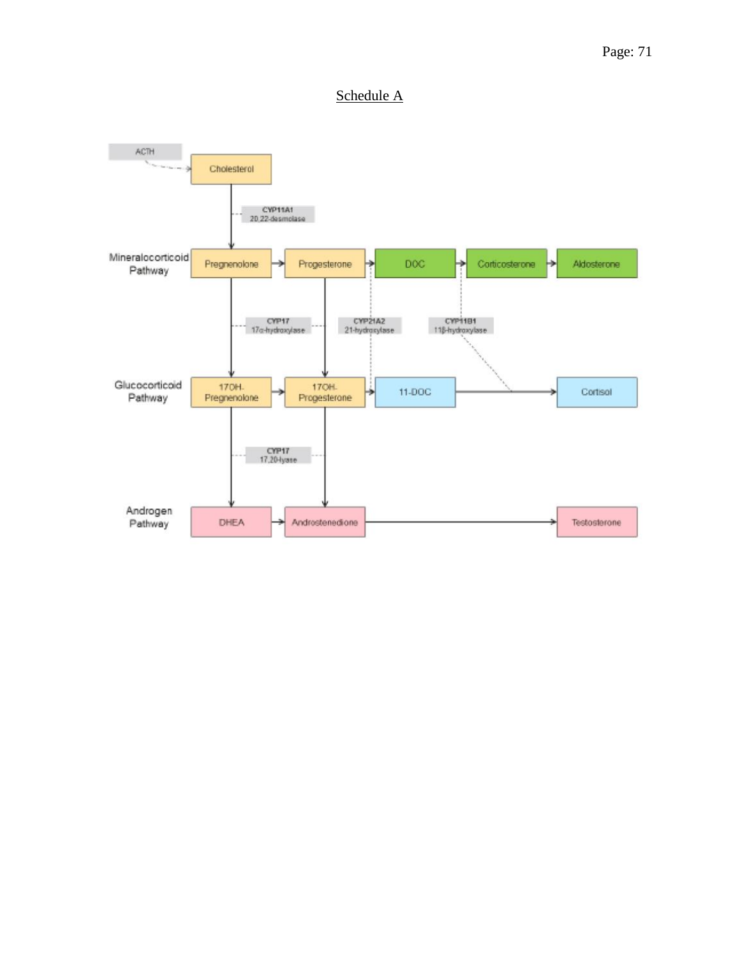## Page: 71

## Schedule A

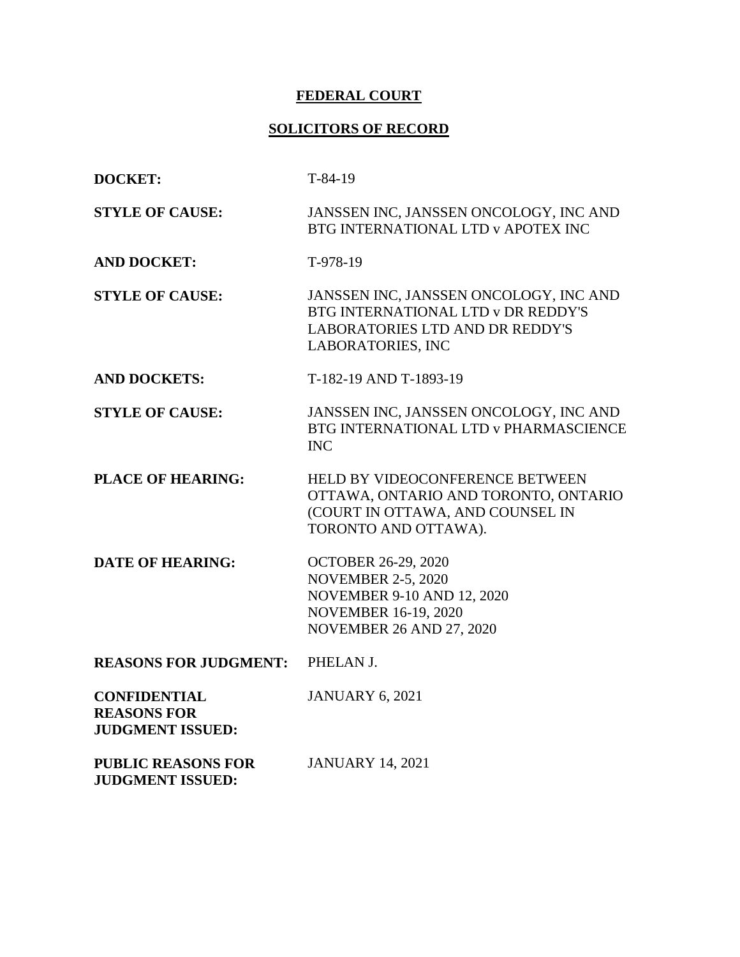# **FEDERAL COURT**

# **SOLICITORS OF RECORD**

| <b>DOCKET:</b>                                                       | $T-84-19$                                                                                                                                                      |
|----------------------------------------------------------------------|----------------------------------------------------------------------------------------------------------------------------------------------------------------|
| <b>STYLE OF CAUSE:</b>                                               | JANSSEN INC, JANSSEN ONCOLOGY, INC AND<br>BTG INTERNATIONAL LTD v APOTEX INC                                                                                   |
| <b>AND DOCKET:</b>                                                   | T-978-19                                                                                                                                                       |
| <b>STYLE OF CAUSE:</b>                                               | JANSSEN INC, JANSSEN ONCOLOGY, INC AND<br>BTG INTERNATIONAL LTD v DR REDDY'S<br><b>LABORATORIES LTD AND DR REDDY'S</b><br><b>LABORATORIES, INC</b>             |
| <b>AND DOCKETS:</b>                                                  | T-182-19 AND T-1893-19                                                                                                                                         |
| <b>STYLE OF CAUSE:</b>                                               | JANSSEN INC, JANSSEN ONCOLOGY, INC AND<br>BTG INTERNATIONAL LTD v PHARMASCIENCE<br><b>INC</b>                                                                  |
| <b>PLACE OF HEARING:</b>                                             | HELD BY VIDEOCONFERENCE BETWEEN<br>OTTAWA, ONTARIO AND TORONTO, ONTARIO<br>(COURT IN OTTAWA, AND COUNSEL IN<br>TORONTO AND OTTAWA).                            |
| <b>DATE OF HEARING:</b>                                              | <b>OCTOBER 26-29, 2020</b><br><b>NOVEMBER 2-5, 2020</b><br><b>NOVEMBER 9-10 AND 12, 2020</b><br><b>NOVEMBER 16-19, 2020</b><br><b>NOVEMBER 26 AND 27, 2020</b> |
| <b>REASONS FOR JUDGMENT:</b>                                         | PHELAN J.                                                                                                                                                      |
| <b>CONFIDENTIAL</b><br><b>REASONS FOR</b><br><b>JUDGMENT ISSUED:</b> | <b>JANUARY 6, 2021</b>                                                                                                                                         |
| <b>PUBLIC REASONS FOR</b><br><b>JUDGMENT ISSUED:</b>                 | <b>JANUARY 14, 2021</b>                                                                                                                                        |